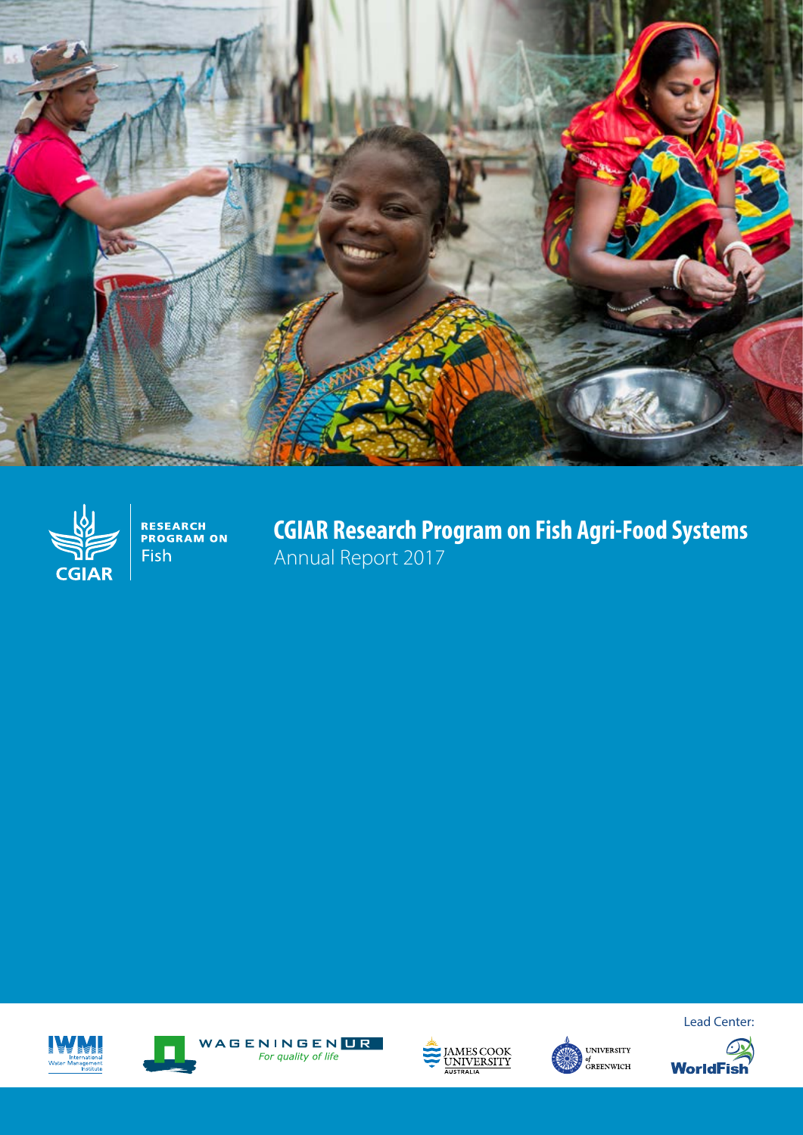



**RESEARCH<br>PROGRAM ON** Fish

**CGIAR Research Program on Fish Agri-Food Systems** Annual Report 2017











Lead Center:

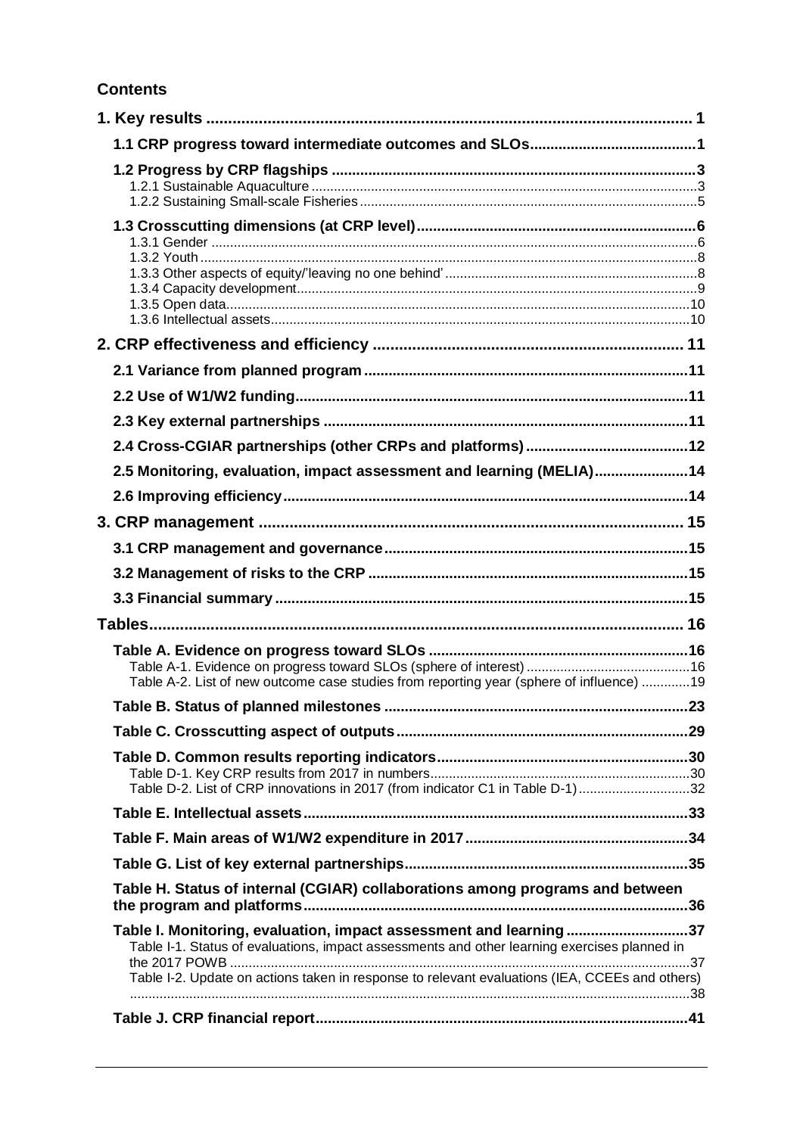#### **Contents**

| 2.5 Monitoring, evaluation, impact assessment and learning (MELIA)14                           |  |
|------------------------------------------------------------------------------------------------|--|
|                                                                                                |  |
|                                                                                                |  |
|                                                                                                |  |
|                                                                                                |  |
|                                                                                                |  |
|                                                                                                |  |
|                                                                                                |  |
|                                                                                                |  |
| Table A-2. List of new outcome case studies from reporting year (sphere of influence) 19       |  |
|                                                                                                |  |
|                                                                                                |  |
|                                                                                                |  |
| Table D-2. List of CRP innovations in 2017 (from indicator C1 in Table D-1)32                  |  |
|                                                                                                |  |
|                                                                                                |  |
|                                                                                                |  |
| Table H. Status of internal (CGIAR) collaborations among programs and between                  |  |
| Table I. Monitoring, evaluation, impact assessment and learning37                              |  |
| Table I-1. Status of evaluations, impact assessments and other learning exercises planned in   |  |
| Table I-2. Update on actions taken in response to relevant evaluations (IEA, CCEEs and others) |  |
|                                                                                                |  |
|                                                                                                |  |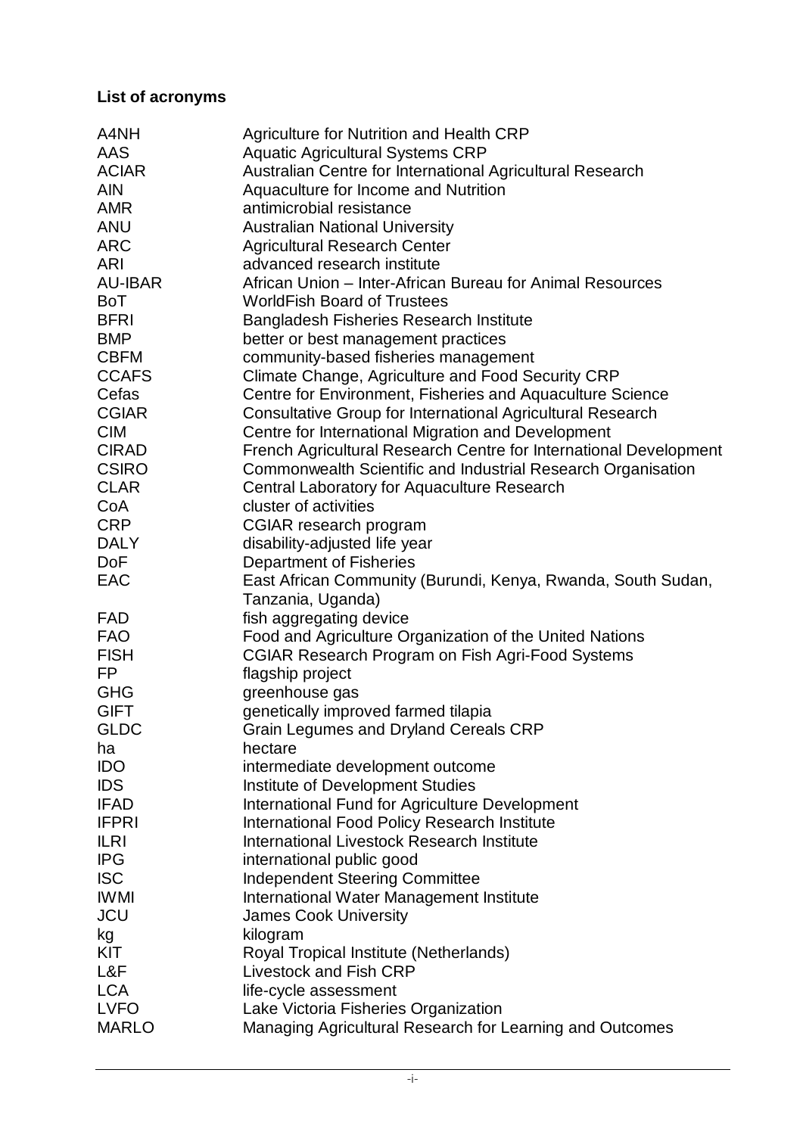#### **List of acronyms**

| A4NH           | Agriculture for Nutrition and Health CRP                          |
|----------------|-------------------------------------------------------------------|
| AAS            | <b>Aquatic Agricultural Systems CRP</b>                           |
| <b>ACIAR</b>   | Australian Centre for International Agricultural Research         |
| <b>AIN</b>     | Aquaculture for Income and Nutrition                              |
| <b>AMR</b>     | antimicrobial resistance                                          |
| <b>ANU</b>     | <b>Australian National University</b>                             |
| <b>ARC</b>     | <b>Agricultural Research Center</b>                               |
| ARI            | advanced research institute                                       |
| <b>AU-IBAR</b> | African Union - Inter-African Bureau for Animal Resources         |
| <b>BoT</b>     | <b>WorldFish Board of Trustees</b>                                |
| <b>BFRI</b>    | <b>Bangladesh Fisheries Research Institute</b>                    |
| <b>BMP</b>     |                                                                   |
| <b>CBFM</b>    | better or best management practices                               |
|                | community-based fisheries management                              |
| <b>CCAFS</b>   | Climate Change, Agriculture and Food Security CRP                 |
| Cefas          | Centre for Environment, Fisheries and Aquaculture Science         |
| <b>CGIAR</b>   | <b>Consultative Group for International Agricultural Research</b> |
| <b>CIM</b>     | Centre for International Migration and Development                |
| <b>CIRAD</b>   | French Agricultural Research Centre for International Development |
| <b>CSIRO</b>   | Commonwealth Scientific and Industrial Research Organisation      |
| <b>CLAR</b>    | Central Laboratory for Aquaculture Research                       |
| CoA            | cluster of activities                                             |
| <b>CRP</b>     | CGIAR research program                                            |
| <b>DALY</b>    | disability-adjusted life year                                     |
| <b>DoF</b>     | <b>Department of Fisheries</b>                                    |
| EAC            | East African Community (Burundi, Kenya, Rwanda, South Sudan,      |
|                | Tanzania, Uganda)                                                 |
| <b>FAD</b>     | fish aggregating device                                           |
| <b>FAO</b>     | Food and Agriculture Organization of the United Nations           |
| <b>FISH</b>    | <b>CGIAR Research Program on Fish Agri-Food Systems</b>           |
| FP             | flagship project                                                  |
| <b>GHG</b>     | greenhouse gas                                                    |
| <b>GIFT</b>    | genetically improved farmed tilapia                               |
| <b>GLDC</b>    | Grain Legumes and Dryland Cereals CRP                             |
| ha             | hectare                                                           |
| <b>IDO</b>     | intermediate development outcome                                  |
| <b>IDS</b>     | Institute of Development Studies                                  |
| <b>IFAD</b>    | International Fund for Agriculture Development                    |
| <b>IFPRI</b>   | International Food Policy Research Institute                      |
| <b>ILRI</b>    | International Livestock Research Institute                        |
| <b>IPG</b>     | international public good                                         |
| <b>ISC</b>     | <b>Independent Steering Committee</b>                             |
| <b>IWMI</b>    | International Water Management Institute                          |
| <b>JCU</b>     | <b>James Cook University</b>                                      |
| kg             | kilogram                                                          |
| KIT            | Royal Tropical Institute (Netherlands)                            |
| L&F            | <b>Livestock and Fish CRP</b>                                     |
| <b>LCA</b>     | life-cycle assessment                                             |
| <b>LVFO</b>    |                                                                   |
| <b>MARLO</b>   | Lake Victoria Fisheries Organization                              |
|                | Managing Agricultural Research for Learning and Outcomes          |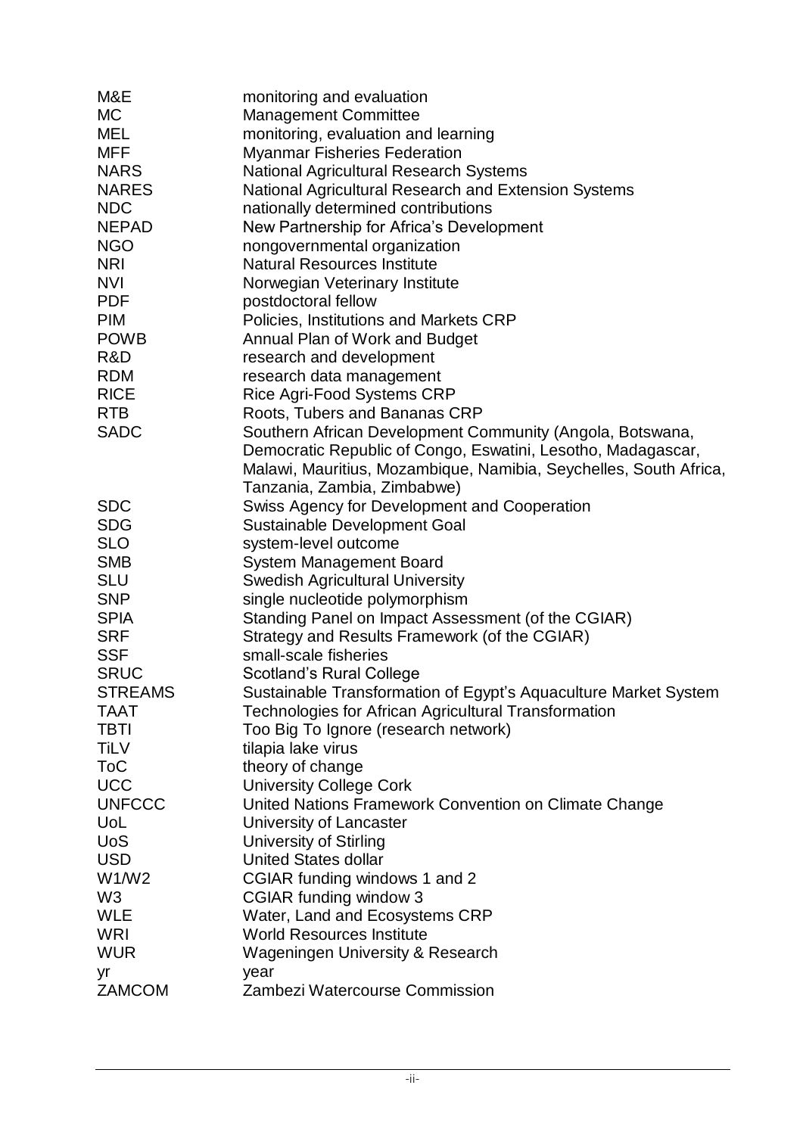| M&E            | monitoring and evaluation                                         |
|----------------|-------------------------------------------------------------------|
| <b>MC</b>      | <b>Management Committee</b>                                       |
| <b>MEL</b>     | monitoring, evaluation and learning                               |
| <b>MFF</b>     | <b>Myanmar Fisheries Federation</b>                               |
| <b>NARS</b>    | <b>National Agricultural Research Systems</b>                     |
| <b>NARES</b>   | National Agricultural Research and Extension Systems              |
| <b>NDC</b>     | nationally determined contributions                               |
| <b>NEPAD</b>   | New Partnership for Africa's Development                          |
| <b>NGO</b>     | nongovernmental organization                                      |
| <b>NRI</b>     | <b>Natural Resources Institute</b>                                |
| <b>NVI</b>     | Norwegian Veterinary Institute                                    |
| <b>PDF</b>     | postdoctoral fellow                                               |
| <b>PIM</b>     | Policies, Institutions and Markets CRP                            |
| <b>POWB</b>    | Annual Plan of Work and Budget                                    |
| R&D            | research and development                                          |
| <b>RDM</b>     | research data management                                          |
| <b>RICE</b>    | Rice Agri-Food Systems CRP                                        |
| <b>RTB</b>     | Roots, Tubers and Bananas CRP                                     |
| <b>SADC</b>    | Southern African Development Community (Angola, Botswana,         |
|                | Democratic Republic of Congo, Eswatini, Lesotho, Madagascar,      |
|                | Malawi, Mauritius, Mozambique, Namibia, Seychelles, South Africa, |
|                | Tanzania, Zambia, Zimbabwe)                                       |
| <b>SDC</b>     | Swiss Agency for Development and Cooperation                      |
| <b>SDG</b>     | <b>Sustainable Development Goal</b>                               |
| <b>SLO</b>     | system-level outcome                                              |
| <b>SMB</b>     | <b>System Management Board</b>                                    |
| <b>SLU</b>     | <b>Swedish Agricultural University</b>                            |
| <b>SNP</b>     | single nucleotide polymorphism                                    |
| <b>SPIA</b>    | Standing Panel on Impact Assessment (of the CGIAR)                |
| <b>SRF</b>     | Strategy and Results Framework (of the CGIAR)                     |
| <b>SSF</b>     | small-scale fisheries                                             |
| <b>SRUC</b>    | <b>Scotland's Rural College</b>                                   |
| <b>STREAMS</b> | Sustainable Transformation of Egypt's Aquaculture Market System   |
| <b>TAAT</b>    | <b>Technologies for African Agricultural Transformation</b>       |
| <b>TBTI</b>    | Too Big To Ignore (research network)                              |
| <b>TiLV</b>    | tilapia lake virus                                                |
| <b>ToC</b>     | theory of change                                                  |
| <b>UCC</b>     | <b>University College Cork</b>                                    |
| <b>UNFCCC</b>  | United Nations Framework Convention on Climate Change             |
| UoL            | University of Lancaster                                           |
| <b>UoS</b>     | <b>University of Stirling</b>                                     |
| <b>USD</b>     | <b>United States dollar</b>                                       |
| W1/W2          | CGIAR funding windows 1 and 2                                     |
| W <sub>3</sub> | CGIAR funding window 3                                            |
| <b>WLE</b>     | Water, Land and Ecosystems CRP                                    |
| WRI            | <b>World Resources Institute</b>                                  |
| <b>WUR</b>     | <b>Wageningen University &amp; Research</b>                       |
| yr             | year                                                              |
| <b>ZAMCOM</b>  | Zambezi Watercourse Commission                                    |
|                |                                                                   |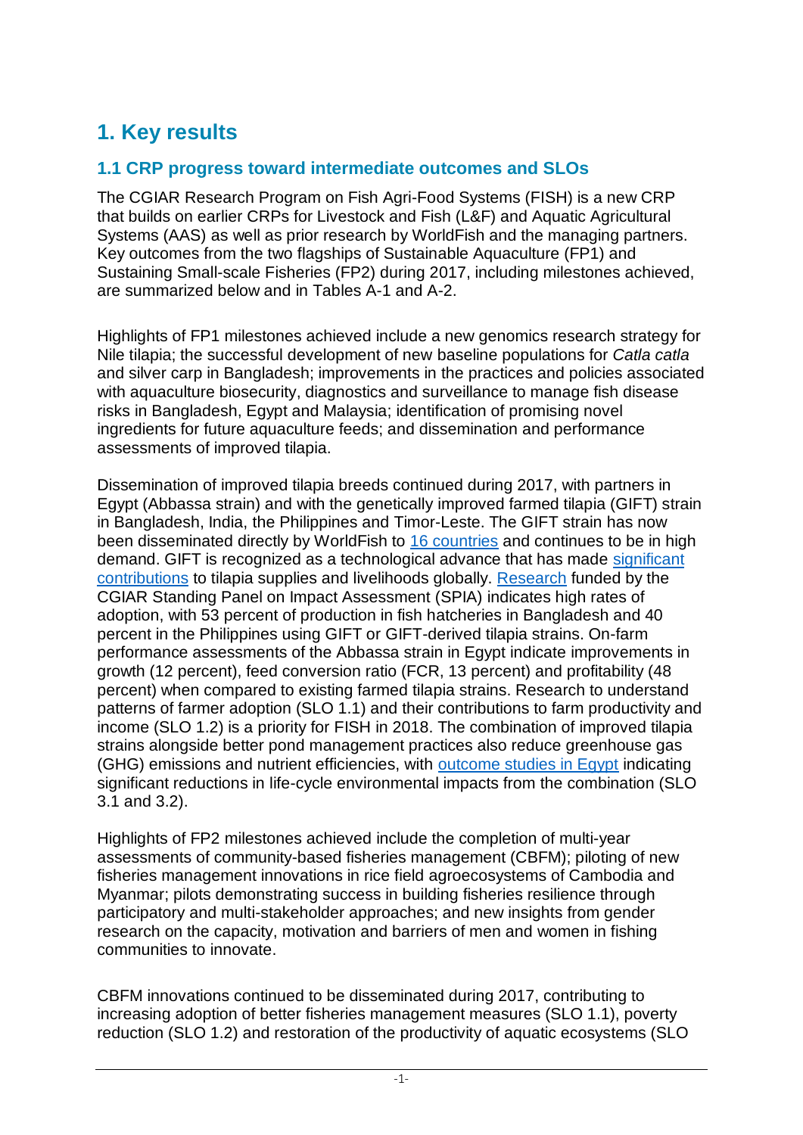## **1. Key results**

#### **1.1 CRP progress toward intermediate outcomes and SLOs**

The CGIAR Research Program on Fish Agri-Food Systems (FISH) is a new CRP that builds on earlier CRPs for Livestock and Fish (L&F) and Aquatic Agricultural Systems (AAS) as well as prior research by WorldFish and the managing partners. Key outcomes from the two flagships of Sustainable Aquaculture (FP1) and Sustaining Small-scale Fisheries (FP2) during 2017, including milestones achieved, are summarized below and in Tables A-1 and A-2.

Highlights of FP1 milestones achieved include a new genomics research strategy for Nile tilapia; the successful development of new baseline populations for *Catla catla* and silver carp in Bangladesh; improvements in the practices and policies associated with aquaculture biosecurity, diagnostics and surveillance to manage fish disease risks in Bangladesh, Egypt and Malaysia; identification of promising novel ingredients for future aquaculture feeds; and dissemination and performance assessments of improved tilapia.

Dissemination of improved tilapia breeds continued during 2017, with partners in Egypt (Abbassa strain) and with the genetically improved farmed tilapia (GIFT) strain in Bangladesh, India, the Philippines and Timor-Leste. The GIFT strain has now been disseminated directly by WorldFish to 16 countries and continues to be in high demand. GIFT is recognized as a technological advance that has made significant contributions to tilapia supplies and livelihoods globally. Research funded by the CGIAR Standing Panel on Impact Assessment (SPIA) indicates high rates of adoption, with 53 percent of production in fish hatcheries in Bangladesh and 40 percent in the Philippines using GIFT or GIFT-derived tilapia strains. On-farm performance assessments of the Abbassa strain in Egypt indicate improvements in growth (12 percent), feed conversion ratio (FCR, 13 percent) and profitability (48 percent) when compared to existing farmed tilapia strains. Research to understand patterns of farmer adoption (SLO 1.1) and their contributions to farm productivity and income (SLO 1.2) is a priority for FISH in 2018. The combination of improved tilapia strains alongside better pond management practices also reduce greenhouse gas (GHG) emissions and nutrient efficiencies, with outcome studies in Egypt indicating significant reductions in life-cycle environmental impacts from the combination (SLO 3.1 and 3.2).

Highlights of FP2 milestones achieved include the completion of multi-year assessments of community-based fisheries management (CBFM); piloting of new fisheries management innovations in rice field agroecosystems of Cambodia and Myanmar; pilots demonstrating success in building fisheries resilience through participatory and multi-stakeholder approaches; and new insights from gender research on the capacity, motivation and barriers of men and women in fishing communities to innovate.

CBFM innovations continued to be disseminated during 2017, contributing to increasing adoption of better fisheries management measures (SLO 1.1), poverty reduction (SLO 1.2) and restoration of the productivity of aquatic ecosystems (SLO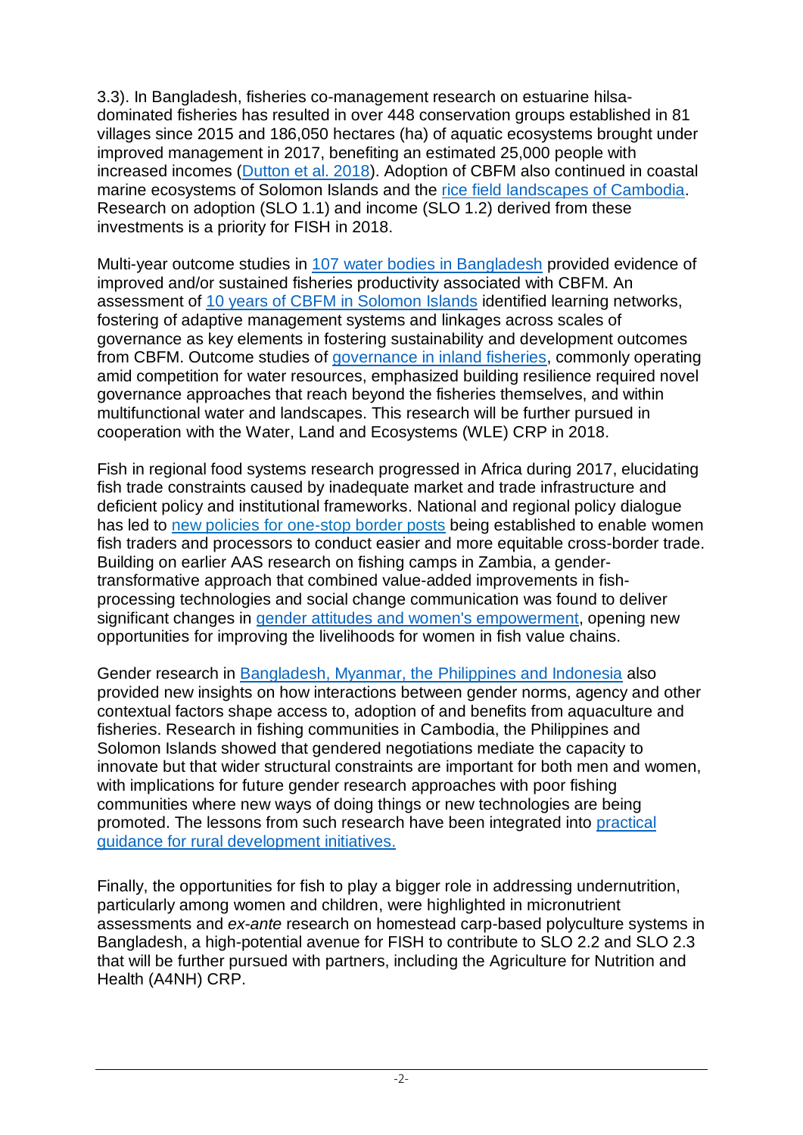3.3). In Bangladesh, fisheries co-management research on estuarine hilsadominated fisheries has resulted in over 448 conservation groups established in 81 villages since 2015 and 186,050 hectares (ha) of aquatic ecosystems brought under improved management in 2017, benefiting an estimated 25,000 people with increased incomes (Dutton et al. 2018). Adoption of CBFM also continued in coastal marine ecosystems of Solomon Islands and the rice field landscapes of Cambodia. Research on adoption (SLO 1.1) and income (SLO 1.2) derived from these investments is a priority for FISH in 2018.

Multi-year outcome studies in 107 water bodies in Bangladesh provided evidence of improved and/or sustained fisheries productivity associated with CBFM. An assessment of 10 years of CBFM in Solomon Islands identified learning networks, fostering of adaptive management systems and linkages across scales of governance as key elements in fostering sustainability and development outcomes from CBFM. Outcome studies of governance in inland fisheries, commonly operating amid competition for water resources, emphasized building resilience required novel governance approaches that reach beyond the fisheries themselves, and within multifunctional water and landscapes. This research will be further pursued in cooperation with the Water, Land and Ecosystems (WLE) CRP in 2018.

Fish in regional food systems research progressed in Africa during 2017, elucidating fish trade constraints caused by inadequate market and trade infrastructure and deficient policy and institutional frameworks. National and regional policy dialogue has led to new policies for one-stop border posts being established to enable women fish traders and processors to conduct easier and more equitable cross-border trade. Building on earlier AAS research on fishing camps in Zambia, a gendertransformative approach that combined value-added improvements in fishprocessing technologies and social change communication was found to deliver significant changes in gender attitudes and women's empowerment, opening new opportunities for improving the livelihoods for women in fish value chains.

Gender research in Bangladesh, Myanmar, the Philippines and Indonesia also provided new insights on how interactions between gender norms, agency and other contextual factors shape access to, adoption of and benefits from aquaculture and fisheries. Research in fishing communities in Cambodia, the Philippines and Solomon Islands showed that gendered negotiations mediate the capacity to innovate but that wider structural constraints are important for both men and women, with implications for future gender research approaches with poor fishing communities where new ways of doing things or new technologies are being promoted. The lessons from such research have been integrated into practical guidance for rural development initiatives.

Finally, the opportunities for fish to play a bigger role in addressing undernutrition, particularly among women and children, were highlighted in micronutrient assessments and *ex-ante* research on homestead carp-based polyculture systems in Bangladesh, a high-potential avenue for FISH to contribute to SLO 2.2 and SLO 2.3 that will be further pursued with partners, including the Agriculture for Nutrition and Health (A4NH) CRP.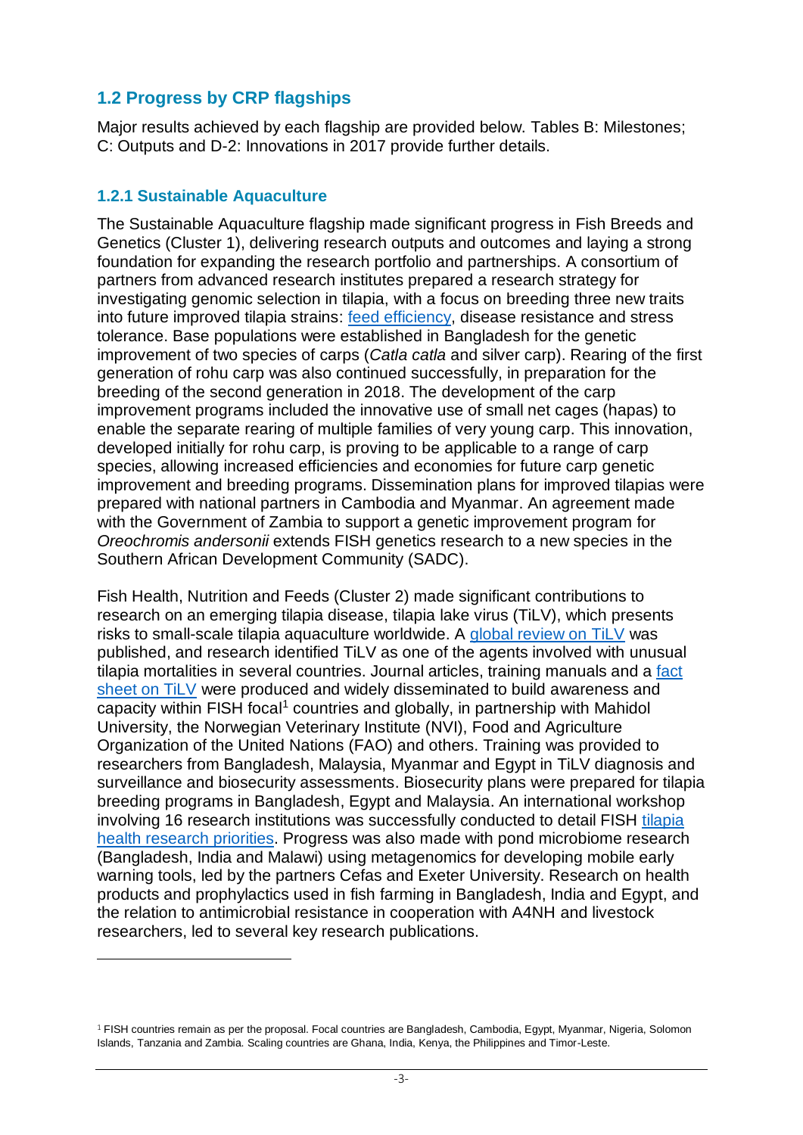### **1.2 Progress by CRP flagships**

Major results achieved by each flagship are provided below. Tables B: Milestones; C: Outputs and D-2: Innovations in 2017 provide further details.

#### **1.2.1 Sustainable Aquaculture**

1

The Sustainable Aquaculture flagship made significant progress in Fish Breeds and Genetics (Cluster 1), delivering research outputs and outcomes and laying a strong foundation for expanding the research portfolio and partnerships. A consortium of partners from advanced research institutes prepared a research strategy for investigating genomic selection in tilapia, with a focus on breeding three new traits into future improved tilapia strains: feed efficiency, disease resistance and stress tolerance. Base populations were established in Bangladesh for the genetic improvement of two species of carps (*Catla catla* and silver carp). Rearing of the first generation of rohu carp was also continued successfully, in preparation for the breeding of the second generation in 2018. The development of the carp improvement programs included the innovative use of small net cages (hapas) to enable the separate rearing of multiple families of very young carp. This innovation, developed initially for rohu carp, is proving to be applicable to a range of carp species, allowing increased efficiencies and economies for future carp genetic improvement and breeding programs. Dissemination plans for improved tilapias were prepared with national partners in Cambodia and Myanmar. An agreement made with the Government of Zambia to support a genetic improvement program for *Oreochromis andersonii* extends FISH genetics research to a new species in the Southern African Development Community (SADC).

Fish Health, Nutrition and Feeds (Cluster 2) made significant contributions to research on an emerging tilapia disease, tilapia lake virus (TiLV), which presents risks to small-scale tilapia aquaculture worldwide. A global review on TiLV was published, and research identified TiLV as one of the agents involved with unusual tilapia mortalities in several countries. Journal articles, training manuals and a fact sheet on TiLV were produced and widely disseminated to build awareness and capacity within FISH focal<sup>1</sup> countries and globally, in partnership with Mahidol University, the Norwegian Veterinary Institute (NVI), Food and Agriculture Organization of the United Nations (FAO) and others. Training was provided to researchers from Bangladesh, Malaysia, Myanmar and Egypt in TiLV diagnosis and surveillance and biosecurity assessments. Biosecurity plans were prepared for tilapia breeding programs in Bangladesh, Egypt and Malaysia. An international workshop involving 16 research institutions was successfully conducted to detail FISH tilapia health research priorities. Progress was also made with pond microbiome research (Bangladesh, India and Malawi) using metagenomics for developing mobile early warning tools, led by the partners Cefas and Exeter University. Research on health products and prophylactics used in fish farming in Bangladesh, India and Egypt, and the relation to antimicrobial resistance in cooperation with A4NH and livestock researchers, led to several key research publications.

 $1$  FISH countries remain as per the proposal. Focal countries are Bangladesh, Cambodia, Egypt, Myanmar, Nigeria, Solomon Islands, Tanzania and Zambia. Scaling countries are Ghana, India, Kenya, the Philippines and Timor-Leste.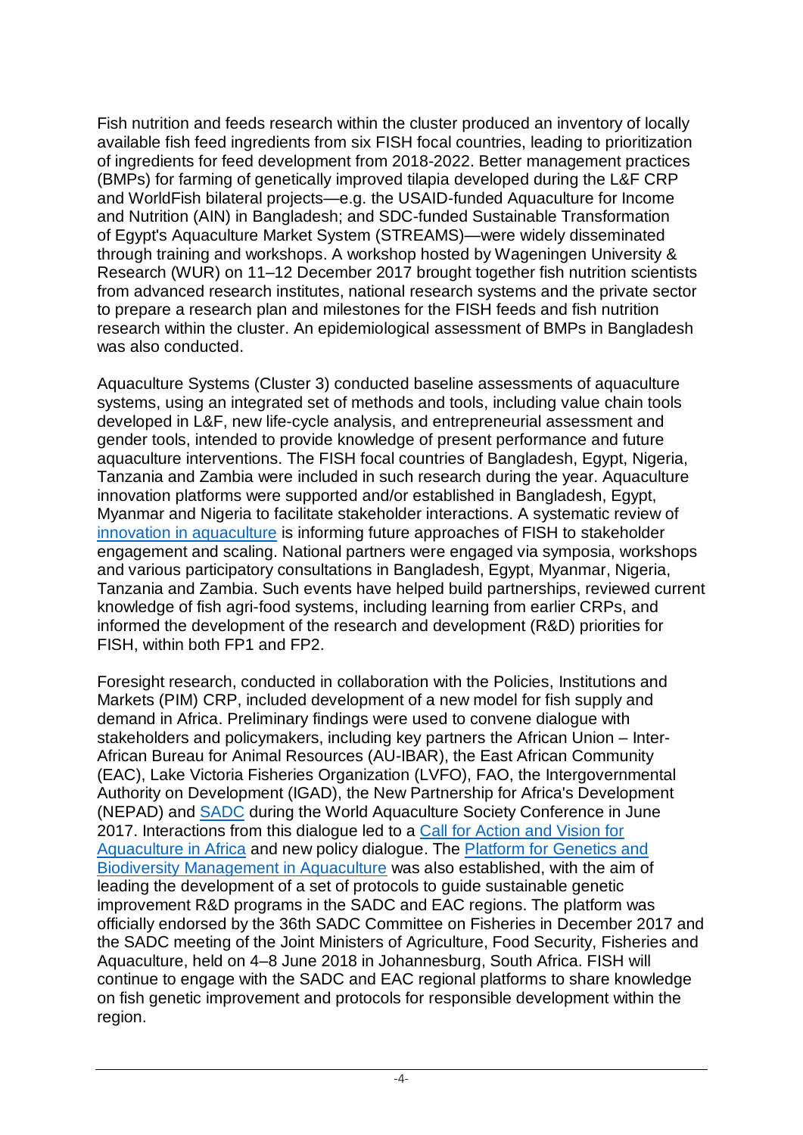Fish nutrition and feeds research within the cluster produced an inventory of locally available fish feed ingredients from six FISH focal countries, leading to prioritization of ingredients for feed development from 2018-2022. Better management practices (BMPs) for farming of genetically improved tilapia developed during the L&F CRP and WorldFish bilateral projects—e.g. the USAID-funded Aquaculture for Income and Nutrition (AIN) in Bangladesh; and SDC-funded Sustainable Transformation of Egypt's Aquaculture Market System (STREAMS)—were widely disseminated through training and workshops. A workshop hosted by Wageningen University & Research (WUR) on 11–12 December 2017 brought together fish nutrition scientists from advanced research institutes, national research systems and the private sector to prepare a research plan and milestones for the FISH feeds and fish nutrition research within the cluster. An epidemiological assessment of BMPs in Bangladesh was also conducted.

Aquaculture Systems (Cluster 3) conducted baseline assessments of aquaculture systems, using an integrated set of methods and tools, including value chain tools developed in L&F, new life-cycle analysis, and entrepreneurial assessment and gender tools, intended to provide knowledge of present performance and future aquaculture interventions. The FISH focal countries of Bangladesh, Egypt, Nigeria, Tanzania and Zambia were included in such research during the year. Aquaculture innovation platforms were supported and/or established in Bangladesh, Egypt, Myanmar and Nigeria to facilitate stakeholder interactions. A systematic review of innovation in aquaculture is informing future approaches of FISH to stakeholder engagement and scaling. National partners were engaged via symposia, workshops and various participatory consultations in Bangladesh, Egypt, Myanmar, Nigeria, Tanzania and Zambia. Such events have helped build partnerships, reviewed current knowledge of fish agri-food systems, including learning from earlier CRPs, and informed the development of the research and development (R&D) priorities for FISH, within both FP1 and FP2.

Foresight research, conducted in collaboration with the Policies, Institutions and Markets (PIM) CRP, included development of a new model for fish supply and demand in Africa. Preliminary findings were used to convene dialogue with stakeholders and policymakers, including key partners the African Union – Inter-African Bureau for Animal Resources (AU-IBAR), the East African Community (EAC), Lake Victoria Fisheries Organization (LVFO), FAO, the Intergovernmental Authority on Development (IGAD), the New Partnership for Africa's Development (NEPAD) and SADC during the World Aquaculture Society Conference in June 2017. Interactions from this dialogue led to a Call for Action and Vision for Aquaculture in Africa and new policy dialogue. The Platform for Genetics and Biodiversity Management in Aquaculture was also established, with the aim of leading the development of a set of protocols to guide sustainable genetic improvement R&D programs in the SADC and EAC regions. The platform was officially endorsed by the 36th SADC Committee on Fisheries in December 2017 and the SADC meeting of the Joint Ministers of Agriculture, Food Security, Fisheries and Aquaculture, held on 4–8 June 2018 in Johannesburg, South Africa. FISH will continue to engage with the SADC and EAC regional platforms to share knowledge on fish genetic improvement and protocols for responsible development within the region.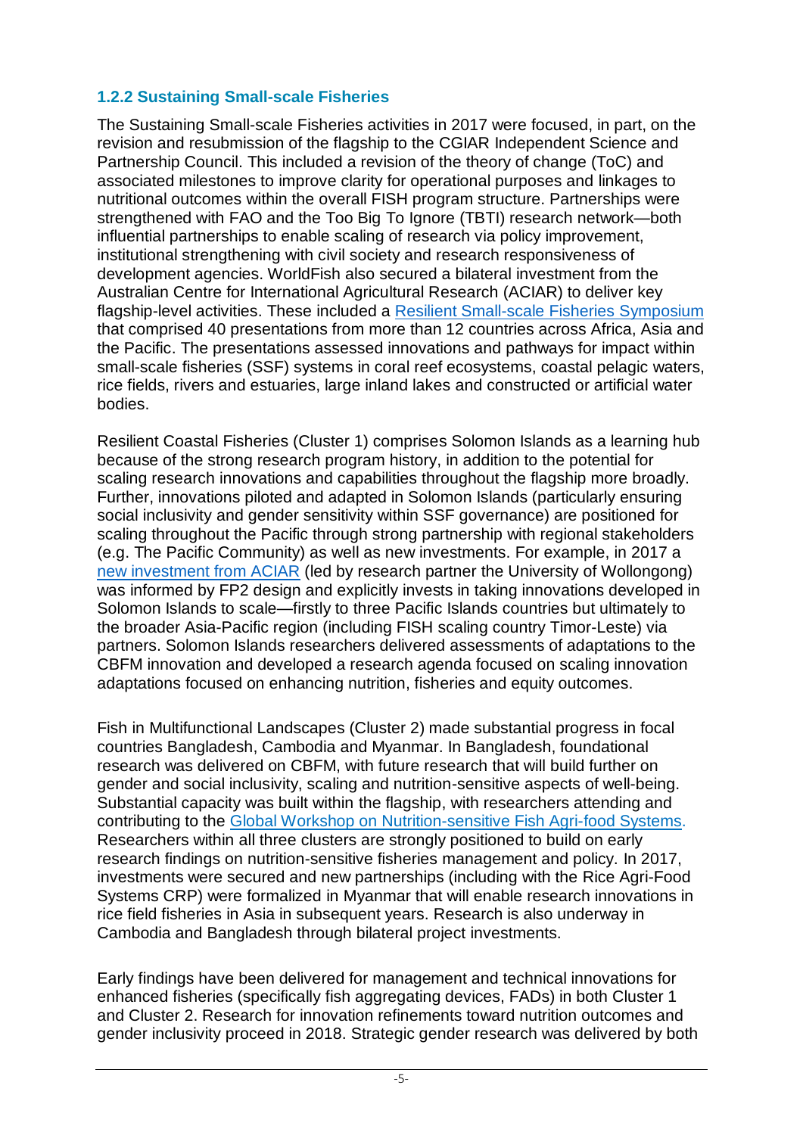#### **1.2.2 Sustaining Small-scale Fisheries**

The Sustaining Small-scale Fisheries activities in 2017 were focused, in part, on the revision and resubmission of the flagship to the CGIAR Independent Science and Partnership Council. This included a revision of the theory of change (ToC) and associated milestones to improve clarity for operational purposes and linkages to nutritional outcomes within the overall FISH program structure. Partnerships were strengthened with FAO and the Too Big To Ignore (TBTI) research network—both influential partnerships to enable scaling of research via policy improvement, institutional strengthening with civil society and research responsiveness of development agencies. WorldFish also secured a bilateral investment from the Australian Centre for International Agricultural Research (ACIAR) to deliver key flagship-level activities. These included a Resilient Small-scale Fisheries Symposium that comprised 40 presentations from more than 12 countries across Africa, Asia and the Pacific. The presentations assessed innovations and pathways for impact within small-scale fisheries (SSF) systems in coral reef ecosystems, coastal pelagic waters, rice fields, rivers and estuaries, large inland lakes and constructed or artificial water bodies.

Resilient Coastal Fisheries (Cluster 1) comprises Solomon Islands as a learning hub because of the strong research program history, in addition to the potential for scaling research innovations and capabilities throughout the flagship more broadly. Further, innovations piloted and adapted in Solomon Islands (particularly ensuring social inclusivity and gender sensitivity within SSF governance) are positioned for scaling throughout the Pacific through strong partnership with regional stakeholders (e.g. The Pacific Community) as well as new investments. For example, in 2017 a new investment from ACIAR (led by research partner the University of Wollongong) was informed by FP2 design and explicitly invests in taking innovations developed in Solomon Islands to scale—firstly to three Pacific Islands countries but ultimately to the broader Asia-Pacific region (including FISH scaling country Timor-Leste) via partners. Solomon Islands researchers delivered assessments of adaptations to the CBFM innovation and developed a research agenda focused on scaling innovation adaptations focused on enhancing nutrition, fisheries and equity outcomes.

Fish in Multifunctional Landscapes (Cluster 2) made substantial progress in focal countries Bangladesh, Cambodia and Myanmar. In Bangladesh, foundational research was delivered on CBFM, with future research that will build further on gender and social inclusivity, scaling and nutrition-sensitive aspects of well-being. Substantial capacity was built within the flagship, with researchers attending and contributing to the Global Workshop on Nutrition-sensitive Fish Agri-food Systems. Researchers within all three clusters are strongly positioned to build on early research findings on nutrition-sensitive fisheries management and policy. In 2017, investments were secured and new partnerships (including with the Rice Agri-Food Systems CRP) were formalized in Myanmar that will enable research innovations in rice field fisheries in Asia in subsequent years. Research is also underway in Cambodia and Bangladesh through bilateral project investments.

Early findings have been delivered for management and technical innovations for enhanced fisheries (specifically fish aggregating devices, FADs) in both Cluster 1 and Cluster 2. Research for innovation refinements toward nutrition outcomes and gender inclusivity proceed in 2018. Strategic gender research was delivered by both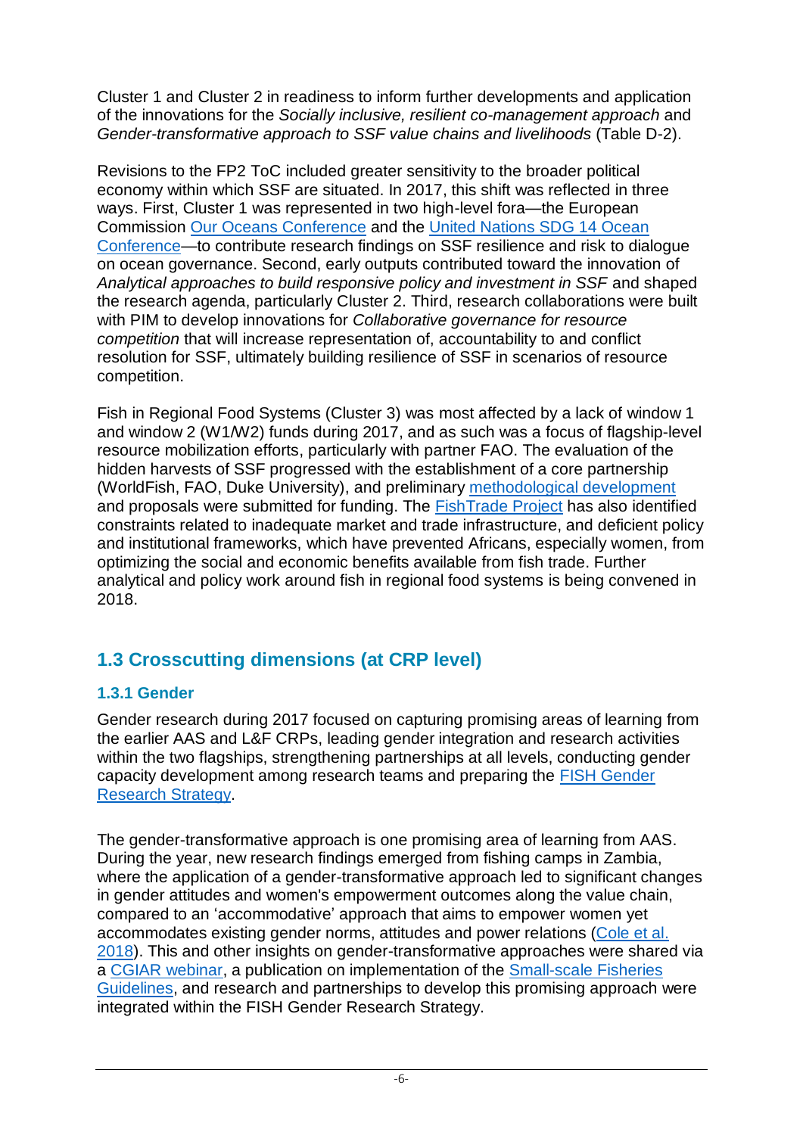Cluster 1 and Cluster 2 in readiness to inform further developments and application of the innovations for the *Socially inclusive, resilient co-management approach* and *Gender-transformative approach to SSF value chains and livelihoods* (Table D-2).

Revisions to the FP2 ToC included greater sensitivity to the broader political economy within which SSF are situated. In 2017, this shift was reflected in three ways. First, Cluster 1 was represented in two high-level fora—the European Commission Our Oceans Conference and the United Nations SDG 14 Ocean Conference—to contribute research findings on SSF resilience and risk to dialogue on ocean governance. Second, early outputs contributed toward the innovation of *Analytical approaches to build responsive policy and investment in SSF* and shaped the research agenda, particularly Cluster 2. Third, research collaborations were built with PIM to develop innovations for *Collaborative governance for resource competition* that will increase representation of, accountability to and conflict resolution for SSF, ultimately building resilience of SSF in scenarios of resource competition.

Fish in Regional Food Systems (Cluster 3) was most affected by a lack of window 1 and window 2 (W1/W2) funds during 2017, and as such was a focus of flagship-level resource mobilization efforts, particularly with partner FAO. The evaluation of the hidden harvests of SSF progressed with the establishment of a core partnership (WorldFish, FAO, Duke University), and preliminary methodological development and proposals were submitted for funding. The FishTrade Project has also identified constraints related to inadequate market and trade infrastructure, and deficient policy and institutional frameworks, which have prevented Africans, especially women, from optimizing the social and economic benefits available from fish trade. Further analytical and policy work around fish in regional food systems is being convened in 2018.

### **1.3 Crosscutting dimensions (at CRP level)**

#### **1.3.1 Gender**

Gender research during 2017 focused on capturing promising areas of learning from the earlier AAS and L&F CRPs, leading gender integration and research activities within the two flagships, strengthening partnerships at all levels, conducting gender capacity development among research teams and preparing the FISH Gender Research Strategy.

The gender-transformative approach is one promising area of learning from AAS. During the year, new research findings emerged from fishing camps in Zambia, where the application of a gender-transformative approach led to significant changes in gender attitudes and women's empowerment outcomes along the value chain, compared to an 'accommodative' approach that aims to empower women yet accommodates existing gender norms, attitudes and power relations (Cole et al. 2018). This and other insights on gender-transformative approaches were shared via a CGIAR webinar, a publication on implementation of the Small-scale Fisheries Guidelines, and research and partnerships to develop this promising approach were integrated within the FISH Gender Research Strategy.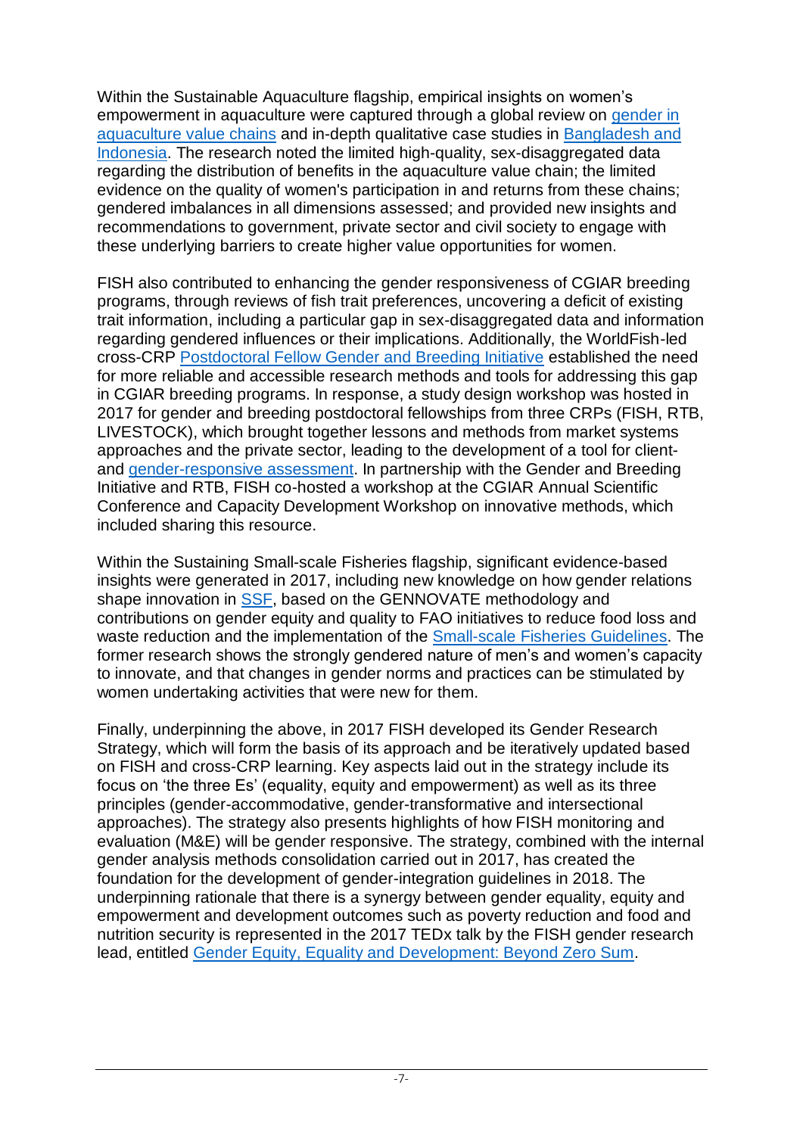Within the Sustainable Aquaculture flagship, empirical insights on women's empowerment in aquaculture were captured through a global review on gender in aquaculture value chains and in-depth qualitative case studies in Bangladesh and Indonesia. The research noted the limited high-quality, sex-disaggregated data regarding the distribution of benefits in the aquaculture value chain; the limited evidence on the quality of women's participation in and returns from these chains; gendered imbalances in all dimensions assessed; and provided new insights and recommendations to government, private sector and civil society to engage with these underlying barriers to create higher value opportunities for women.

FISH also contributed to enhancing the gender responsiveness of CGIAR breeding programs, through reviews of fish trait preferences, uncovering a deficit of existing trait information, including a particular gap in sex-disaggregated data and information regarding gendered influences or their implications. Additionally, the WorldFish-led cross-CRP Postdoctoral Fellow Gender and Breeding Initiative established the need for more reliable and accessible research methods and tools for addressing this gap in CGIAR breeding programs. In response, a study design workshop was hosted in 2017 for gender and breeding postdoctoral fellowships from three CRPs (FISH, RTB, LIVESTOCK), which brought together lessons and methods from market systems approaches and the private sector, leading to the development of a tool for clientand gender-responsive assessment. In partnership with the Gender and Breeding Initiative and RTB, FISH co-hosted a workshop at the CGIAR Annual Scientific Conference and Capacity Development Workshop on innovative methods, which included sharing this resource.

Within the Sustaining Small-scale Fisheries flagship, significant evidence-based insights were generated in 2017, including new knowledge on how gender relations shape innovation in SSF, based on the GENNOVATE methodology and contributions on gender equity and quality to FAO initiatives to reduce food loss and waste reduction and the implementation of the Small-scale Fisheries Guidelines. The former research shows the strongly gendered nature of men's and women's capacity to innovate, and that changes in gender norms and practices can be stimulated by women undertaking activities that were new for them.

Finally, underpinning the above, in 2017 FISH developed its Gender Research Strategy, which will form the basis of its approach and be iteratively updated based on FISH and cross-CRP learning. Key aspects laid out in the strategy include its focus on 'the three Es' (equality, equity and empowerment) as well as its three principles (gender-accommodative, gender-transformative and intersectional approaches). The strategy also presents highlights of how FISH monitoring and evaluation (M&E) will be gender responsive. The strategy, combined with the internal gender analysis methods consolidation carried out in 2017, has created the foundation for the development of gender-integration guidelines in 2018. The underpinning rationale that there is a synergy between gender equality, equity and empowerment and development outcomes such as poverty reduction and food and nutrition security is represented in the 2017 TEDx talk by the FISH gender research lead, entitled Gender Equity, Equality and Development: Beyond Zero Sum.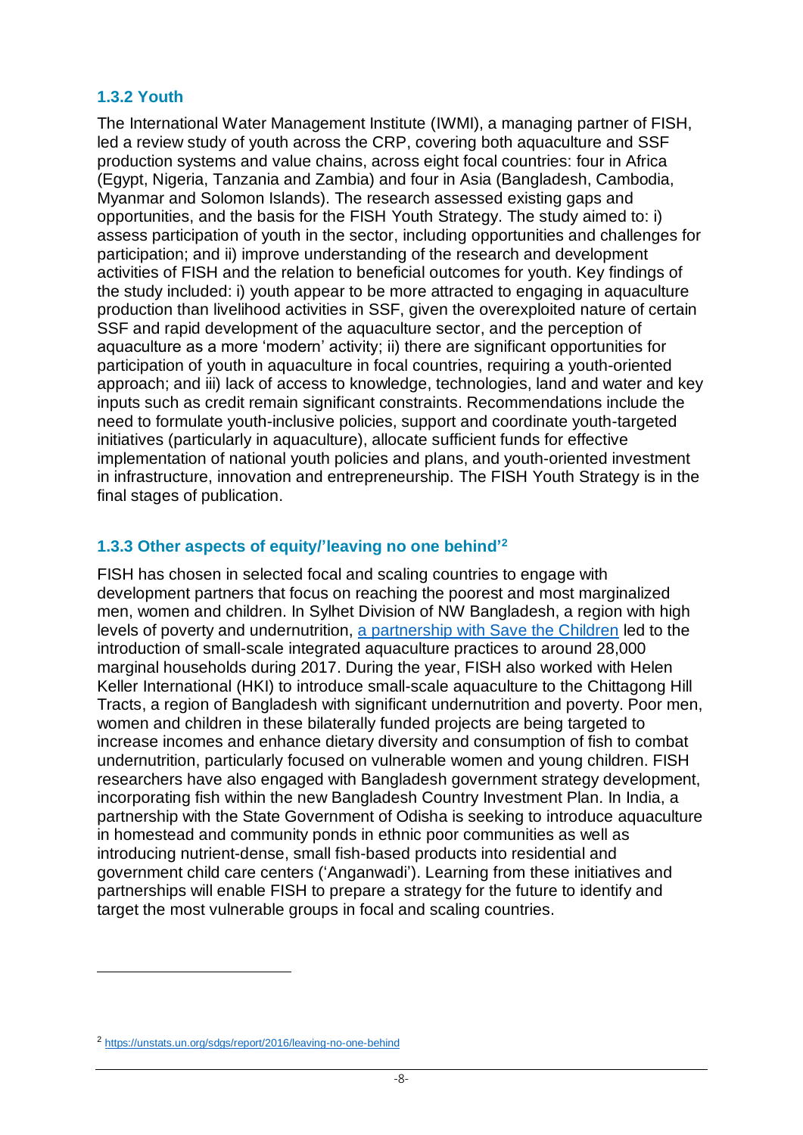#### **1.3.2 Youth**

The International Water Management Institute (IWMI), a managing partner of FISH, led a review study of youth across the CRP, covering both aquaculture and SSF production systems and value chains, across eight focal countries: four in Africa (Egypt, Nigeria, Tanzania and Zambia) and four in Asia (Bangladesh, Cambodia, Myanmar and Solomon Islands). The research assessed existing gaps and opportunities, and the basis for the FISH Youth Strategy. The study aimed to: i) assess participation of youth in the sector, including opportunities and challenges for participation; and ii) improve understanding of the research and development activities of FISH and the relation to beneficial outcomes for youth. Key findings of the study included: i) youth appear to be more attracted to engaging in aquaculture production than livelihood activities in SSF, given the overexploited nature of certain SSF and rapid development of the aquaculture sector, and the perception of aquaculture as a more 'modern' activity; ii) there are significant opportunities for participation of youth in aquaculture in focal countries, requiring a youth-oriented approach; and iii) lack of access to knowledge, technologies, land and water and key inputs such as credit remain significant constraints. Recommendations include the need to formulate youth-inclusive policies, support and coordinate youth-targeted initiatives (particularly in aquaculture), allocate sufficient funds for effective implementation of national youth policies and plans, and youth-oriented investment in infrastructure, innovation and entrepreneurship. The FISH Youth Strategy is in the final stages of publication.

#### **1.3.3 Other aspects of equity/'leaving no one behind' 2**

FISH has chosen in selected focal and scaling countries to engage with development partners that focus on reaching the poorest and most marginalized men, women and children. In Sylhet Division of NW Bangladesh, a region with high levels of poverty and undernutrition, a partnership with Save the Children led to the introduction of small-scale integrated aquaculture practices to around 28,000 marginal households during 2017. During the year, FISH also worked with Helen Keller International (HKI) to introduce small-scale aquaculture to the Chittagong Hill Tracts, a region of Bangladesh with significant undernutrition and poverty. Poor men, women and children in these bilaterally funded projects are being targeted to increase incomes and enhance dietary diversity and consumption of fish to combat undernutrition, particularly focused on vulnerable women and young children. FISH researchers have also engaged with Bangladesh government strategy development, incorporating fish within the new Bangladesh Country Investment Plan. In India, a partnership with the State Government of Odisha is seeking to introduce aquaculture in homestead and community ponds in ethnic poor communities as well as introducing nutrient-dense, small fish-based products into residential and government child care centers ('Anganwadi'). Learning from these initiatives and partnerships will enable FISH to prepare a strategy for the future to identify and target the most vulnerable groups in focal and scaling countries.

1

<sup>2</sup> https://unstats.un.org/sdgs/report/2016/leaving-no-one-behind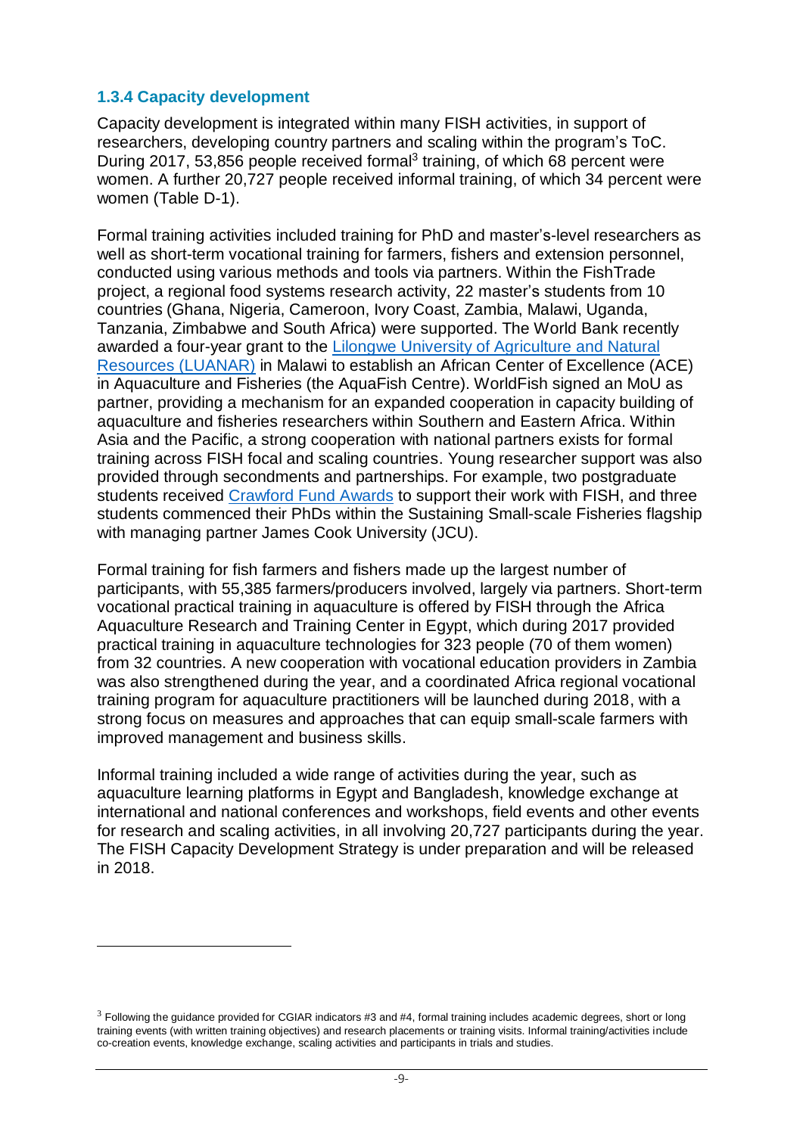#### **1.3.4 Capacity development**

1

Capacity development is integrated within many FISH activities, in support of researchers, developing country partners and scaling within the program's ToC. During 2017, 53,856 people received formal<sup>3</sup> training, of which 68 percent were women. A further 20,727 people received informal training, of which 34 percent were women (Table D-1).

Formal training activities included training for PhD and master's-level researchers as well as short-term vocational training for farmers, fishers and extension personnel, conducted using various methods and tools via partners. Within the FishTrade project, a regional food systems research activity, 22 master's students from 10 countries (Ghana, Nigeria, Cameroon, Ivory Coast, Zambia, Malawi, Uganda, Tanzania, Zimbabwe and South Africa) were supported. The World Bank recently awarded a four-year grant to the Lilongwe University of Agriculture and Natural Resources (LUANAR) in Malawi to establish an African Center of Excellence (ACE) in Aquaculture and Fisheries (the AquaFish Centre). WorldFish signed an MoU as partner, providing a mechanism for an expanded cooperation in capacity building of aquaculture and fisheries researchers within Southern and Eastern Africa. Within Asia and the Pacific, a strong cooperation with national partners exists for formal training across FISH focal and scaling countries. Young researcher support was also provided through secondments and partnerships. For example, two postgraduate students received Crawford Fund Awards to support their work with FISH, and three students commenced their PhDs within the Sustaining Small-scale Fisheries flagship with managing partner James Cook University (JCU).

Formal training for fish farmers and fishers made up the largest number of participants, with 55,385 farmers/producers involved, largely via partners. Short-term vocational practical training in aquaculture is offered by FISH through the Africa Aquaculture Research and Training Center in Egypt, which during 2017 provided practical training in aquaculture technologies for 323 people (70 of them women) from 32 countries. A new cooperation with vocational education providers in Zambia was also strengthened during the year, and a coordinated Africa regional vocational training program for aquaculture practitioners will be launched during 2018, with a strong focus on measures and approaches that can equip small-scale farmers with improved management and business skills.

Informal training included a wide range of activities during the year, such as aquaculture learning platforms in Egypt and Bangladesh, knowledge exchange at international and national conferences and workshops, field events and other events for research and scaling activities, in all involving 20,727 participants during the year. The FISH Capacity Development Strategy is under preparation and will be released in 2018.

 $3$  Following the guidance provided for CGIAR indicators #3 and #4, formal training includes academic degrees, short or long training events (with written training objectives) and research placements or training visits. Informal training/activities include co-creation events, knowledge exchange, scaling activities and participants in trials and studies.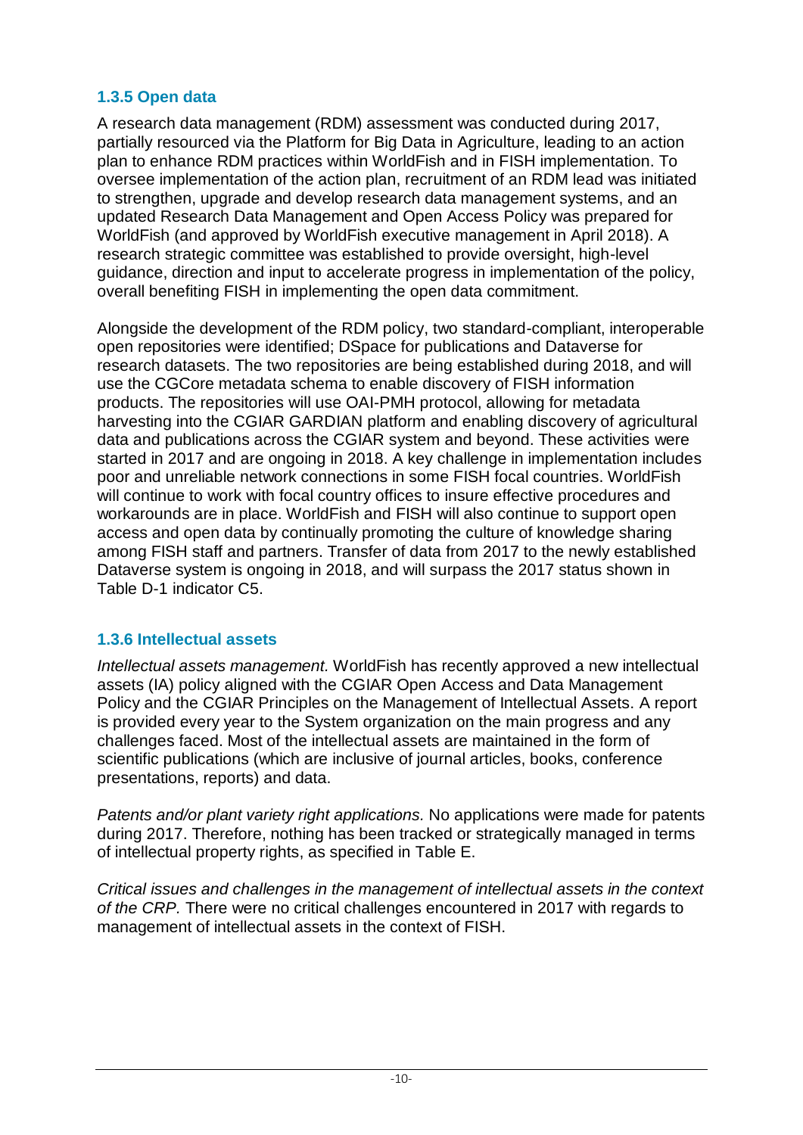#### **1.3.5 Open data**

A research data management (RDM) assessment was conducted during 2017, partially resourced via the Platform for Big Data in Agriculture, leading to an action plan to enhance RDM practices within WorldFish and in FISH implementation. To oversee implementation of the action plan, recruitment of an RDM lead was initiated to strengthen, upgrade and develop research data management systems, and an updated Research Data Management and Open Access Policy was prepared for WorldFish (and approved by WorldFish executive management in April 2018). A research strategic committee was established to provide oversight, high-level guidance, direction and input to accelerate progress in implementation of the policy, overall benefiting FISH in implementing the open data commitment.

Alongside the development of the RDM policy, two standard-compliant, interoperable open repositories were identified; DSpace for publications and Dataverse for research datasets. The two repositories are being established during 2018, and will use the CGCore metadata schema to enable discovery of FISH information products. The repositories will use OAI-PMH protocol, allowing for metadata harvesting into the CGIAR GARDIAN platform and enabling discovery of agricultural data and publications across the CGIAR system and beyond. These activities were started in 2017 and are ongoing in 2018. A key challenge in implementation includes poor and unreliable network connections in some FISH focal countries. WorldFish will continue to work with focal country offices to insure effective procedures and workarounds are in place. WorldFish and FISH will also continue to support open access and open data by continually promoting the culture of knowledge sharing among FISH staff and partners. Transfer of data from 2017 to the newly established Dataverse system is ongoing in 2018, and will surpass the 2017 status shown in Table D-1 indicator C5.

#### **1.3.6 Intellectual assets**

*Intellectual assets management.* WorldFish has recently approved a new intellectual assets (IA) policy aligned with the CGIAR Open Access and Data Management Policy and the CGIAR Principles on the Management of Intellectual Assets. A report is provided every year to the System organization on the main progress and any challenges faced. Most of the intellectual assets are maintained in the form of scientific publications (which are inclusive of journal articles, books, conference presentations, reports) and data.

*Patents and/or plant variety right applications.* No applications were made for patents during 2017. Therefore, nothing has been tracked or strategically managed in terms of intellectual property rights, as specified in Table E.

*Critical issues and challenges in the management of intellectual assets in the context of the CRP.* There were no critical challenges encountered in 2017 with regards to management of intellectual assets in the context of FISH.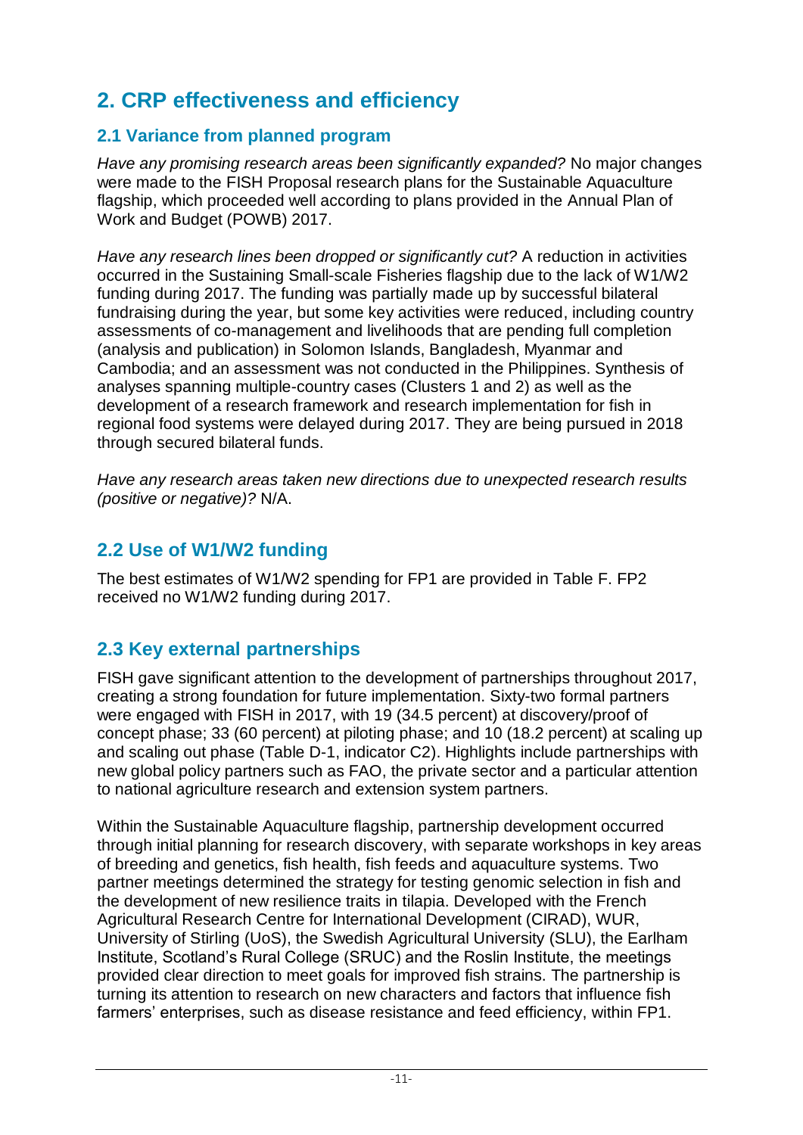# **2. CRP effectiveness and efficiency**

#### **2.1 Variance from planned program**

*Have any promising research areas been significantly expanded?* No major changes were made to the FISH Proposal research plans for the Sustainable Aquaculture flagship, which proceeded well according to plans provided in the Annual Plan of Work and Budget (POWB) 2017.

*Have any research lines been dropped or significantly cut?* A reduction in activities occurred in the Sustaining Small-scale Fisheries flagship due to the lack of W1/W2 funding during 2017. The funding was partially made up by successful bilateral fundraising during the year, but some key activities were reduced, including country assessments of co-management and livelihoods that are pending full completion (analysis and publication) in Solomon Islands, Bangladesh, Myanmar and Cambodia; and an assessment was not conducted in the Philippines. Synthesis of analyses spanning multiple-country cases (Clusters 1 and 2) as well as the development of a research framework and research implementation for fish in regional food systems were delayed during 2017. They are being pursued in 2018 through secured bilateral funds.

*Have any research areas taken new directions due to unexpected research results (positive or negative)?* N/A.

### **2.2 Use of W1/W2 funding**

The best estimates of W1/W2 spending for FP1 are provided in Table F. FP2 received no W1/W2 funding during 2017.

### **2.3 Key external partnerships**

FISH gave significant attention to the development of partnerships throughout 2017, creating a strong foundation for future implementation. Sixty-two formal partners were engaged with FISH in 2017, with 19 (34.5 percent) at discovery/proof of concept phase; 33 (60 percent) at piloting phase; and 10 (18.2 percent) at scaling up and scaling out phase (Table D-1, indicator C2). Highlights include partnerships with new global policy partners such as FAO, the private sector and a particular attention to national agriculture research and extension system partners.

Within the Sustainable Aquaculture flagship, partnership development occurred through initial planning for research discovery, with separate workshops in key areas of breeding and genetics, fish health, fish feeds and aquaculture systems. Two partner meetings determined the strategy for testing genomic selection in fish and the development of new resilience traits in tilapia. Developed with the French Agricultural Research Centre for International Development (CIRAD), WUR, University of Stirling (UoS), the Swedish Agricultural University (SLU), the Earlham Institute, Scotland's Rural College (SRUC) and the Roslin Institute, the meetings provided clear direction to meet goals for improved fish strains. The partnership is turning its attention to research on new characters and factors that influence fish farmers' enterprises, such as disease resistance and feed efficiency, within FP1.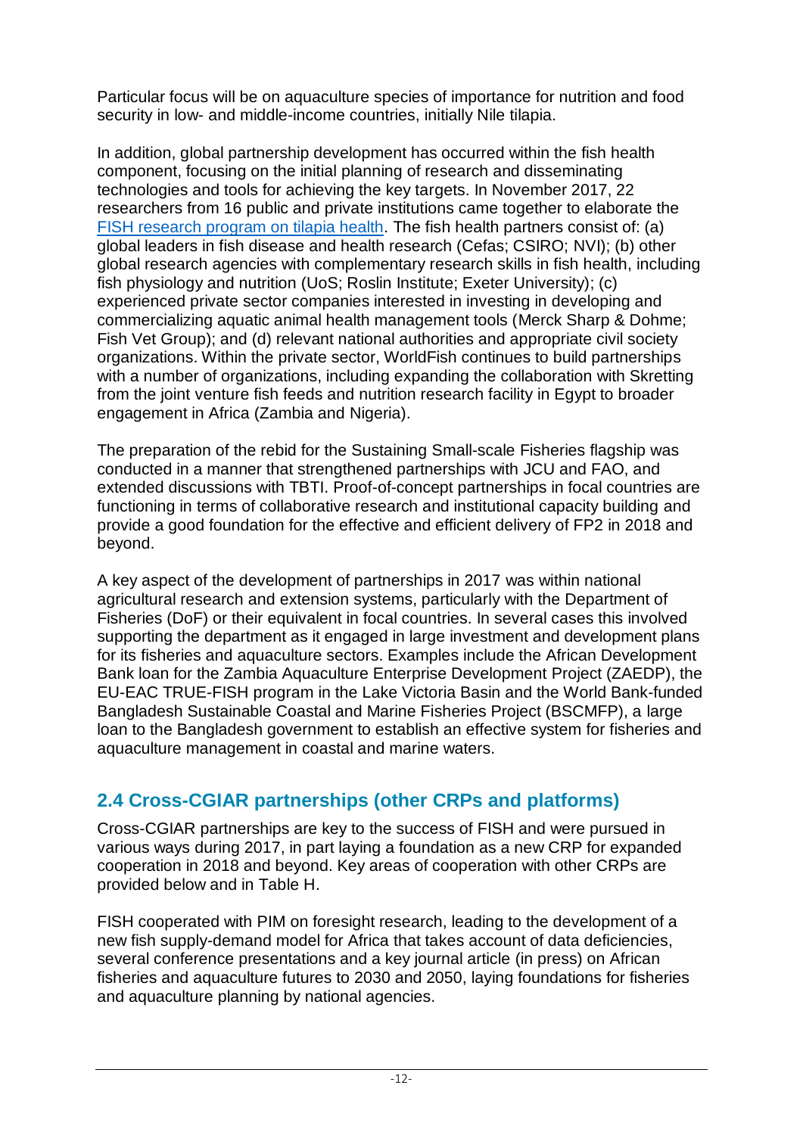Particular focus will be on aquaculture species of importance for nutrition and food security in low- and middle-income countries, initially Nile tilapia.

In addition, global partnership development has occurred within the fish health component, focusing on the initial planning of research and disseminating technologies and tools for achieving the key targets. In November 2017, 22 researchers from 16 public and private institutions came together to elaborate the FISH research program on tilapia health. The fish health partners consist of: (a) global leaders in fish disease and health research (Cefas; CSIRO; NVI); (b) other global research agencies with complementary research skills in fish health, including fish physiology and nutrition (UoS; Roslin Institute; Exeter University); (c) experienced private sector companies interested in investing in developing and commercializing aquatic animal health management tools (Merck Sharp & Dohme; Fish Vet Group); and (d) relevant national authorities and appropriate civil society organizations. Within the private sector, WorldFish continues to build partnerships with a number of organizations, including expanding the collaboration with Skretting from the joint venture fish feeds and nutrition research facility in Egypt to broader engagement in Africa (Zambia and Nigeria).

The preparation of the rebid for the Sustaining Small-scale Fisheries flagship was conducted in a manner that strengthened partnerships with JCU and FAO, and extended discussions with TBTI. Proof-of-concept partnerships in focal countries are functioning in terms of collaborative research and institutional capacity building and provide a good foundation for the effective and efficient delivery of FP2 in 2018 and beyond.

A key aspect of the development of partnerships in 2017 was within national agricultural research and extension systems, particularly with the Department of Fisheries (DoF) or their equivalent in focal countries. In several cases this involved supporting the department as it engaged in large investment and development plans for its fisheries and aquaculture sectors. Examples include the African Development Bank loan for the Zambia Aquaculture Enterprise Development Project (ZAEDP), the EU-EAC TRUE-FISH program in the Lake Victoria Basin and the World Bank-funded Bangladesh Sustainable Coastal and Marine Fisheries Project (BSCMFP), a large loan to the Bangladesh government to establish an effective system for fisheries and aquaculture management in coastal and marine waters.

### **2.4 Cross-CGIAR partnerships (other CRPs and platforms)**

Cross-CGIAR partnerships are key to the success of FISH and were pursued in various ways during 2017, in part laying a foundation as a new CRP for expanded cooperation in 2018 and beyond. Key areas of cooperation with other CRPs are provided below and in Table H.

FISH cooperated with PIM on foresight research, leading to the development of a new fish supply-demand model for Africa that takes account of data deficiencies, several conference presentations and a key journal article (in press) on African fisheries and aquaculture futures to 2030 and 2050, laying foundations for fisheries and aquaculture planning by national agencies.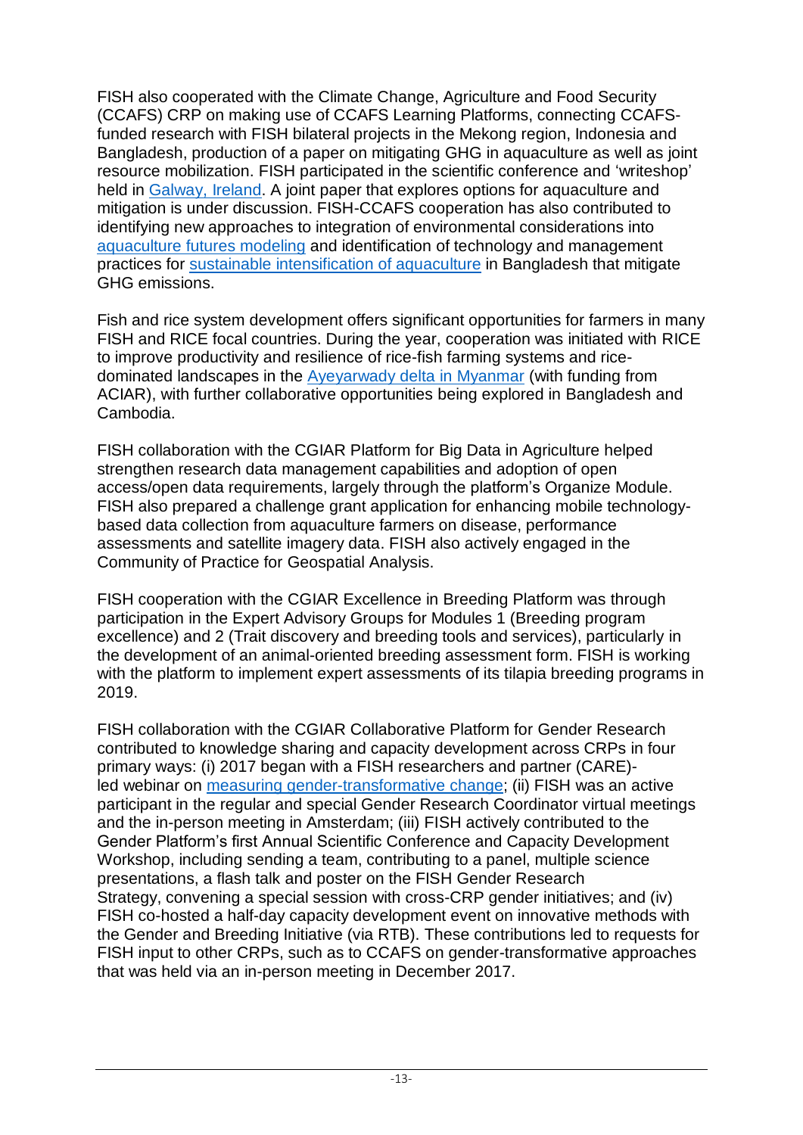FISH also cooperated with the Climate Change, Agriculture and Food Security (CCAFS) CRP on making use of CCAFS Learning Platforms, connecting CCAFSfunded research with FISH bilateral projects in the Mekong region, Indonesia and Bangladesh, production of a paper on mitigating GHG in aquaculture as well as joint resource mobilization. FISH participated in the scientific conference and 'writeshop' held in Galway, Ireland. A joint paper that explores options for aquaculture and mitigation is under discussion. FISH-CCAFS cooperation has also contributed to identifying new approaches to integration of environmental considerations into aquaculture futures modeling and identification of technology and management practices for sustainable intensification of aquaculture in Bangladesh that mitigate GHG emissions.

Fish and rice system development offers significant opportunities for farmers in many FISH and RICE focal countries. During the year, cooperation was initiated with RICE to improve productivity and resilience of rice-fish farming systems and ricedominated landscapes in the Ayeyarwady delta in Myanmar (with funding from ACIAR), with further collaborative opportunities being explored in Bangladesh and Cambodia.

FISH collaboration with the CGIAR Platform for Big Data in Agriculture helped strengthen research data management capabilities and adoption of open access/open data requirements, largely through the platform's Organize Module. FISH also prepared a challenge grant application for enhancing mobile technologybased data collection from aquaculture farmers on disease, performance assessments and satellite imagery data. FISH also actively engaged in the Community of Practice for Geospatial Analysis.

FISH cooperation with the CGIAR Excellence in Breeding Platform was through participation in the Expert Advisory Groups for Modules 1 (Breeding program excellence) and 2 (Trait discovery and breeding tools and services), particularly in the development of an animal-oriented breeding assessment form. FISH is working with the platform to implement expert assessments of its tilapia breeding programs in 2019.

FISH collaboration with the CGIAR Collaborative Platform for Gender Research contributed to knowledge sharing and capacity development across CRPs in four primary ways: (i) 2017 began with a FISH researchers and partner (CARE) led webinar on measuring gender-transformative change; (ii) FISH was an active participant in the regular and special Gender Research Coordinator virtual meetings and the in-person meeting in Amsterdam; (iii) FISH actively contributed to the Gender Platform's first Annual Scientific Conference and Capacity Development Workshop, including sending a team, contributing to a panel, multiple science presentations, a flash talk and poster on the FISH Gender Research Strategy, convening a special session with cross-CRP gender initiatives; and (iv) FISH co-hosted a half-day capacity development event on innovative methods with the Gender and Breeding Initiative (via RTB). These contributions led to requests for FISH input to other CRPs, such as to CCAFS on gender-transformative approaches that was held via an in-person meeting in December 2017.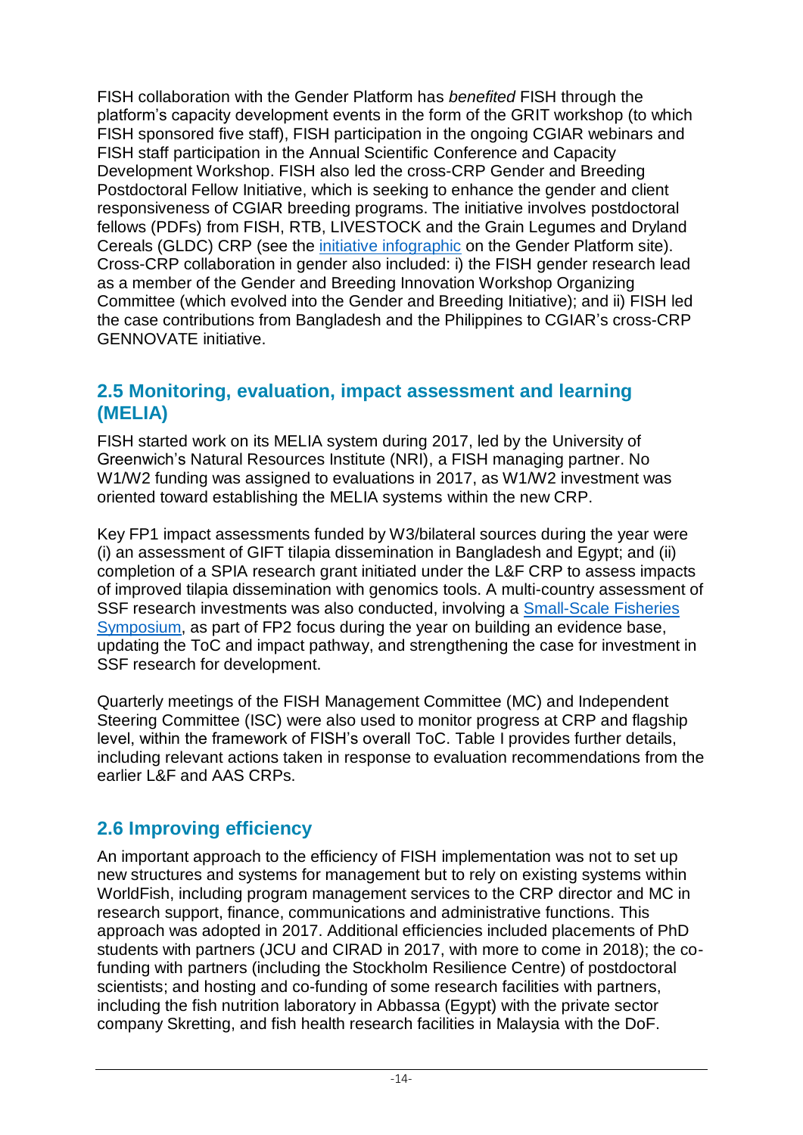FISH collaboration with the Gender Platform has *benefited* FISH through the platform's capacity development events in the form of the GRIT workshop (to which FISH sponsored five staff), FISH participation in the ongoing CGIAR webinars and FISH staff participation in the Annual Scientific Conference and Capacity Development Workshop. FISH also led the cross-CRP Gender and Breeding Postdoctoral Fellow Initiative, which is seeking to enhance the gender and client responsiveness of CGIAR breeding programs. The initiative involves postdoctoral fellows (PDFs) from FISH, RTB, LIVESTOCK and the Grain Legumes and Dryland Cereals (GLDC) CRP (see the initiative infographic on the Gender Platform site). Cross-CRP collaboration in gender also included: i) the FISH gender research lead as a member of the Gender and Breeding Innovation Workshop Organizing Committee (which evolved into the Gender and Breeding Initiative); and ii) FISH led the case contributions from Bangladesh and the Philippines to CGIAR's cross-CRP GENNOVATE initiative.

### **2.5 Monitoring, evaluation, impact assessment and learning (MELIA)**

FISH started work on its MELIA system during 2017, led by the University of Greenwich's Natural Resources Institute (NRI), a FISH managing partner. No W1/W2 funding was assigned to evaluations in 2017, as W1/W2 investment was oriented toward establishing the MELIA systems within the new CRP.

Key FP1 impact assessments funded by W3/bilateral sources during the year were (i) an assessment of GIFT tilapia dissemination in Bangladesh and Egypt; and (ii) completion of a SPIA research grant initiated under the L&F CRP to assess impacts of improved tilapia dissemination with genomics tools. A multi-country assessment of SSF research investments was also conducted, involving a Small-Scale Fisheries Symposium, as part of FP2 focus during the year on building an evidence base. updating the ToC and impact pathway, and strengthening the case for investment in SSF research for development.

Quarterly meetings of the FISH Management Committee (MC) and Independent Steering Committee (ISC) were also used to monitor progress at CRP and flagship level, within the framework of FISH's overall ToC. Table I provides further details, including relevant actions taken in response to evaluation recommendations from the earlier L&F and AAS CRPs.

### **2.6 Improving efficiency**

An important approach to the efficiency of FISH implementation was not to set up new structures and systems for management but to rely on existing systems within WorldFish, including program management services to the CRP director and MC in research support, finance, communications and administrative functions. This approach was adopted in 2017. Additional efficiencies included placements of PhD students with partners (JCU and CIRAD in 2017, with more to come in 2018); the cofunding with partners (including the Stockholm Resilience Centre) of postdoctoral scientists; and hosting and co-funding of some research facilities with partners, including the fish nutrition laboratory in Abbassa (Egypt) with the private sector company Skretting, and fish health research facilities in Malaysia with the DoF.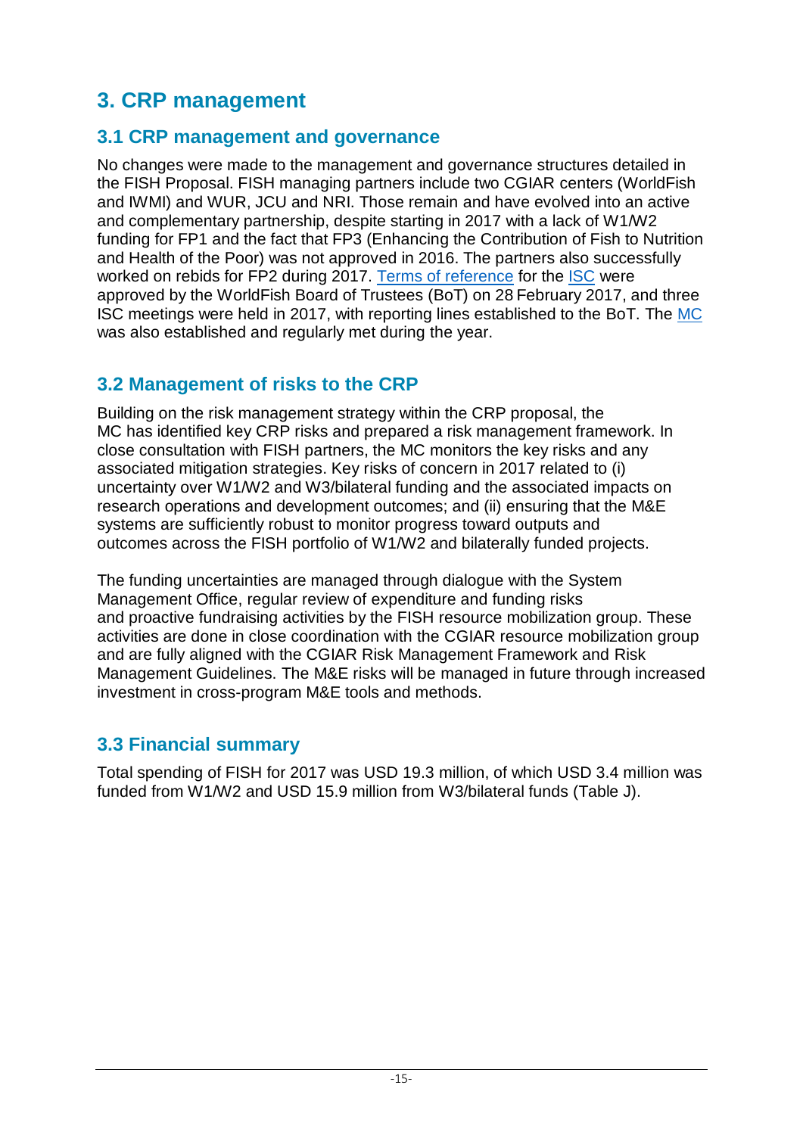# **3. CRP management**

### **3.1 CRP management and governance**

No changes were made to the management and governance structures detailed in the FISH Proposal. FISH managing partners include two CGIAR centers (WorldFish and IWMI) and WUR, JCU and NRI. Those remain and have evolved into an active and complementary partnership, despite starting in 2017 with a lack of W1/W2 funding for FP1 and the fact that FP3 (Enhancing the Contribution of Fish to Nutrition and Health of the Poor) was not approved in 2016. The partners also successfully worked on rebids for FP2 during 2017. Terms of reference for the ISC were approved by the WorldFish Board of Trustees (BoT) on 28 February 2017, and three ISC meetings were held in 2017, with reporting lines established to the BoT. The MC was also established and regularly met during the year.

### **3.2 Management of risks to the CRP**

Building on the risk management strategy within the CRP proposal, the MC has identified key CRP risks and prepared a risk management framework. In close consultation with FISH partners, the MC monitors the key risks and any associated mitigation strategies. Key risks of concern in 2017 related to (i) uncertainty over W1/W2 and W3/bilateral funding and the associated impacts on research operations and development outcomes; and (ii) ensuring that the M&E systems are sufficiently robust to monitor progress toward outputs and outcomes across the FISH portfolio of W1/W2 and bilaterally funded projects.

The funding uncertainties are managed through dialogue with the System Management Office, regular review of expenditure and funding risks and proactive fundraising activities by the FISH resource mobilization group. These activities are done in close coordination with the CGIAR resource mobilization group and are fully aligned with the CGIAR Risk Management Framework and Risk Management Guidelines. The M&E risks will be managed in future through increased investment in cross-program M&E tools and methods.

### **3.3 Financial summary**

Total spending of FISH for 2017 was USD 19.3 million, of which USD 3.4 million was funded from W1/W2 and USD 15.9 million from W3/bilateral funds (Table J).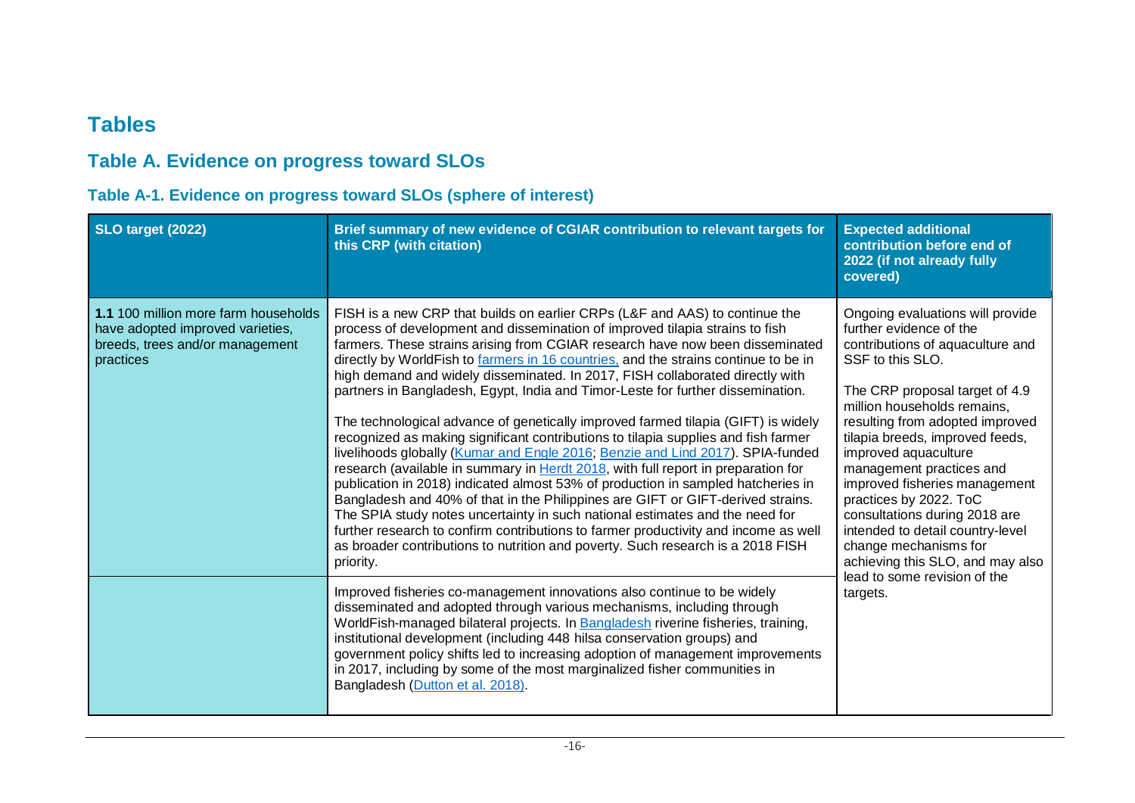## **Tables**

## **Table A. Evidence on progress toward SLOs**

#### **Table A-1. Evidence on progress toward SLOs (sphere of interest)**

| SLO target (2022)                                                                                                        | Brief summary of new evidence of CGIAR contribution to relevant targets for<br>this CRP (with citation)                                                                                                                                                                                                                                                                                                                                                                                                                                                                                                                                                                                                                                                                                                                                                                                                                                                                                                                                                                                                                                                                                                                                                                                                 | <b>Expected additional</b><br>contribution before end of<br>2022 (if not already fully<br>covered)                                                                                                                                                                                                                                                                                                                                                                                                                                          |
|--------------------------------------------------------------------------------------------------------------------------|---------------------------------------------------------------------------------------------------------------------------------------------------------------------------------------------------------------------------------------------------------------------------------------------------------------------------------------------------------------------------------------------------------------------------------------------------------------------------------------------------------------------------------------------------------------------------------------------------------------------------------------------------------------------------------------------------------------------------------------------------------------------------------------------------------------------------------------------------------------------------------------------------------------------------------------------------------------------------------------------------------------------------------------------------------------------------------------------------------------------------------------------------------------------------------------------------------------------------------------------------------------------------------------------------------|---------------------------------------------------------------------------------------------------------------------------------------------------------------------------------------------------------------------------------------------------------------------------------------------------------------------------------------------------------------------------------------------------------------------------------------------------------------------------------------------------------------------------------------------|
| 1.1 100 million more farm households<br>have adopted improved varieties,<br>breeds, trees and/or management<br>practices | FISH is a new CRP that builds on earlier CRPs (L&F and AAS) to continue the<br>process of development and dissemination of improved tilapia strains to fish<br>farmers. These strains arising from CGIAR research have now been disseminated<br>directly by WorldFish to farmers in 16 countries, and the strains continue to be in<br>high demand and widely disseminated. In 2017, FISH collaborated directly with<br>partners in Bangladesh, Egypt, India and Timor-Leste for further dissemination.<br>The technological advance of genetically improved farmed tilapia (GIFT) is widely<br>recognized as making significant contributions to tilapia supplies and fish farmer<br>livelihoods globally (Kumar and Engle 2016; Benzie and Lind 2017). SPIA-funded<br>research (available in summary in Herdt 2018, with full report in preparation for<br>publication in 2018) indicated almost 53% of production in sampled hatcheries in<br>Bangladesh and 40% of that in the Philippines are GIFT or GIFT-derived strains.<br>The SPIA study notes uncertainty in such national estimates and the need for<br>further research to confirm contributions to farmer productivity and income as well<br>as broader contributions to nutrition and poverty. Such research is a 2018 FISH<br>priority. | Ongoing evaluations will provide<br>further evidence of the<br>contributions of aquaculture and<br>SSF to this SLO.<br>The CRP proposal target of 4.9<br>million households remains,<br>resulting from adopted improved<br>tilapia breeds, improved feeds,<br>improved aquaculture<br>management practices and<br>improved fisheries management<br>practices by 2022. ToC<br>consultations during 2018 are<br>intended to detail country-level<br>change mechanisms for<br>achieving this SLO, and may also<br>lead to some revision of the |
|                                                                                                                          | Improved fisheries co-management innovations also continue to be widely<br>disseminated and adopted through various mechanisms, including through<br>WorldFish-managed bilateral projects. In Bangladesh riverine fisheries, training,<br>institutional development (including 448 hilsa conservation groups) and<br>government policy shifts led to increasing adoption of management improvements<br>in 2017, including by some of the most marginalized fisher communities in<br>Bangladesh (Dutton et al. 2018).                                                                                                                                                                                                                                                                                                                                                                                                                                                                                                                                                                                                                                                                                                                                                                                    | targets.                                                                                                                                                                                                                                                                                                                                                                                                                                                                                                                                    |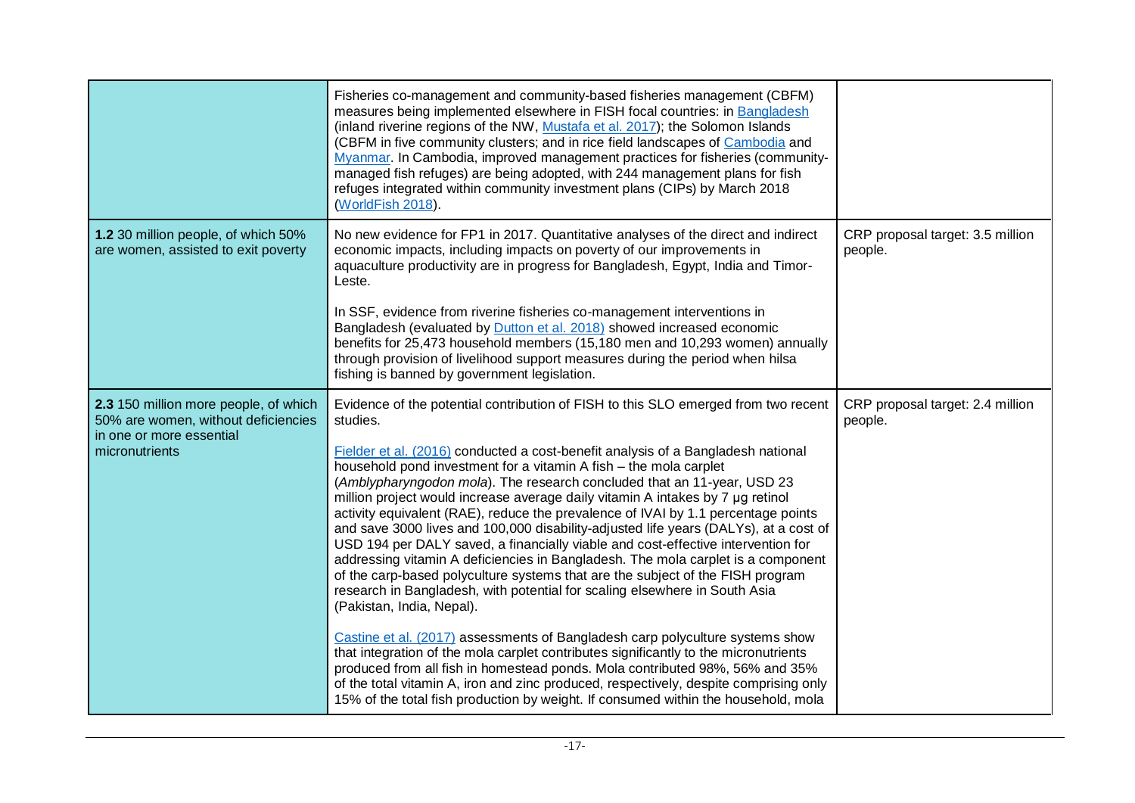|                                                                                                                            | Fisheries co-management and community-based fisheries management (CBFM)<br>measures being implemented elsewhere in FISH focal countries: in Bangladesh<br>(inland riverine regions of the NW, Mustafa et al. 2017); the Solomon Islands<br>(CBFM in five community clusters; and in rice field landscapes of Cambodia and<br>Myanmar. In Cambodia, improved management practices for fisheries (community-<br>managed fish refuges) are being adopted, with 244 management plans for fish<br>refuges integrated within community investment plans (CIPs) by March 2018<br>(WorldFish 2018).                                                                                                                                                                                                                                                                                                                                                                                                                                                                                                                                                                                                                                                                                                                                                                                                                    |                                             |
|----------------------------------------------------------------------------------------------------------------------------|----------------------------------------------------------------------------------------------------------------------------------------------------------------------------------------------------------------------------------------------------------------------------------------------------------------------------------------------------------------------------------------------------------------------------------------------------------------------------------------------------------------------------------------------------------------------------------------------------------------------------------------------------------------------------------------------------------------------------------------------------------------------------------------------------------------------------------------------------------------------------------------------------------------------------------------------------------------------------------------------------------------------------------------------------------------------------------------------------------------------------------------------------------------------------------------------------------------------------------------------------------------------------------------------------------------------------------------------------------------------------------------------------------------|---------------------------------------------|
| 1.2 30 million people, of which 50%<br>are women, assisted to exit poverty                                                 | No new evidence for FP1 in 2017. Quantitative analyses of the direct and indirect<br>economic impacts, including impacts on poverty of our improvements in<br>aquaculture productivity are in progress for Bangladesh, Egypt, India and Timor-<br>Leste.<br>In SSF, evidence from riverine fisheries co-management interventions in<br>Bangladesh (evaluated by Dutton et al. 2018) showed increased economic<br>benefits for 25,473 household members (15,180 men and 10,293 women) annually<br>through provision of livelihood support measures during the period when hilsa                                                                                                                                                                                                                                                                                                                                                                                                                                                                                                                                                                                                                                                                                                                                                                                                                                 | CRP proposal target: 3.5 million<br>people. |
|                                                                                                                            | fishing is banned by government legislation.                                                                                                                                                                                                                                                                                                                                                                                                                                                                                                                                                                                                                                                                                                                                                                                                                                                                                                                                                                                                                                                                                                                                                                                                                                                                                                                                                                   |                                             |
| 2.3 150 million more people, of which<br>50% are women, without deficiencies<br>in one or more essential<br>micronutrients | Evidence of the potential contribution of FISH to this SLO emerged from two recent<br>studies.<br>Fielder et al. (2016) conducted a cost-benefit analysis of a Bangladesh national<br>household pond investment for a vitamin A fish - the mola carplet<br>(Amblypharyngodon mola). The research concluded that an 11-year, USD 23<br>million project would increase average daily vitamin A intakes by 7 µg retinol<br>activity equivalent (RAE), reduce the prevalence of IVAI by 1.1 percentage points<br>and save 3000 lives and 100,000 disability-adjusted life years (DALYs), at a cost of<br>USD 194 per DALY saved, a financially viable and cost-effective intervention for<br>addressing vitamin A deficiencies in Bangladesh. The mola carplet is a component<br>of the carp-based polyculture systems that are the subject of the FISH program<br>research in Bangladesh, with potential for scaling elsewhere in South Asia<br>(Pakistan, India, Nepal).<br>Castine et al. (2017) assessments of Bangladesh carp polyculture systems show<br>that integration of the mola carplet contributes significantly to the micronutrients<br>produced from all fish in homestead ponds. Mola contributed 98%, 56% and 35%<br>of the total vitamin A, iron and zinc produced, respectively, despite comprising only<br>15% of the total fish production by weight. If consumed within the household, mola | CRP proposal target: 2.4 million<br>people. |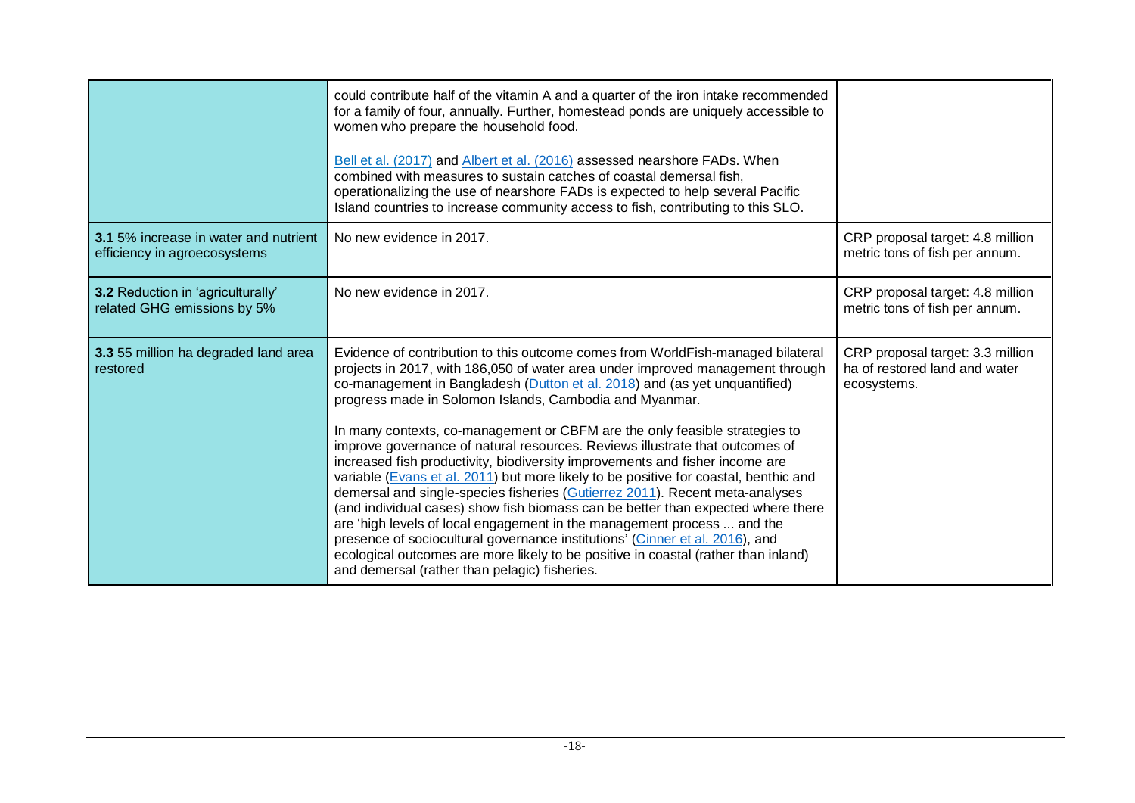|                                                                              | could contribute half of the vitamin A and a quarter of the iron intake recommended<br>for a family of four, annually. Further, homestead ponds are uniquely accessible to<br>women who prepare the household food.                                                                                                                                                                                                                                                                                                                                                                                                                                                                                                                                                                                       |                                                                                  |
|------------------------------------------------------------------------------|-----------------------------------------------------------------------------------------------------------------------------------------------------------------------------------------------------------------------------------------------------------------------------------------------------------------------------------------------------------------------------------------------------------------------------------------------------------------------------------------------------------------------------------------------------------------------------------------------------------------------------------------------------------------------------------------------------------------------------------------------------------------------------------------------------------|----------------------------------------------------------------------------------|
|                                                                              | Bell et al. (2017) and Albert et al. (2016) assessed nearshore FADs. When<br>combined with measures to sustain catches of coastal demersal fish,<br>operationalizing the use of nearshore FADs is expected to help several Pacific<br>Island countries to increase community access to fish, contributing to this SLO.                                                                                                                                                                                                                                                                                                                                                                                                                                                                                    |                                                                                  |
| <b>3.1</b> 5% increase in water and nutrient<br>efficiency in agroecosystems | No new evidence in 2017.                                                                                                                                                                                                                                                                                                                                                                                                                                                                                                                                                                                                                                                                                                                                                                                  | CRP proposal target: 4.8 million<br>metric tons of fish per annum.               |
| 3.2 Reduction in 'agriculturally'<br>related GHG emissions by 5%             | No new evidence in 2017.                                                                                                                                                                                                                                                                                                                                                                                                                                                                                                                                                                                                                                                                                                                                                                                  | CRP proposal target: 4.8 million<br>metric tons of fish per annum.               |
| 3.3 55 million ha degraded land area<br>restored                             | Evidence of contribution to this outcome comes from WorldFish-managed bilateral<br>projects in 2017, with 186,050 of water area under improved management through<br>co-management in Bangladesh (Dutton et al. 2018) and (as yet unquantified)<br>progress made in Solomon Islands, Cambodia and Myanmar.                                                                                                                                                                                                                                                                                                                                                                                                                                                                                                | CRP proposal target: 3.3 million<br>ha of restored land and water<br>ecosystems. |
|                                                                              | In many contexts, co-management or CBFM are the only feasible strategies to<br>improve governance of natural resources. Reviews illustrate that outcomes of<br>increased fish productivity, biodiversity improvements and fisher income are<br>variable (Evans et al. 2011) but more likely to be positive for coastal, benthic and<br>demersal and single-species fisheries (Gutierrez 2011). Recent meta-analyses<br>(and individual cases) show fish biomass can be better than expected where there<br>are 'high levels of local engagement in the management process  and the<br>presence of sociocultural governance institutions' (Cinner et al. 2016), and<br>ecological outcomes are more likely to be positive in coastal (rather than inland)<br>and demersal (rather than pelagic) fisheries. |                                                                                  |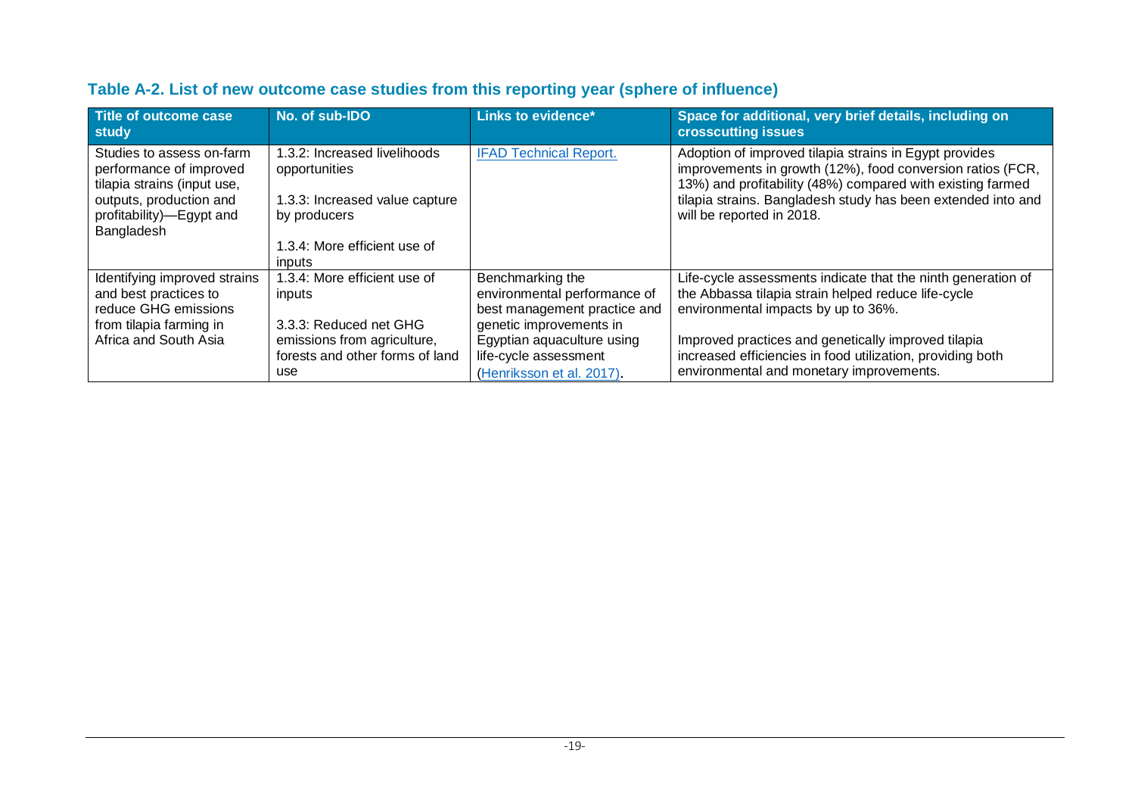| Title of outcome case<br>study                                                                                                                           | No. of sub-IDO                                                                                                                            | <b>Links to evidence*</b>                                                                                                                                                                       | Space for additional, very brief details, including on<br><b>crosscutting issues</b>                                                                                                                                                                                                                                        |
|----------------------------------------------------------------------------------------------------------------------------------------------------------|-------------------------------------------------------------------------------------------------------------------------------------------|-------------------------------------------------------------------------------------------------------------------------------------------------------------------------------------------------|-----------------------------------------------------------------------------------------------------------------------------------------------------------------------------------------------------------------------------------------------------------------------------------------------------------------------------|
| Studies to assess on-farm<br>performance of improved<br>tilapia strains (input use,<br>outputs, production and<br>profitability)—Egypt and<br>Bangladesh | 1.3.2: Increased livelihoods<br>opportunities<br>1.3.3: Increased value capture<br>by producers<br>1.3.4: More efficient use of<br>inputs | <b>IFAD Technical Report.</b>                                                                                                                                                                   | Adoption of improved tilapia strains in Egypt provides<br>improvements in growth (12%), food conversion ratios (FCR,<br>13%) and profitability (48%) compared with existing farmed<br>tilapia strains. Bangladesh study has been extended into and<br>will be reported in 2018.                                             |
| Identifying improved strains<br>and best practices to<br>reduce GHG emissions<br>from tilapia farming in<br>Africa and South Asia                        | 1.3.4: More efficient use of<br>inputs<br>3.3.3: Reduced net GHG<br>emissions from agriculture,<br>forests and other forms of land<br>use | Benchmarking the<br>environmental performance of<br>best management practice and<br>genetic improvements in<br>Egyptian aquaculture using<br>life-cycle assessment<br>(Henriksson et al. 2017). | Life-cycle assessments indicate that the ninth generation of<br>the Abbassa tilapia strain helped reduce life-cycle<br>environmental impacts by up to 36%.<br>Improved practices and genetically improved tilapia<br>increased efficiencies in food utilization, providing both<br>environmental and monetary improvements. |

### **Table A-2. List of new outcome case studies from this reporting year (sphere of influence)**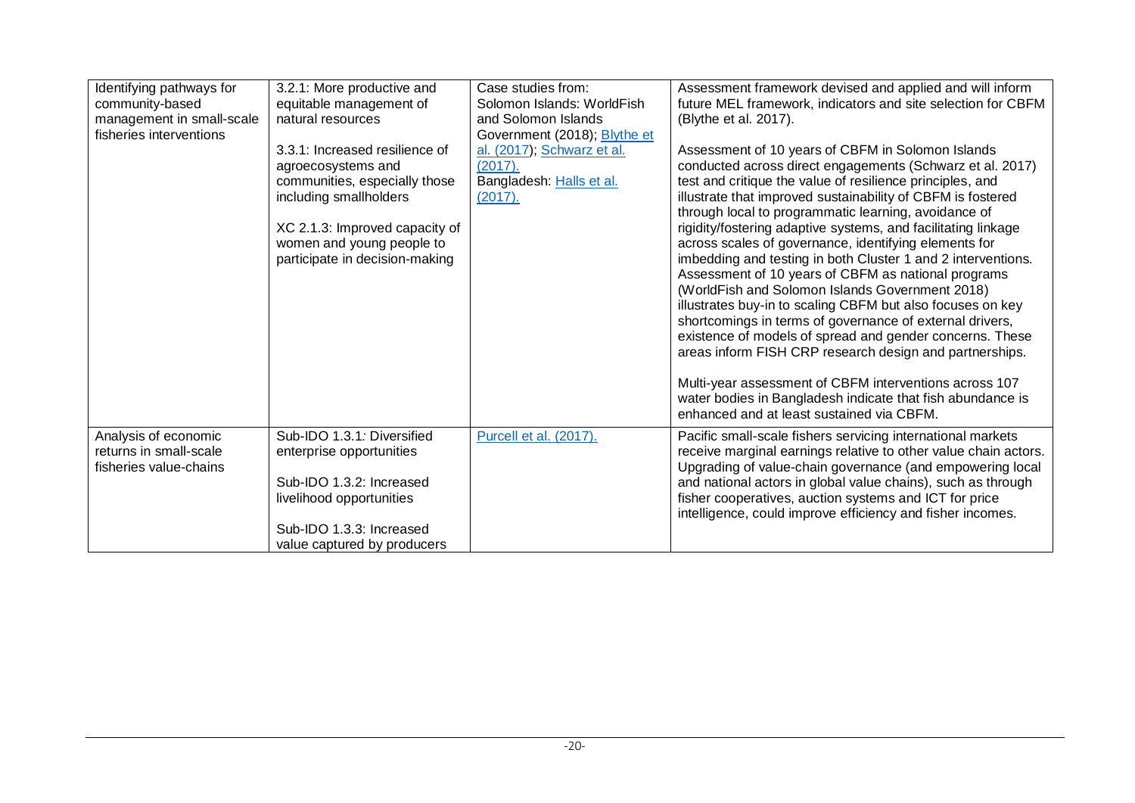| Identifying pathways for<br>community-based<br>management in small-scale<br>fisheries interventions | 3.2.1: More productive and<br>equitable management of<br>natural resources<br>3.3.1: Increased resilience of<br>agroecosystems and<br>communities, especially those<br>including smallholders<br>XC 2.1.3: Improved capacity of<br>women and young people to<br>participate in decision-making | Case studies from:<br>Solomon Islands: WorldFish<br>and Solomon Islands<br>Government (2018); Blythe et<br>al. (2017); Schwarz et al.<br>(2017).<br>Bangladesh: Halls et al.<br>(2017). | Assessment framework devised and applied and will inform<br>future MEL framework, indicators and site selection for CBFM<br>(Blythe et al. 2017).<br>Assessment of 10 years of CBFM in Solomon Islands<br>conducted across direct engagements (Schwarz et al. 2017)<br>test and critique the value of resilience principles, and<br>illustrate that improved sustainability of CBFM is fostered<br>through local to programmatic learning, avoidance of<br>rigidity/fostering adaptive systems, and facilitating linkage<br>across scales of governance, identifying elements for<br>imbedding and testing in both Cluster 1 and 2 interventions.<br>Assessment of 10 years of CBFM as national programs<br>(WorldFish and Solomon Islands Government 2018)<br>illustrates buy-in to scaling CBFM but also focuses on key<br>shortcomings in terms of governance of external drivers,<br>existence of models of spread and gender concerns. These<br>areas inform FISH CRP research design and partnerships.<br>Multi-year assessment of CBFM interventions across 107<br>water bodies in Bangladesh indicate that fish abundance is<br>enhanced and at least sustained via CBFM. |
|-----------------------------------------------------------------------------------------------------|------------------------------------------------------------------------------------------------------------------------------------------------------------------------------------------------------------------------------------------------------------------------------------------------|-----------------------------------------------------------------------------------------------------------------------------------------------------------------------------------------|-----------------------------------------------------------------------------------------------------------------------------------------------------------------------------------------------------------------------------------------------------------------------------------------------------------------------------------------------------------------------------------------------------------------------------------------------------------------------------------------------------------------------------------------------------------------------------------------------------------------------------------------------------------------------------------------------------------------------------------------------------------------------------------------------------------------------------------------------------------------------------------------------------------------------------------------------------------------------------------------------------------------------------------------------------------------------------------------------------------------------------------------------------------------------------------|
| Analysis of economic<br>returns in small-scale<br>fisheries value-chains                            | Sub-IDO 1.3.1: Diversified<br>enterprise opportunities<br>Sub-IDO 1.3.2: Increased<br>livelihood opportunities<br>Sub-IDO 1.3.3: Increased<br>value captured by producers                                                                                                                      | Purcell et al. (2017).                                                                                                                                                                  | Pacific small-scale fishers servicing international markets<br>receive marginal earnings relative to other value chain actors.<br>Upgrading of value-chain governance (and empowering local<br>and national actors in global value chains), such as through<br>fisher cooperatives, auction systems and ICT for price<br>intelligence, could improve efficiency and fisher incomes.                                                                                                                                                                                                                                                                                                                                                                                                                                                                                                                                                                                                                                                                                                                                                                                               |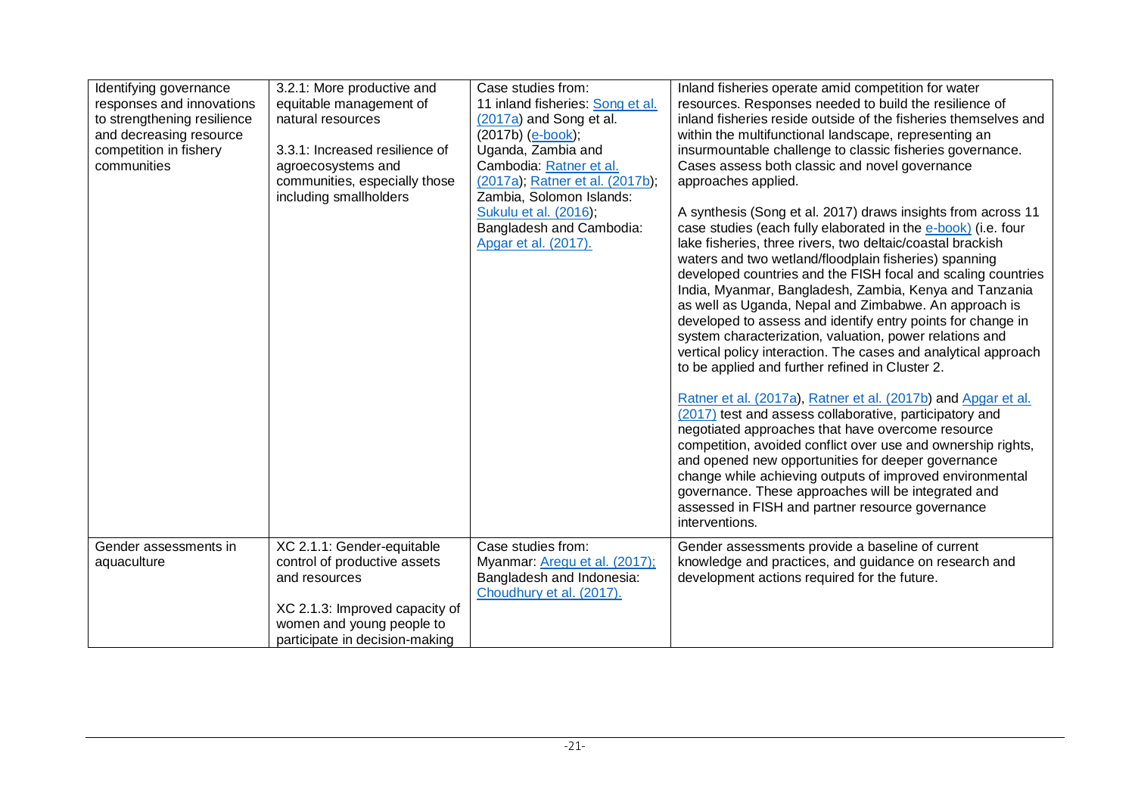| Identifying governance<br>responses and innovations<br>to strengthening resilience<br>and decreasing resource<br>competition in fishery<br>communities | 3.2.1: More productive and<br>equitable management of<br>natural resources<br>3.3.1: Increased resilience of<br>agroecosystems and<br>communities, especially those<br>including smallholders | Case studies from:<br>11 inland fisheries: Song et al.<br>(2017a) and Song et al.<br>(2017b) (e-book);<br>Uganda, Zambia and<br>Cambodia: Ratner et al.<br>(2017a), Ratner et al. (2017b),<br>Zambia, Solomon Islands:<br>Sukulu et al. (2016);<br>Bangladesh and Cambodia:<br>Apgar et al. (2017). | Inland fisheries operate amid competition for water<br>resources. Responses needed to build the resilience of<br>inland fisheries reside outside of the fisheries themselves and<br>within the multifunctional landscape, representing an<br>insurmountable challenge to classic fisheries governance.<br>Cases assess both classic and novel governance<br>approaches applied.<br>A synthesis (Song et al. 2017) draws insights from across 11<br>case studies (each fully elaborated in the e-book) (i.e. four<br>lake fisheries, three rivers, two deltaic/coastal brackish<br>waters and two wetland/floodplain fisheries) spanning<br>developed countries and the FISH focal and scaling countries<br>India, Myanmar, Bangladesh, Zambia, Kenya and Tanzania<br>as well as Uganda, Nepal and Zimbabwe. An approach is<br>developed to assess and identify entry points for change in<br>system characterization, valuation, power relations and<br>vertical policy interaction. The cases and analytical approach<br>to be applied and further refined in Cluster 2.<br>Ratner et al. (2017a), Ratner et al. (2017b) and Apgar et al.<br>(2017) test and assess collaborative, participatory and<br>negotiated approaches that have overcome resource<br>competition, avoided conflict over use and ownership rights,<br>and opened new opportunities for deeper governance<br>change while achieving outputs of improved environmental<br>governance. These approaches will be integrated and<br>assessed in FISH and partner resource governance<br>interventions. |
|--------------------------------------------------------------------------------------------------------------------------------------------------------|-----------------------------------------------------------------------------------------------------------------------------------------------------------------------------------------------|-----------------------------------------------------------------------------------------------------------------------------------------------------------------------------------------------------------------------------------------------------------------------------------------------------|---------------------------------------------------------------------------------------------------------------------------------------------------------------------------------------------------------------------------------------------------------------------------------------------------------------------------------------------------------------------------------------------------------------------------------------------------------------------------------------------------------------------------------------------------------------------------------------------------------------------------------------------------------------------------------------------------------------------------------------------------------------------------------------------------------------------------------------------------------------------------------------------------------------------------------------------------------------------------------------------------------------------------------------------------------------------------------------------------------------------------------------------------------------------------------------------------------------------------------------------------------------------------------------------------------------------------------------------------------------------------------------------------------------------------------------------------------------------------------------------------------------------------------------------------------------------------|
| Gender assessments in<br>aquaculture                                                                                                                   | XC 2.1.1: Gender-equitable<br>control of productive assets<br>and resources<br>XC 2.1.3: Improved capacity of<br>women and young people to<br>participate in decision-making                  | Case studies from:<br>Myanmar: Aregu et al. (2017);<br>Bangladesh and Indonesia:<br>Choudhury et al. (2017).                                                                                                                                                                                        | Gender assessments provide a baseline of current<br>knowledge and practices, and guidance on research and<br>development actions required for the future.                                                                                                                                                                                                                                                                                                                                                                                                                                                                                                                                                                                                                                                                                                                                                                                                                                                                                                                                                                                                                                                                                                                                                                                                                                                                                                                                                                                                                 |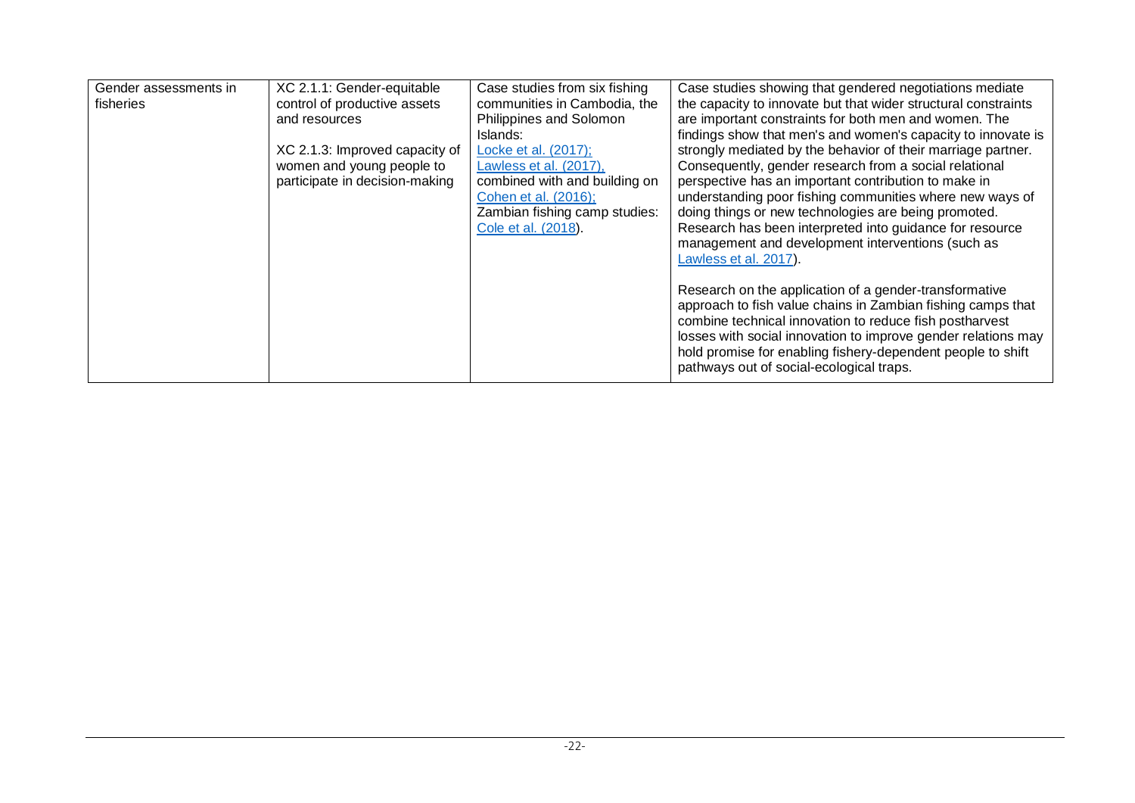| Gender assessments in | XC 2.1.1: Gender-equitable     | Case studies from six fishing | Case studies showing that gendered negotiations mediate                                                                      |
|-----------------------|--------------------------------|-------------------------------|------------------------------------------------------------------------------------------------------------------------------|
| fisheries             | control of productive assets   | communities in Cambodia, the  | the capacity to innovate but that wider structural constraints                                                               |
|                       | and resources                  | Philippines and Solomon       | are important constraints for both men and women. The                                                                        |
|                       |                                | Islands:                      | findings show that men's and women's capacity to innovate is                                                                 |
|                       | XC 2.1.3: Improved capacity of | Locke et al. (2017);          | strongly mediated by the behavior of their marriage partner.                                                                 |
|                       | women and young people to      | Lawless et al. (2017),        | Consequently, gender research from a social relational                                                                       |
|                       | participate in decision-making | combined with and building on | perspective has an important contribution to make in                                                                         |
|                       |                                | Cohen et al. (2016);          | understanding poor fishing communities where new ways of                                                                     |
|                       |                                | Zambian fishing camp studies: | doing things or new technologies are being promoted.                                                                         |
|                       |                                | Cole et al. (2018).           | Research has been interpreted into guidance for resource                                                                     |
|                       |                                |                               | management and development interventions (such as                                                                            |
|                       |                                |                               | Lawless et al. 2017).                                                                                                        |
|                       |                                |                               |                                                                                                                              |
|                       |                                |                               | Research on the application of a gender-transformative                                                                       |
|                       |                                |                               | approach to fish value chains in Zambian fishing camps that                                                                  |
|                       |                                |                               | combine technical innovation to reduce fish postharvest                                                                      |
|                       |                                |                               | losses with social innovation to improve gender relations may<br>hold promise for enabling fishery-dependent people to shift |
|                       |                                |                               | pathways out of social-ecological traps.                                                                                     |
|                       |                                |                               |                                                                                                                              |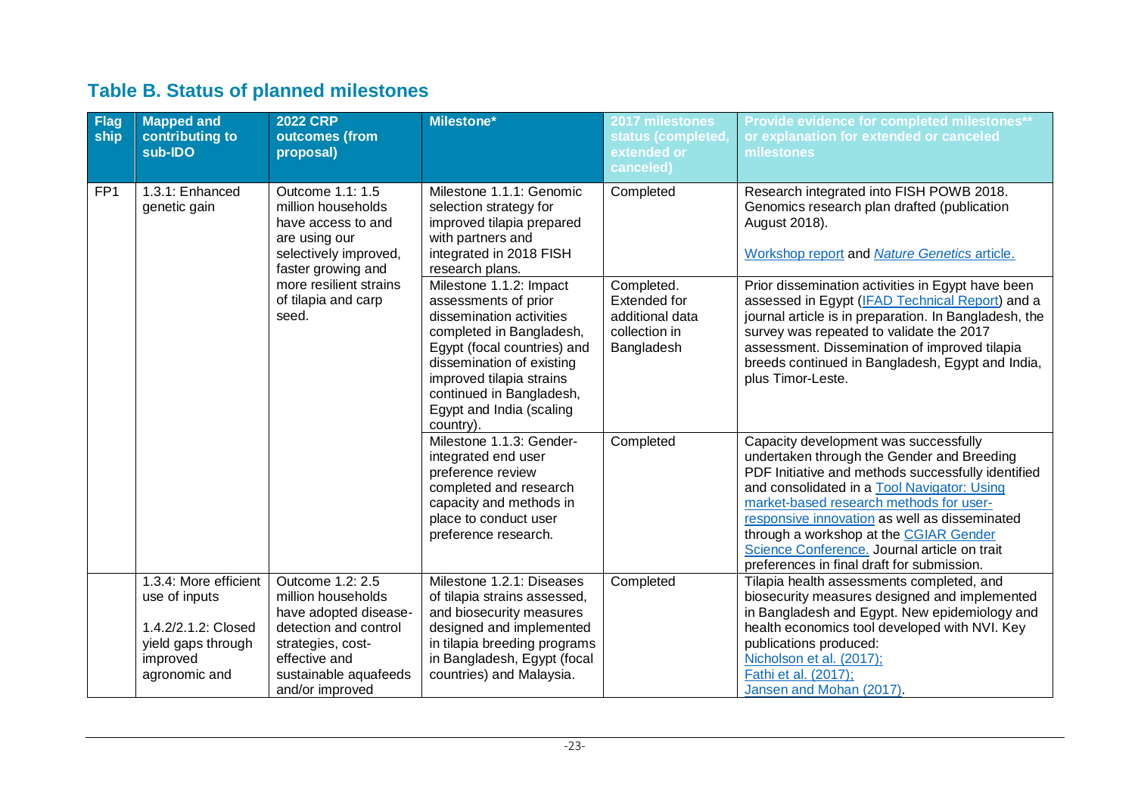## **Table B. Status of planned milestones**

| <b>Flag</b><br>ship | <b>Mapped and</b><br>contributing to<br>sub-IDO                                                                  | <b>2022 CRP</b><br>outcomes (from<br>proposal)                                                                                                                             | <b>Milestone*</b>                                                                                                                                                                                                                         | 2017 milestones<br>status (completed,<br>extended or<br>canceled) | Provide evidence for completed milestones**<br>or explanation for extended or canceled<br>milestones                                                                                                                                                                                                                                                                                                                         |
|---------------------|------------------------------------------------------------------------------------------------------------------|----------------------------------------------------------------------------------------------------------------------------------------------------------------------------|-------------------------------------------------------------------------------------------------------------------------------------------------------------------------------------------------------------------------------------------|-------------------------------------------------------------------|------------------------------------------------------------------------------------------------------------------------------------------------------------------------------------------------------------------------------------------------------------------------------------------------------------------------------------------------------------------------------------------------------------------------------|
| FP <sub>1</sub>     | 1.3.1: Enhanced<br>genetic gain                                                                                  | Outcome 1.1: 1.5<br>million households<br>have access to and<br>are using our<br>selectively improved,<br>faster growing and<br>more resilient strains                     | Milestone 1.1.1: Genomic<br>selection strategy for<br>improved tilapia prepared<br>with partners and<br>integrated in 2018 FISH<br>research plans.<br>Milestone 1.1.2: Impact                                                             | Completed<br>Completed.                                           | Research integrated into FISH POWB 2018.<br>Genomics research plan drafted (publication<br>August 2018).<br>Workshop report and Nature Genetics article.<br>Prior dissemination activities in Egypt have been                                                                                                                                                                                                                |
|                     |                                                                                                                  | of tilapia and carp<br>seed.                                                                                                                                               | assessments of prior<br>dissemination activities<br>completed in Bangladesh,<br>Egypt (focal countries) and<br>dissemination of existing<br>improved tilapia strains<br>continued in Bangladesh,<br>Egypt and India (scaling<br>country). | Extended for<br>additional data<br>collection in<br>Bangladesh    | assessed in Egypt (IFAD Technical Report) and a<br>journal article is in preparation. In Bangladesh, the<br>survey was repeated to validate the 2017<br>assessment. Dissemination of improved tilapia<br>breeds continued in Bangladesh, Egypt and India,<br>plus Timor-Leste.                                                                                                                                               |
|                     |                                                                                                                  |                                                                                                                                                                            | Milestone 1.1.3: Gender-<br>integrated end user<br>preference review<br>completed and research<br>capacity and methods in<br>place to conduct user<br>preference research.                                                                | Completed                                                         | Capacity development was successfully<br>undertaken through the Gender and Breeding<br>PDF Initiative and methods successfully identified<br>and consolidated in a Tool Navigator: Using<br>market-based research methods for user-<br>responsive innovation as well as disseminated<br>through a workshop at the CGIAR Gender<br>Science Conference. Journal article on trait<br>preferences in final draft for submission. |
|                     | 1.3.4: More efficient<br>use of inputs<br>1.4.2/2.1.2: Closed<br>yield gaps through<br>improved<br>agronomic and | Outcome 1.2: 2.5<br>million households<br>have adopted disease-<br>detection and control<br>strategies, cost-<br>effective and<br>sustainable aquafeeds<br>and/or improved | Milestone 1.2.1: Diseases<br>of tilapia strains assessed,<br>and biosecurity measures<br>designed and implemented<br>in tilapia breeding programs<br>in Bangladesh, Egypt (focal<br>countries) and Malaysia.                              | Completed                                                         | Tilapia health assessments completed, and<br>biosecurity measures designed and implemented<br>in Bangladesh and Egypt. New epidemiology and<br>health economics tool developed with NVI. Key<br>publications produced:<br>Nicholson et al. (2017);<br>Fathi et al. (2017);<br>Jansen and Mohan (2017).                                                                                                                       |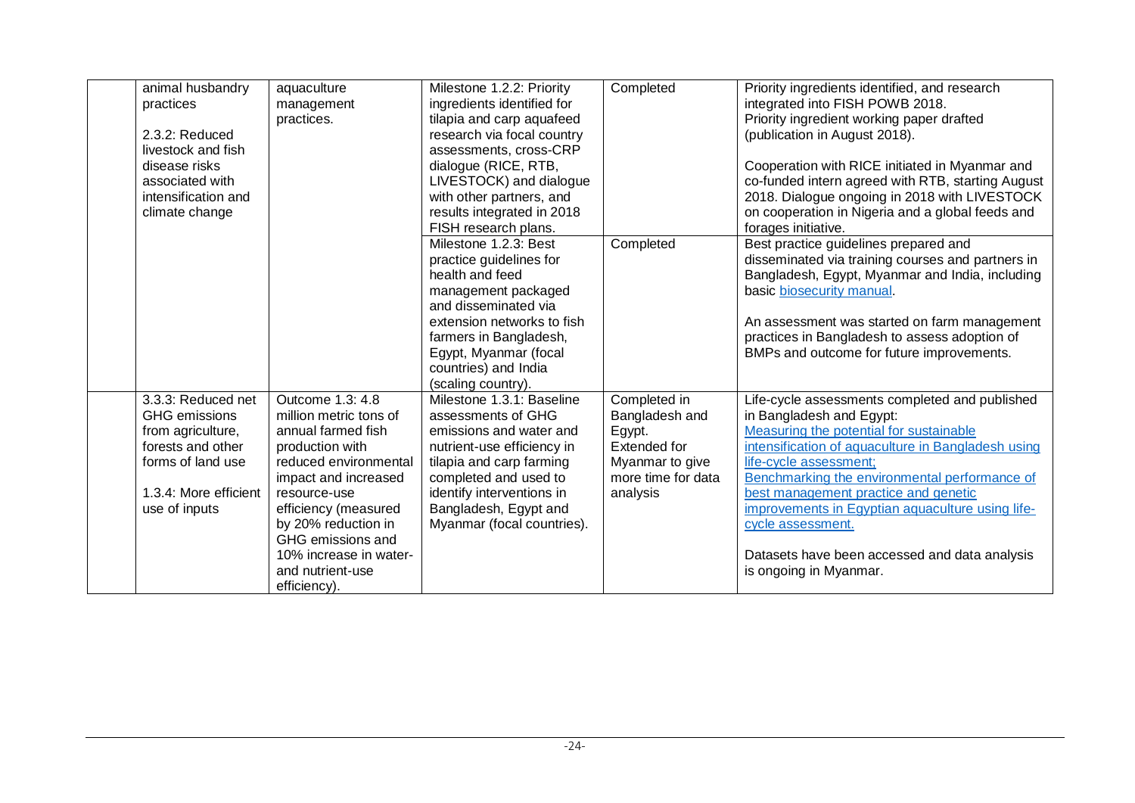| animal husbandry      | aquaculture                                | Milestone 1.2.2: Priority  | Completed          | Priority ingredients identified, and research                           |
|-----------------------|--------------------------------------------|----------------------------|--------------------|-------------------------------------------------------------------------|
| practices             | management                                 | ingredients identified for |                    | integrated into FISH POWB 2018.                                         |
|                       | practices.                                 | tilapia and carp aquafeed  |                    | Priority ingredient working paper drafted                               |
| 2.3.2: Reduced        |                                            | research via focal country |                    | (publication in August 2018).                                           |
| livestock and fish    |                                            | assessments, cross-CRP     |                    |                                                                         |
| disease risks         |                                            | dialogue (RICE, RTB,       |                    | Cooperation with RICE initiated in Myanmar and                          |
| associated with       |                                            | LIVESTOCK) and dialogue    |                    | co-funded intern agreed with RTB, starting August                       |
| intensification and   |                                            | with other partners, and   |                    | 2018. Dialogue ongoing in 2018 with LIVESTOCK                           |
| climate change        |                                            | results integrated in 2018 |                    | on cooperation in Nigeria and a global feeds and                        |
|                       |                                            | FISH research plans.       |                    | forages initiative.                                                     |
|                       |                                            | Milestone 1.2.3: Best      | Completed          | Best practice guidelines prepared and                                   |
|                       |                                            | practice guidelines for    |                    | disseminated via training courses and partners in                       |
|                       |                                            | health and feed            |                    | Bangladesh, Egypt, Myanmar and India, including                         |
|                       |                                            | management packaged        |                    | basic biosecurity manual.                                               |
|                       |                                            | and disseminated via       |                    |                                                                         |
|                       |                                            | extension networks to fish |                    | An assessment was started on farm management                            |
|                       |                                            | farmers in Bangladesh,     |                    | practices in Bangladesh to assess adoption of                           |
|                       |                                            | Egypt, Myanmar (focal      |                    | BMPs and outcome for future improvements.                               |
|                       |                                            | countries) and India       |                    |                                                                         |
|                       |                                            | (scaling country).         |                    |                                                                         |
| 3.3.3: Reduced net    | Outcome 1.3: 4.8                           | Milestone 1.3.1: Baseline  | Completed in       | Life-cycle assessments completed and published                          |
| <b>GHG</b> emissions  | million metric tons of                     | assessments of GHG         | Bangladesh and     | in Bangladesh and Egypt:                                                |
| from agriculture,     | annual farmed fish                         | emissions and water and    | Egypt.             | Measuring the potential for sustainable                                 |
| forests and other     | production with                            | nutrient-use efficiency in | Extended for       | intensification of aquaculture in Bangladesh using                      |
| forms of land use     | reduced environmental                      | tilapia and carp farming   | Myanmar to give    | life-cycle assessment;                                                  |
|                       | impact and increased                       | completed and used to      | more time for data | Benchmarking the environmental performance of                           |
| 1.3.4: More efficient | resource-use                               | identify interventions in  | analysis           | best management practice and genetic                                    |
| use of inputs         | efficiency (measured                       | Bangladesh, Egypt and      |                    | improvements in Egyptian aquaculture using life-                        |
|                       | by 20% reduction in<br>GHG emissions and   | Myanmar (focal countries). |                    | cycle assessment.                                                       |
|                       |                                            |                            |                    |                                                                         |
|                       | 10% increase in water-<br>and nutrient-use |                            |                    | Datasets have been accessed and data analysis<br>is ongoing in Myanmar. |
|                       |                                            |                            |                    |                                                                         |
|                       | efficiency).                               |                            |                    |                                                                         |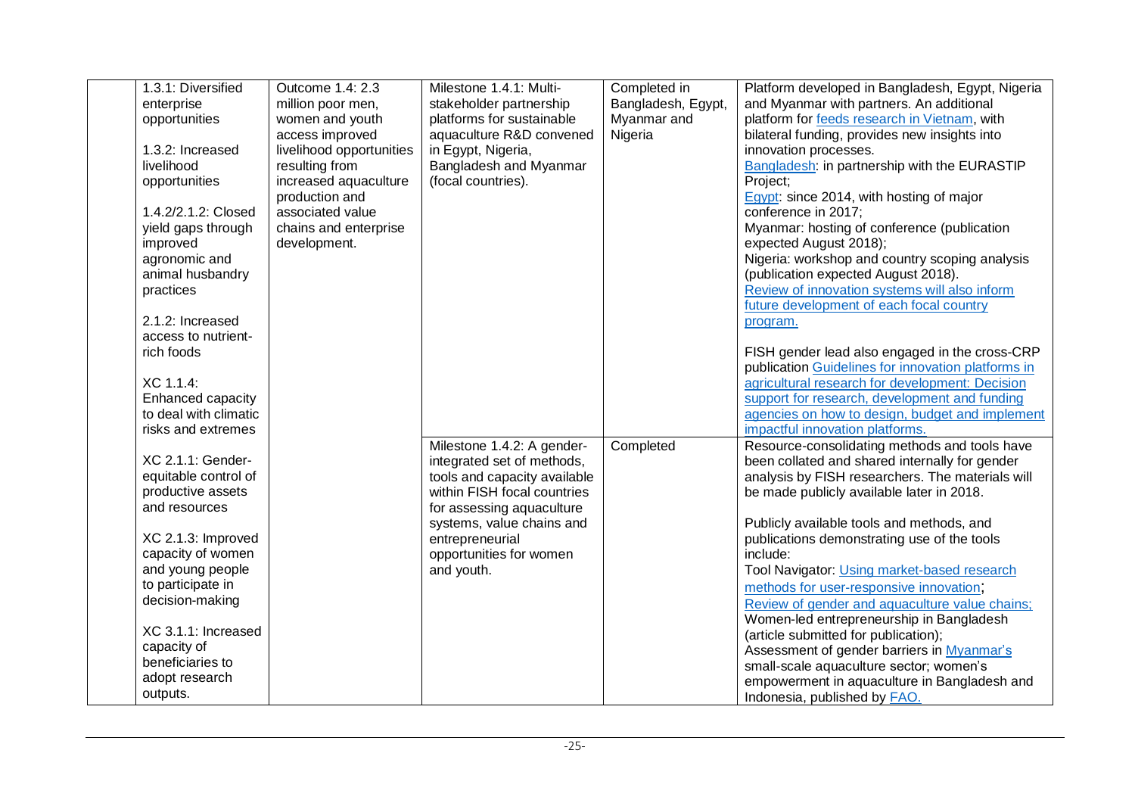| 1.3.1: Diversified    | Outcome 1.4: 2.3         | Milestone 1.4.1: Multi-      | Completed in       | Platform developed in Bangladesh, Egypt, Nigeria   |
|-----------------------|--------------------------|------------------------------|--------------------|----------------------------------------------------|
| enterprise            | million poor men,        | stakeholder partnership      | Bangladesh, Egypt, | and Myanmar with partners. An additional           |
| opportunities         | women and youth          | platforms for sustainable    | Myanmar and        | platform for feeds research in Vietnam, with       |
|                       | access improved          | aquaculture R&D convened     | Nigeria            | bilateral funding, provides new insights into      |
| 1.3.2: Increased      | livelihood opportunities | in Egypt, Nigeria,           |                    | innovation processes.                              |
| livelihood            | resulting from           | Bangladesh and Myanmar       |                    | Bangladesh: in partnership with the EURASTIP       |
| opportunities         | increased aquaculture    | (focal countries).           |                    | Project;                                           |
|                       | production and           |                              |                    | Egypt: since 2014, with hosting of major           |
| 1.4.2/2.1.2: Closed   | associated value         |                              |                    | conference in 2017;                                |
| yield gaps through    | chains and enterprise    |                              |                    | Myanmar: hosting of conference (publication        |
| improved              | development.             |                              |                    | expected August 2018);                             |
| agronomic and         |                          |                              |                    | Nigeria: workshop and country scoping analysis     |
| animal husbandry      |                          |                              |                    | (publication expected August 2018).                |
| practices             |                          |                              |                    | Review of innovation systems will also inform      |
|                       |                          |                              |                    | future development of each focal country           |
| 2.1.2: Increased      |                          |                              |                    | program.                                           |
| access to nutrient-   |                          |                              |                    |                                                    |
| rich foods            |                          |                              |                    | FISH gender lead also engaged in the cross-CRP     |
|                       |                          |                              |                    | publication Guidelines for innovation platforms in |
| XC 1.1.4:             |                          |                              |                    | agricultural research for development: Decision    |
| Enhanced capacity     |                          |                              |                    | support for research, development and funding      |
| to deal with climatic |                          |                              |                    | agencies on how to design, budget and implement    |
| risks and extremes    |                          |                              |                    | impactful innovation platforms.                    |
|                       |                          | Milestone 1.4.2: A gender-   | Completed          | Resource-consolidating methods and tools have      |
| XC 2.1.1: Gender-     |                          | integrated set of methods,   |                    | been collated and shared internally for gender     |
| equitable control of  |                          | tools and capacity available |                    | analysis by FISH researchers. The materials will   |
| productive assets     |                          | within FISH focal countries  |                    | be made publicly available later in 2018.          |
| and resources         |                          | for assessing aquaculture    |                    |                                                    |
|                       |                          | systems, value chains and    |                    | Publicly available tools and methods, and          |
| XC 2.1.3: Improved    |                          | entrepreneurial              |                    | publications demonstrating use of the tools        |
| capacity of women     |                          | opportunities for women      |                    | include:                                           |
| and young people      |                          | and youth.                   |                    | Tool Navigator: Using market-based research        |
| to participate in     |                          |                              |                    | methods for user-responsive innovation;            |
| decision-making       |                          |                              |                    | Review of gender and aquaculture value chains;     |
|                       |                          |                              |                    | Women-led entrepreneurship in Bangladesh           |
| XC 3.1.1: Increased   |                          |                              |                    | (article submitted for publication);               |
| capacity of           |                          |                              |                    | Assessment of gender barriers in Myanmar's         |
| beneficiaries to      |                          |                              |                    | small-scale aquaculture sector; women's            |
| adopt research        |                          |                              |                    | empowerment in aquaculture in Bangladesh and       |
| outputs.              |                          |                              |                    | Indonesia, published by <b>FAO</b> .               |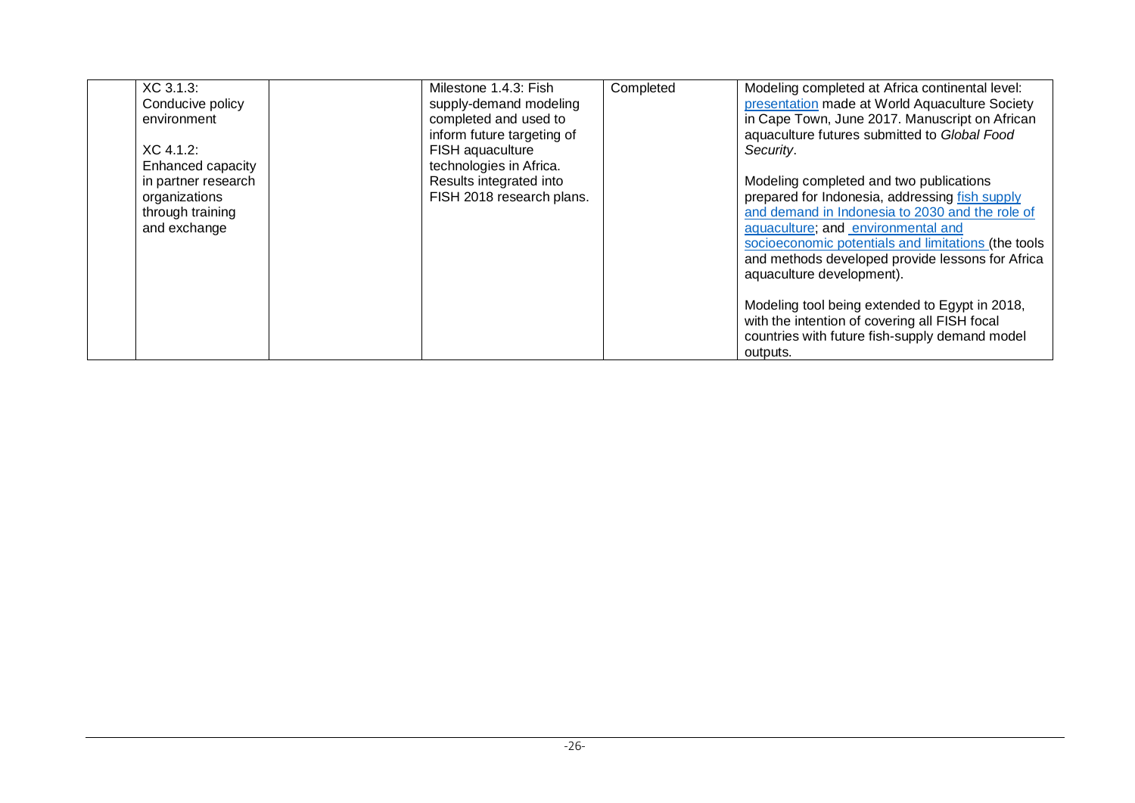| XC 3.1.3:<br>Conducive policy<br>environment | Milestone 1.4.3: Fish<br>supply-demand modeling<br>completed and used to<br>inform future targeting of | Completed | Modeling completed at Africa continental level:<br>presentation made at World Aquaculture Society<br>in Cape Town, June 2017. Manuscript on African<br>aquaculture futures submitted to Global Food |
|----------------------------------------------|--------------------------------------------------------------------------------------------------------|-----------|-----------------------------------------------------------------------------------------------------------------------------------------------------------------------------------------------------|
| $XC$ 4.1.2:                                  | FISH aquaculture                                                                                       |           | Security.                                                                                                                                                                                           |
| Enhanced capacity                            | technologies in Africa.                                                                                |           |                                                                                                                                                                                                     |
| in partner research                          | Results integrated into                                                                                |           | Modeling completed and two publications                                                                                                                                                             |
| organizations                                | FISH 2018 research plans.                                                                              |           | prepared for Indonesia, addressing fish supply                                                                                                                                                      |
| through training                             |                                                                                                        |           | and demand in Indonesia to 2030 and the role of                                                                                                                                                     |
| and exchange                                 |                                                                                                        |           | aquaculture; and environmental and                                                                                                                                                                  |
|                                              |                                                                                                        |           | socioeconomic potentials and limitations (the tools<br>and methods developed provide lessons for Africa                                                                                             |
|                                              |                                                                                                        |           | aquaculture development).                                                                                                                                                                           |
|                                              |                                                                                                        |           |                                                                                                                                                                                                     |
|                                              |                                                                                                        |           | Modeling tool being extended to Egypt in 2018,<br>with the intention of covering all FISH focal<br>countries with future fish-supply demand model                                                   |
|                                              |                                                                                                        |           | outputs.                                                                                                                                                                                            |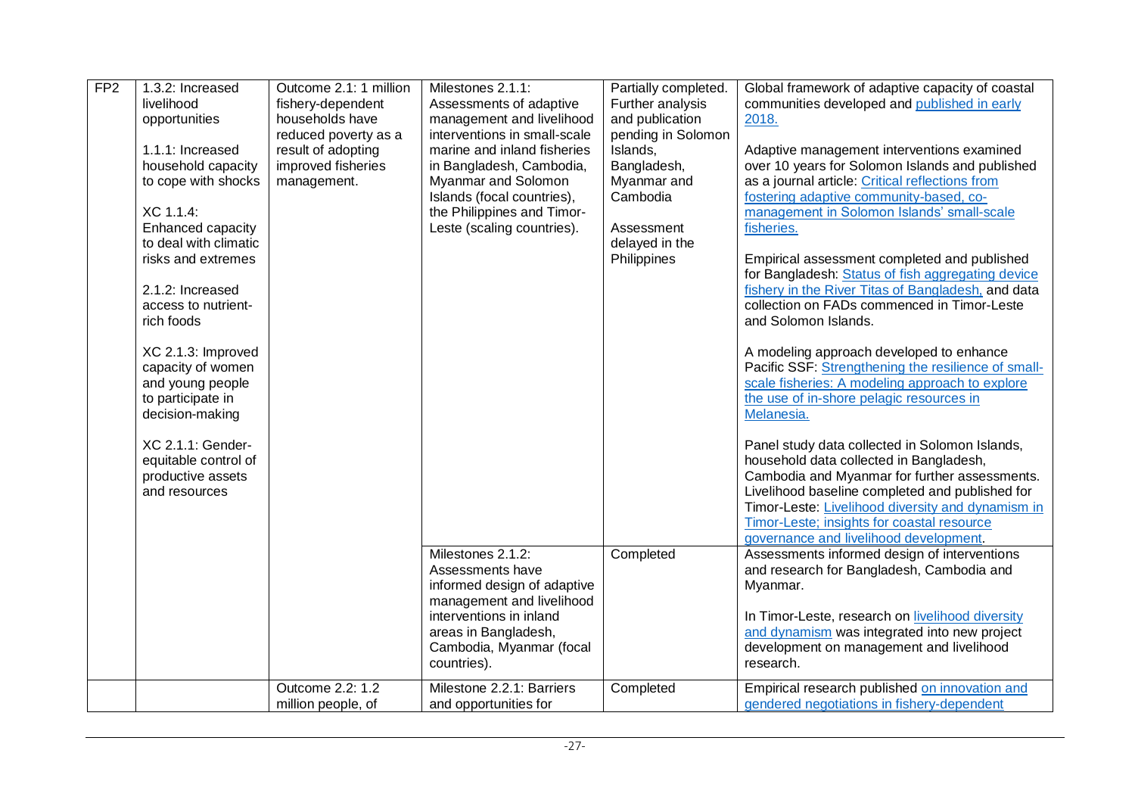| FP <sub>2</sub> | 1.3.2: Increased<br>livelihood<br>opportunities<br>1.1.1: Increased<br>household capacity<br>to cope with shocks<br>XC 1.1.4:<br>Enhanced capacity<br>to deal with climatic<br>risks and extremes<br>2.1.2: Increased<br>access to nutrient-<br>rich foods<br>XC 2.1.3: Improved<br>capacity of women<br>and young people<br>to participate in<br>decision-making<br>XC 2.1.1: Gender-<br>equitable control of<br>productive assets<br>and resources | Outcome 2.1: 1 million<br>fishery-dependent<br>households have<br>reduced poverty as a<br>result of adopting<br>improved fisheries<br>management. | Milestones 2.1.1:<br>Assessments of adaptive<br>management and livelihood<br>interventions in small-scale<br>marine and inland fisheries<br>in Bangladesh, Cambodia,<br>Myanmar and Solomon<br>Islands (focal countries),<br>the Philippines and Timor-<br>Leste (scaling countries). | Partially completed.<br>Further analysis<br>and publication<br>pending in Solomon<br>Islands,<br>Bangladesh,<br>Myanmar and<br>Cambodia<br>Assessment<br>delayed in the<br>Philippines | Global framework of adaptive capacity of coastal<br>communities developed and published in early<br>2018.<br>Adaptive management interventions examined<br>over 10 years for Solomon Islands and published<br>as a journal article: Critical reflections from<br>fostering adaptive community-based, co-<br>management in Solomon Islands' small-scale<br>fisheries.<br>Empirical assessment completed and published<br>for Bangladesh: Status of fish aggregating device<br>fishery in the River Titas of Bangladesh, and data<br>collection on FADs commenced in Timor-Leste<br>and Solomon Islands.<br>A modeling approach developed to enhance<br>Pacific SSF: Strengthening the resilience of small-<br>scale fisheries: A modeling approach to explore<br>the use of in-shore pelagic resources in<br>Melanesia.<br>Panel study data collected in Solomon Islands,<br>household data collected in Bangladesh,<br>Cambodia and Myanmar for further assessments.<br>Livelihood baseline completed and published for<br>Timor-Leste: Livelihood diversity and dynamism in<br>Timor-Leste; insights for coastal resource |
|-----------------|------------------------------------------------------------------------------------------------------------------------------------------------------------------------------------------------------------------------------------------------------------------------------------------------------------------------------------------------------------------------------------------------------------------------------------------------------|---------------------------------------------------------------------------------------------------------------------------------------------------|---------------------------------------------------------------------------------------------------------------------------------------------------------------------------------------------------------------------------------------------------------------------------------------|----------------------------------------------------------------------------------------------------------------------------------------------------------------------------------------|----------------------------------------------------------------------------------------------------------------------------------------------------------------------------------------------------------------------------------------------------------------------------------------------------------------------------------------------------------------------------------------------------------------------------------------------------------------------------------------------------------------------------------------------------------------------------------------------------------------------------------------------------------------------------------------------------------------------------------------------------------------------------------------------------------------------------------------------------------------------------------------------------------------------------------------------------------------------------------------------------------------------------------------------------------------------------------------------------------------------------|
|                 |                                                                                                                                                                                                                                                                                                                                                                                                                                                      |                                                                                                                                                   | Milestones 2.1.2:<br>Assessments have<br>informed design of adaptive<br>management and livelihood<br>interventions in inland<br>areas in Bangladesh,<br>Cambodia, Myanmar (focal<br>countries).                                                                                       | Completed                                                                                                                                                                              | governance and livelihood development.<br>Assessments informed design of interventions<br>and research for Bangladesh, Cambodia and<br>Myanmar.<br>In Timor-Leste, research on livelihood diversity<br>and dynamism was integrated into new project<br>development on management and livelihood<br>research.                                                                                                                                                                                                                                                                                                                                                                                                                                                                                                                                                                                                                                                                                                                                                                                                               |
|                 |                                                                                                                                                                                                                                                                                                                                                                                                                                                      | Outcome 2.2: 1.2<br>million people, of                                                                                                            | Milestone 2.2.1: Barriers<br>and opportunities for                                                                                                                                                                                                                                    | Completed                                                                                                                                                                              | Empirical research published on innovation and<br>gendered negotiations in fishery-dependent                                                                                                                                                                                                                                                                                                                                                                                                                                                                                                                                                                                                                                                                                                                                                                                                                                                                                                                                                                                                                               |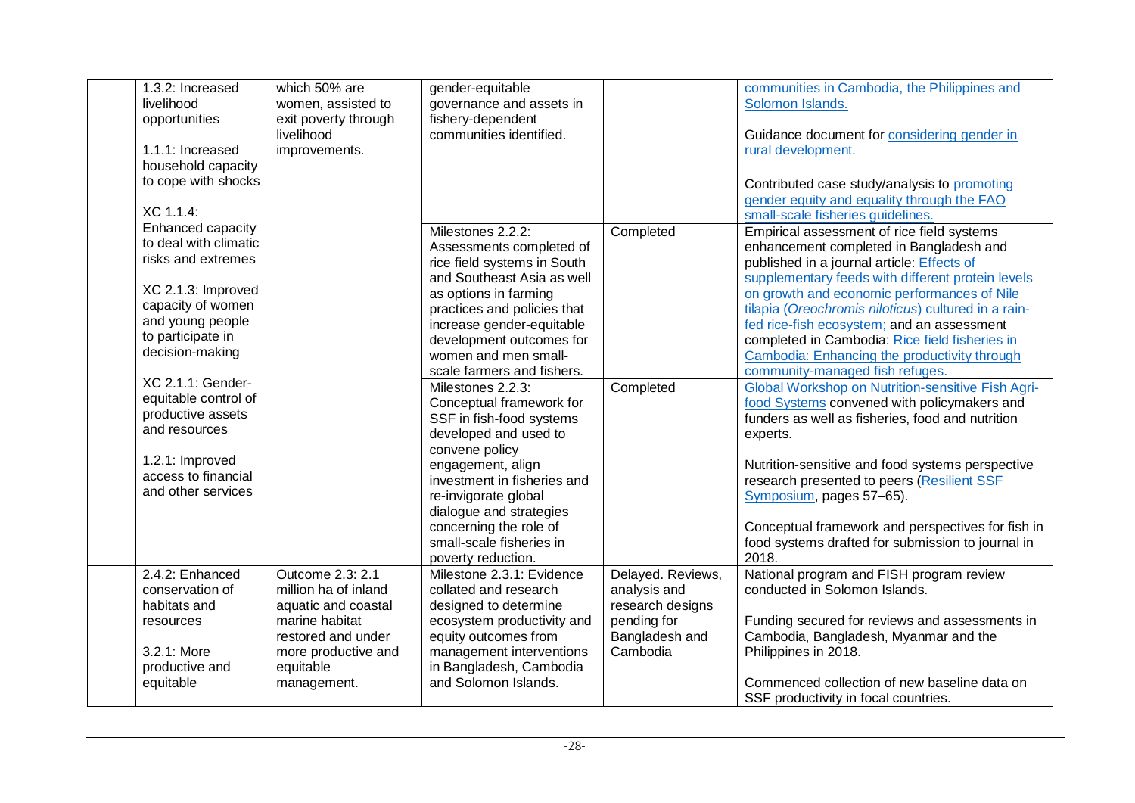| 1.3.2: Increased      | which 50% are        | gender-equitable            |                   | communities in Cambodia, the Philippines and             |
|-----------------------|----------------------|-----------------------------|-------------------|----------------------------------------------------------|
| livelihood            | women, assisted to   | governance and assets in    |                   | Solomon Islands.                                         |
| opportunities         | exit poverty through | fishery-dependent           |                   |                                                          |
|                       | livelihood           | communities identified.     |                   | Guidance document for <b>considering gender in</b>       |
| 1.1.1: Increased      | improvements.        |                             |                   | rural development.                                       |
| household capacity    |                      |                             |                   |                                                          |
| to cope with shocks   |                      |                             |                   | Contributed case study/analysis to promoting             |
|                       |                      |                             |                   | gender equity and equality through the FAO               |
| XC 1.1.4:             |                      |                             |                   | small-scale fisheries quidelines.                        |
| Enhanced capacity     |                      | Milestones 2.2.2:           | Completed         | Empirical assessment of rice field systems               |
| to deal with climatic |                      | Assessments completed of    |                   | enhancement completed in Bangladesh and                  |
| risks and extremes    |                      | rice field systems in South |                   | published in a journal article: <b>Effects of</b>        |
|                       |                      | and Southeast Asia as well  |                   | supplementary feeds with different protein levels        |
| XC 2.1.3: Improved    |                      | as options in farming       |                   | on growth and economic performances of Nile              |
| capacity of women     |                      | practices and policies that |                   | tilapia (Oreochromis niloticus) cultured in a rain-      |
| and young people      |                      | increase gender-equitable   |                   | fed rice-fish ecosystem; and an assessment               |
| to participate in     |                      | development outcomes for    |                   | completed in Cambodia: Rice field fisheries in           |
| decision-making       |                      | women and men small-        |                   | Cambodia: Enhancing the productivity through             |
|                       |                      | scale farmers and fishers.  |                   | community-managed fish refuges.                          |
| XC 2.1.1: Gender-     |                      | Milestones 2.2.3:           | Completed         | <b>Global Workshop on Nutrition-sensitive Fish Agri-</b> |
| equitable control of  |                      | Conceptual framework for    |                   | food Systems convened with policymakers and              |
| productive assets     |                      | SSF in fish-food systems    |                   | funders as well as fisheries, food and nutrition         |
| and resources         |                      | developed and used to       |                   | experts.                                                 |
|                       |                      | convene policy              |                   |                                                          |
| 1.2.1: Improved       |                      | engagement, align           |                   | Nutrition-sensitive and food systems perspective         |
| access to financial   |                      | investment in fisheries and |                   | research presented to peers (Resilient SSF               |
| and other services    |                      | re-invigorate global        |                   | Symposium, pages 57-65).                                 |
|                       |                      | dialogue and strategies     |                   |                                                          |
|                       |                      | concerning the role of      |                   | Conceptual framework and perspectives for fish in        |
|                       |                      | small-scale fisheries in    |                   | food systems drafted for submission to journal in        |
|                       |                      | poverty reduction.          |                   | 2018.                                                    |
| 2.4.2: Enhanced       | Outcome 2.3: 2.1     | Milestone 2.3.1: Evidence   | Delayed. Reviews, | National program and FISH program review                 |
| conservation of       | million ha of inland | collated and research       | analysis and      | conducted in Solomon Islands.                            |
| habitats and          | aquatic and coastal  | designed to determine       | research designs  |                                                          |
| resources             | marine habitat       | ecosystem productivity and  | pending for       | Funding secured for reviews and assessments in           |
|                       | restored and under   | equity outcomes from        | Bangladesh and    | Cambodia, Bangladesh, Myanmar and the                    |
| 3.2.1: More           | more productive and  | management interventions    | Cambodia          | Philippines in 2018.                                     |
| productive and        | equitable            | in Bangladesh, Cambodia     |                   |                                                          |
| equitable             | management.          | and Solomon Islands.        |                   | Commenced collection of new baseline data on             |
|                       |                      |                             |                   | SSF productivity in focal countries.                     |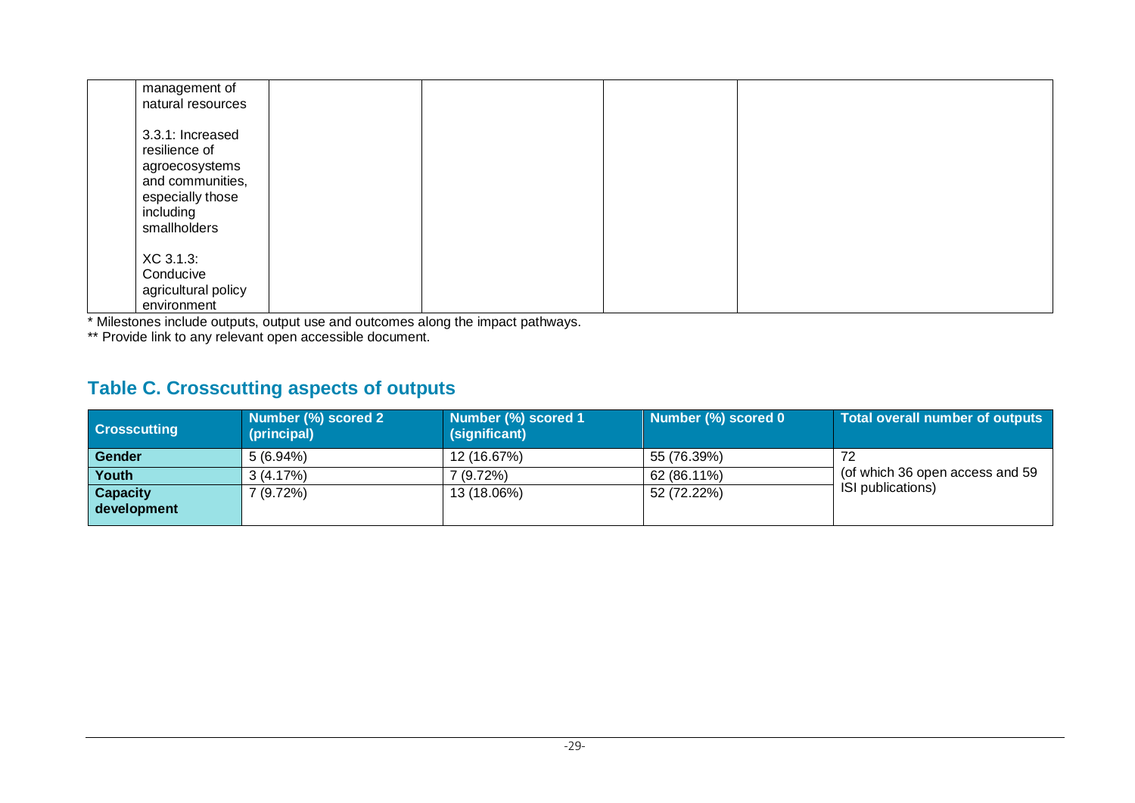| management of<br>natural resources                                                                                       |  |  |  |
|--------------------------------------------------------------------------------------------------------------------------|--|--|--|
| 3.3.1: Increased<br>resilience of<br>agroecosystems<br>and communities,<br>especially those<br>including<br>smallholders |  |  |  |
| XC 3.1.3:<br>Conducive<br>agricultural policy<br>environment                                                             |  |  |  |

\* Milestones include outputs, output use and outcomes along the impact pathways.

\*\* Provide link to any relevant open accessible document.

## **Table C. Crosscutting aspects of outputs**

| <b>Crosscutting</b>            | Number (%) scored 2<br>(principal) | Number (%) scored 1<br>(significant) | Number (%) scored 0 | Total overall number of outputs |
|--------------------------------|------------------------------------|--------------------------------------|---------------------|---------------------------------|
| <b>Gender</b>                  | $5(6.94\%)$                        | 12 (16.67%)                          | 55 (76.39%)         |                                 |
| Youth                          | 3(4.17%)                           | 7 (9.72%)                            | 62 (86.11%)         | (of which 36 open access and 59 |
| <b>Capacity</b><br>development | 7(9.72%)                           | 13 (18.06%)                          | 52 (72.22%)         | ISI publications)               |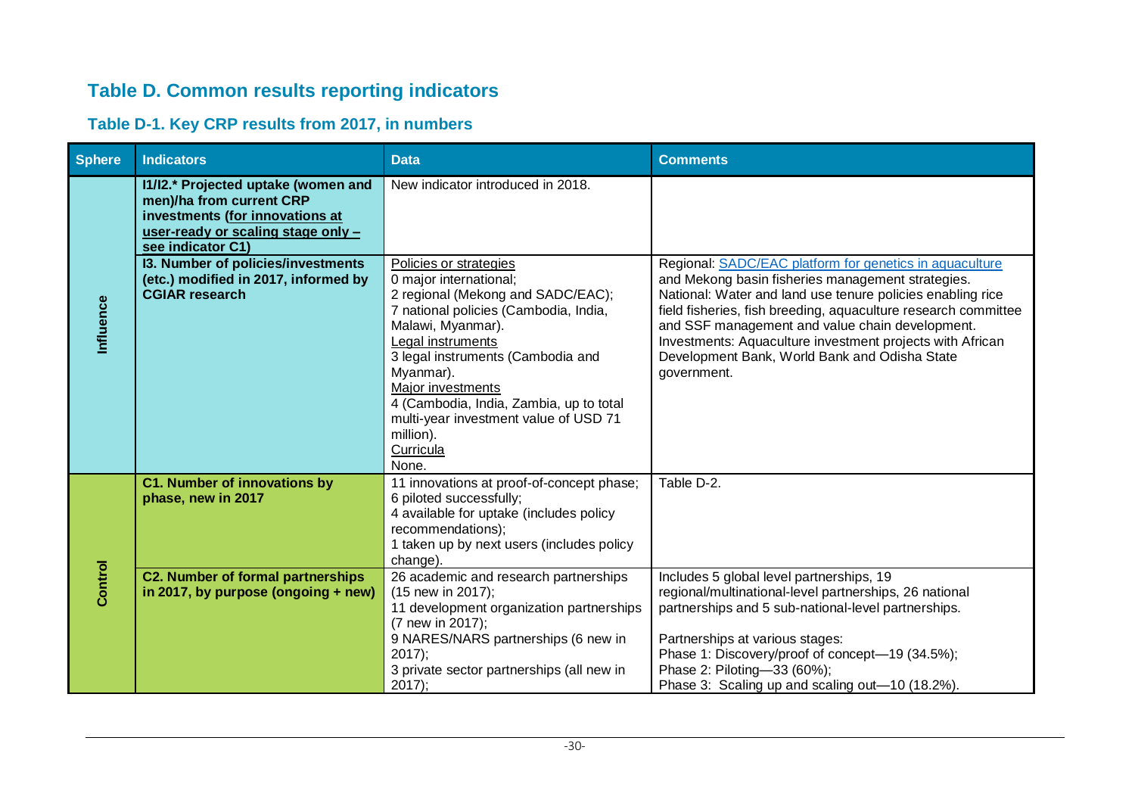## **Table D. Common results reporting indicators**

## **Table D-1. Key CRP results from 2017, in numbers**

| <b>Sphere</b> | <b>Indicators</b>                                                                                                                                             | <b>Data</b>                                                                                                                                                                                                                                                                                                                                                            | <b>Comments</b>                                                                                                                                                                                                                                                                                                                                                                                                              |
|---------------|---------------------------------------------------------------------------------------------------------------------------------------------------------------|------------------------------------------------------------------------------------------------------------------------------------------------------------------------------------------------------------------------------------------------------------------------------------------------------------------------------------------------------------------------|------------------------------------------------------------------------------------------------------------------------------------------------------------------------------------------------------------------------------------------------------------------------------------------------------------------------------------------------------------------------------------------------------------------------------|
|               | I1/I2.* Projected uptake (women and<br>men)/ha from current CRP<br>investments (for innovations at<br>user-ready or scaling stage only -<br>see indicator C1) | New indicator introduced in 2018.                                                                                                                                                                                                                                                                                                                                      |                                                                                                                                                                                                                                                                                                                                                                                                                              |
| Influence     | 13. Number of policies/investments<br>(etc.) modified in 2017, informed by<br><b>CGIAR research</b>                                                           | Policies or strategies<br>0 major international;<br>2 regional (Mekong and SADC/EAC);<br>7 national policies (Cambodia, India,<br>Malawi, Myanmar).<br>Legal instruments<br>3 legal instruments (Cambodia and<br>Myanmar).<br>Major investments<br>4 (Cambodia, India, Zambia, up to total<br>multi-year investment value of USD 71<br>million).<br>Curricula<br>None. | Regional: SADC/EAC platform for genetics in aquaculture<br>and Mekong basin fisheries management strategies.<br>National: Water and land use tenure policies enabling rice<br>field fisheries, fish breeding, aquaculture research committee<br>and SSF management and value chain development.<br>Investments: Aquaculture investment projects with African<br>Development Bank, World Bank and Odisha State<br>government. |
|               | <b>C1. Number of innovations by</b><br>phase, new in 2017                                                                                                     | 11 innovations at proof-of-concept phase;<br>6 piloted successfully;<br>4 available for uptake (includes policy<br>recommendations);<br>1 taken up by next users (includes policy<br>change)                                                                                                                                                                           | Table D-2.                                                                                                                                                                                                                                                                                                                                                                                                                   |
| Control       | <b>C2. Number of formal partnerships</b><br>in 2017, by purpose (ongoing $+$ new)                                                                             | 26 academic and research partnerships<br>(15 new in 2017);<br>11 development organization partnerships<br>(7 new in 2017);<br>9 NARES/NARS partnerships (6 new in<br>$2017$ ;<br>3 private sector partnerships (all new in<br>$2017$ );                                                                                                                                | Includes 5 global level partnerships, 19<br>regional/multinational-level partnerships, 26 national<br>partnerships and 5 sub-national-level partnerships.<br>Partnerships at various stages:<br>Phase 1: Discovery/proof of concept-19 (34.5%);<br>Phase 2: Piloting-33 (60%);<br>Phase 3: Scaling up and scaling out-10 (18.2%).                                                                                            |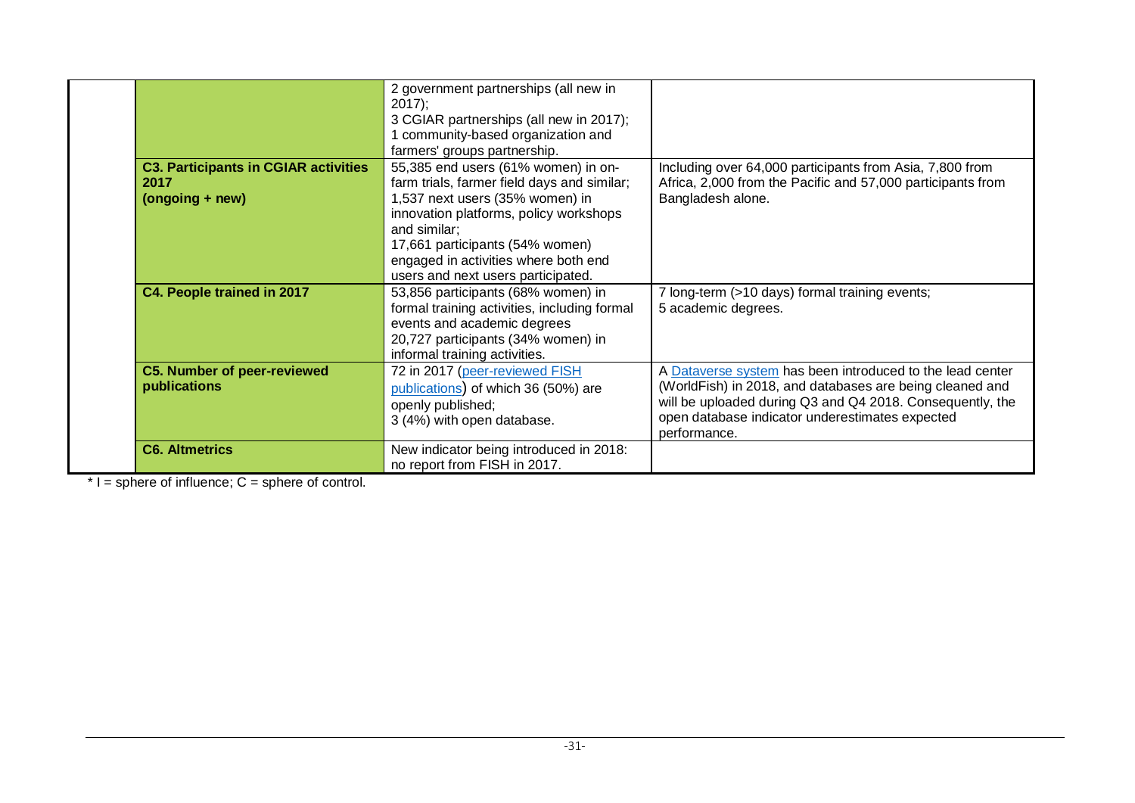|                                                                        | 2 government partnerships (all new in<br>$2017$ ;<br>3 CGIAR partnerships (all new in 2017);<br>1 community-based organization and<br>farmers' groups partnership.                                                                                                                               |                                                                                                                                                                                                                                                       |
|------------------------------------------------------------------------|--------------------------------------------------------------------------------------------------------------------------------------------------------------------------------------------------------------------------------------------------------------------------------------------------|-------------------------------------------------------------------------------------------------------------------------------------------------------------------------------------------------------------------------------------------------------|
| <b>C3. Participants in CGIAR activities</b><br>2017<br>(ongoing + new) | 55,385 end users (61% women) in on-<br>farm trials, farmer field days and similar;<br>1,537 next users (35% women) in<br>innovation platforms, policy workshops<br>and similar;<br>17,661 participants (54% women)<br>engaged in activities where both end<br>users and next users participated. | Including over 64,000 participants from Asia, 7,800 from<br>Africa, 2,000 from the Pacific and 57,000 participants from<br>Bangladesh alone.                                                                                                          |
| C4. People trained in 2017                                             | 53,856 participants (68% women) in<br>formal training activities, including formal<br>events and academic degrees<br>20,727 participants (34% women) in<br>informal training activities.                                                                                                         | 7 long-term (>10 days) formal training events;<br>5 academic degrees.                                                                                                                                                                                 |
| <b>C5. Number of peer-reviewed</b><br>publications                     | 72 in 2017 (peer-reviewed FISH<br>publications) of which 36 (50%) are<br>openly published;<br>3 (4%) with open database.                                                                                                                                                                         | A Dataverse system has been introduced to the lead center<br>(WorldFish) in 2018, and databases are being cleaned and<br>will be uploaded during Q3 and Q4 2018. Consequently, the<br>open database indicator underestimates expected<br>performance. |
| <b>C6. Altmetrics</b>                                                  | New indicator being introduced in 2018:<br>no report from FISH in 2017.                                                                                                                                                                                                                          |                                                                                                                                                                                                                                                       |

 $*$  I = sphere of influence; C = sphere of control.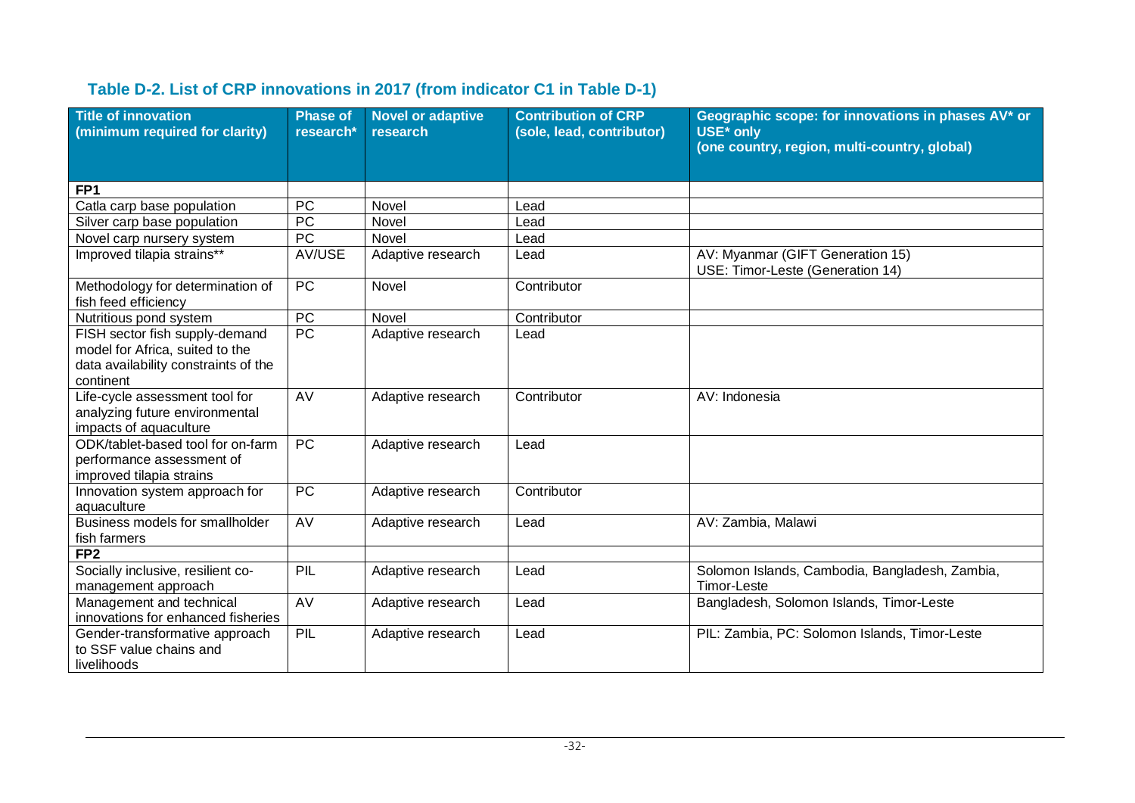### **Table D-2. List of CRP innovations in 2017 (from indicator C1 in Table D-1)**

| <b>Title of innovation</b><br>(minimum required for clarity)                                                           | <b>Phase of</b><br>research* | <b>Novel or adaptive</b><br>research | <b>Contribution of CRP</b><br>(sole, lead, contributor) | Geographic scope: for innovations in phases AV* or<br>USE* only<br>(one country, region, multi-country, global) |
|------------------------------------------------------------------------------------------------------------------------|------------------------------|--------------------------------------|---------------------------------------------------------|-----------------------------------------------------------------------------------------------------------------|
| FP <sub>1</sub>                                                                                                        |                              |                                      |                                                         |                                                                                                                 |
| Catla carp base population                                                                                             | <b>PC</b>                    | Novel                                | Lead                                                    |                                                                                                                 |
| Silver carp base population                                                                                            | <b>PC</b>                    | Novel                                | Lead                                                    |                                                                                                                 |
| Novel carp nursery system                                                                                              | <b>PC</b>                    | Novel                                | Lead                                                    |                                                                                                                 |
| Improved tilapia strains**                                                                                             | AV/USE                       | Adaptive research                    | Lead                                                    | AV: Myanmar (GIFT Generation 15)<br>USE: Timor-Leste (Generation 14)                                            |
| Methodology for determination of<br>fish feed efficiency                                                               | PC                           | Novel                                | Contributor                                             |                                                                                                                 |
| Nutritious pond system                                                                                                 | PC                           | Novel                                | Contributor                                             |                                                                                                                 |
| FISH sector fish supply-demand<br>model for Africa, suited to the<br>data availability constraints of the<br>continent | <b>PC</b>                    | Adaptive research                    | Lead                                                    |                                                                                                                 |
| Life-cycle assessment tool for<br>analyzing future environmental<br>impacts of aquaculture                             | AV                           | Adaptive research                    | Contributor                                             | AV: Indonesia                                                                                                   |
| ODK/tablet-based tool for on-farm<br>performance assessment of<br>improved tilapia strains                             | PC                           | Adaptive research                    | Lead                                                    |                                                                                                                 |
| Innovation system approach for<br>aquaculture                                                                          | PC                           | Adaptive research                    | Contributor                                             |                                                                                                                 |
| Business models for smallholder<br>fish farmers                                                                        | AV                           | Adaptive research                    | Lead                                                    | AV: Zambia, Malawi                                                                                              |
| FP <sub>2</sub>                                                                                                        |                              |                                      |                                                         |                                                                                                                 |
| Socially inclusive, resilient co-<br>management approach                                                               | PIL                          | Adaptive research                    | Lead                                                    | Solomon Islands, Cambodia, Bangladesh, Zambia,<br><b>Timor-Leste</b>                                            |
| Management and technical<br>innovations for enhanced fisheries                                                         | AV                           | Adaptive research                    | Lead                                                    | Bangladesh, Solomon Islands, Timor-Leste                                                                        |
| Gender-transformative approach<br>to SSF value chains and<br>livelihoods                                               | PIL                          | Adaptive research                    | Lead                                                    | PIL: Zambia, PC: Solomon Islands, Timor-Leste                                                                   |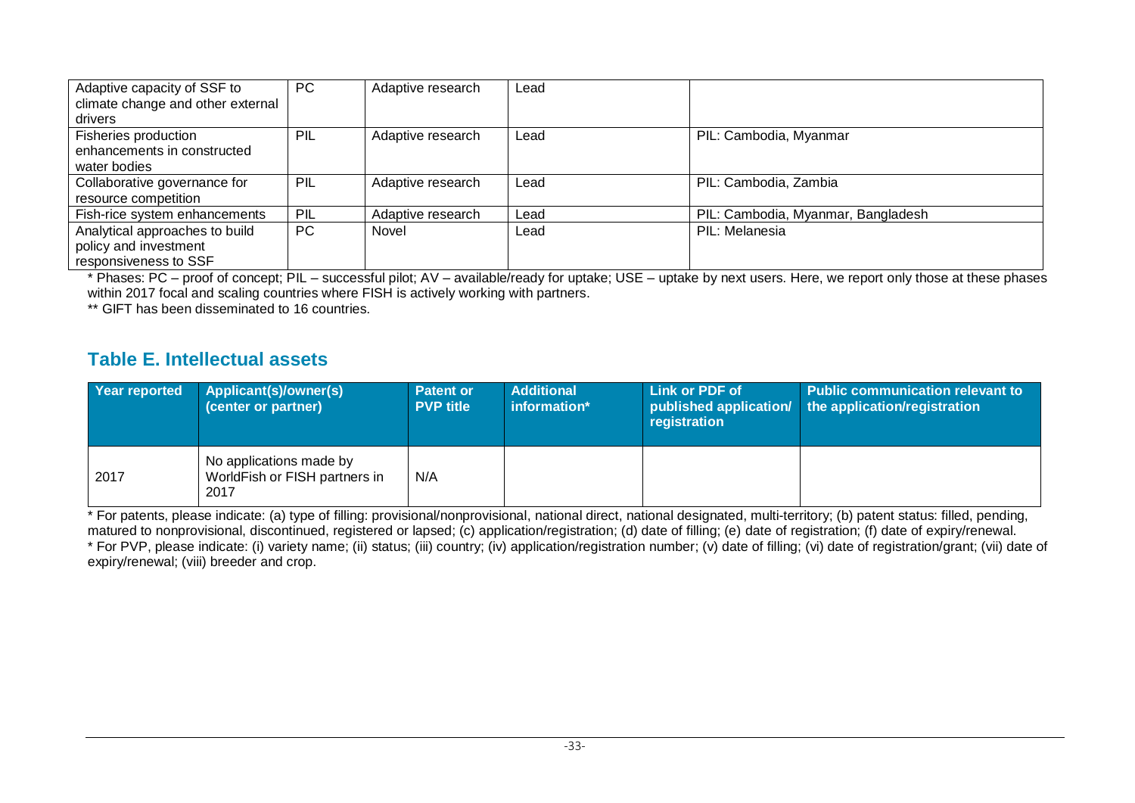| Adaptive capacity of SSF to       | <b>PC</b> | Adaptive research | Lead |                                    |
|-----------------------------------|-----------|-------------------|------|------------------------------------|
| climate change and other external |           |                   |      |                                    |
| drivers                           |           |                   |      |                                    |
| Fisheries production              | PIL       | Adaptive research | Lead | PIL: Cambodia, Myanmar             |
| enhancements in constructed       |           |                   |      |                                    |
| water bodies                      |           |                   |      |                                    |
| Collaborative governance for      | PIL       | Adaptive research | Lead | PIL: Cambodia, Zambia              |
| resource competition              |           |                   |      |                                    |
| Fish-rice system enhancements     | PIL       | Adaptive research | Lead | PIL: Cambodia, Myanmar, Bangladesh |
| Analytical approaches to build    | PC        | Novel             | Lead | PIL: Melanesia                     |
| policy and investment             |           |                   |      |                                    |
| responsiveness to SSF             |           |                   |      |                                    |

\* Phases: PC – proof of concept; PIL – successful pilot; AV – available/ready for uptake; USE – uptake by next users. Here, we report only those at these phases within 2017 focal and scaling countries where FISH is actively working with partners.

\*\* GIFT has been disseminated to 16 countries.

#### **Table E. Intellectual assets**

| Year reported | Applicant(s)/owner(s)<br>(center or partner)                     | <b>Patent or</b><br><b>PVP title</b> | <b>Additional</b><br>information* | Link or PDF of<br>published application/<br>registration | <b>Public communication relevant to</b><br>the application/registration |
|---------------|------------------------------------------------------------------|--------------------------------------|-----------------------------------|----------------------------------------------------------|-------------------------------------------------------------------------|
| 2017          | No applications made by<br>WorldFish or FISH partners in<br>2017 | N/A                                  |                                   |                                                          |                                                                         |

\* For patents, please indicate: (a) type of filling: provisional/nonprovisional, national direct, national designated, multi-territory; (b) patent status: filled, pending, matured to nonprovisional, discontinued, registered or lapsed; (c) application/registration; (d) date of filling; (e) date of registration; (f) date of expiry/renewal. \* For PVP, please indicate: (i) variety name; (ii) status; (iii) country; (iv) application/registration number; (v) date of filling; (vi) date of registration/grant; (vii) date of expiry/renewal; (viii) breeder and crop.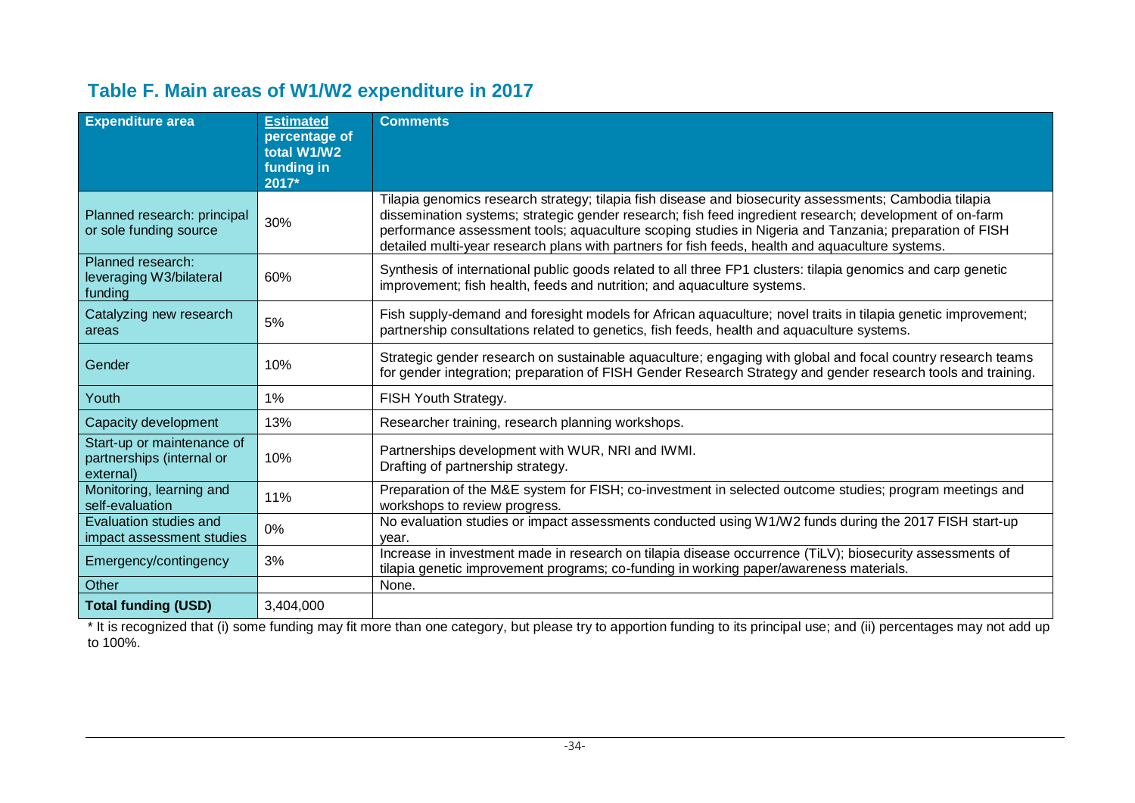## **Table F. Main areas of W1/W2 expenditure in 2017**

| <b>Expenditure area</b>                                              | <b>Estimated</b><br>percentage of<br>total W1/W2<br>funding in<br>2017* | <b>Comments</b>                                                                                                                                                                                                                                                                                                                                                                                                                 |
|----------------------------------------------------------------------|-------------------------------------------------------------------------|---------------------------------------------------------------------------------------------------------------------------------------------------------------------------------------------------------------------------------------------------------------------------------------------------------------------------------------------------------------------------------------------------------------------------------|
| Planned research: principal<br>or sole funding source                | 30%                                                                     | Tilapia genomics research strategy; tilapia fish disease and biosecurity assessments; Cambodia tilapia<br>dissemination systems; strategic gender research; fish feed ingredient research; development of on-farm<br>performance assessment tools; aquaculture scoping studies in Nigeria and Tanzania; preparation of FISH<br>detailed multi-year research plans with partners for fish feeds, health and aquaculture systems. |
| Planned research:<br>leveraging W3/bilateral<br>funding              | 60%                                                                     | Synthesis of international public goods related to all three FP1 clusters: tilapia genomics and carp genetic<br>improvement; fish health, feeds and nutrition; and aquaculture systems.                                                                                                                                                                                                                                         |
| Catalyzing new research<br>areas                                     | 5%                                                                      | Fish supply-demand and foresight models for African aquaculture; novel traits in tilapia genetic improvement;<br>partnership consultations related to genetics, fish feeds, health and aquaculture systems.                                                                                                                                                                                                                     |
| Gender                                                               | 10%                                                                     | Strategic gender research on sustainable aquaculture; engaging with global and focal country research teams<br>for gender integration; preparation of FISH Gender Research Strategy and gender research tools and training.                                                                                                                                                                                                     |
| Youth                                                                | $1\%$                                                                   | FISH Youth Strategy.                                                                                                                                                                                                                                                                                                                                                                                                            |
| Capacity development                                                 | 13%                                                                     | Researcher training, research planning workshops.                                                                                                                                                                                                                                                                                                                                                                               |
| Start-up or maintenance of<br>partnerships (internal or<br>external) | 10%                                                                     | Partnerships development with WUR, NRI and IWMI.<br>Drafting of partnership strategy.                                                                                                                                                                                                                                                                                                                                           |
| Monitoring, learning and<br>self-evaluation                          | 11%                                                                     | Preparation of the M&E system for FISH; co-investment in selected outcome studies; program meetings and<br>workshops to review progress.                                                                                                                                                                                                                                                                                        |
| <b>Evaluation studies and</b><br>impact assessment studies           | $0\%$                                                                   | No evaluation studies or impact assessments conducted using W1/W2 funds during the 2017 FISH start-up<br>vear.                                                                                                                                                                                                                                                                                                                  |
| Emergency/contingency                                                | 3%                                                                      | Increase in investment made in research on tilapia disease occurrence (TiLV); biosecurity assessments of<br>tilapia genetic improvement programs; co-funding in working paper/awareness materials.                                                                                                                                                                                                                              |
| Other                                                                |                                                                         | None.                                                                                                                                                                                                                                                                                                                                                                                                                           |
| <b>Total funding (USD)</b>                                           | 3,404,000                                                               |                                                                                                                                                                                                                                                                                                                                                                                                                                 |

\* It is recognized that (i) some funding may fit more than one category, but please try to apportion funding to its principal use; and (ii) percentages may not add up to 100%.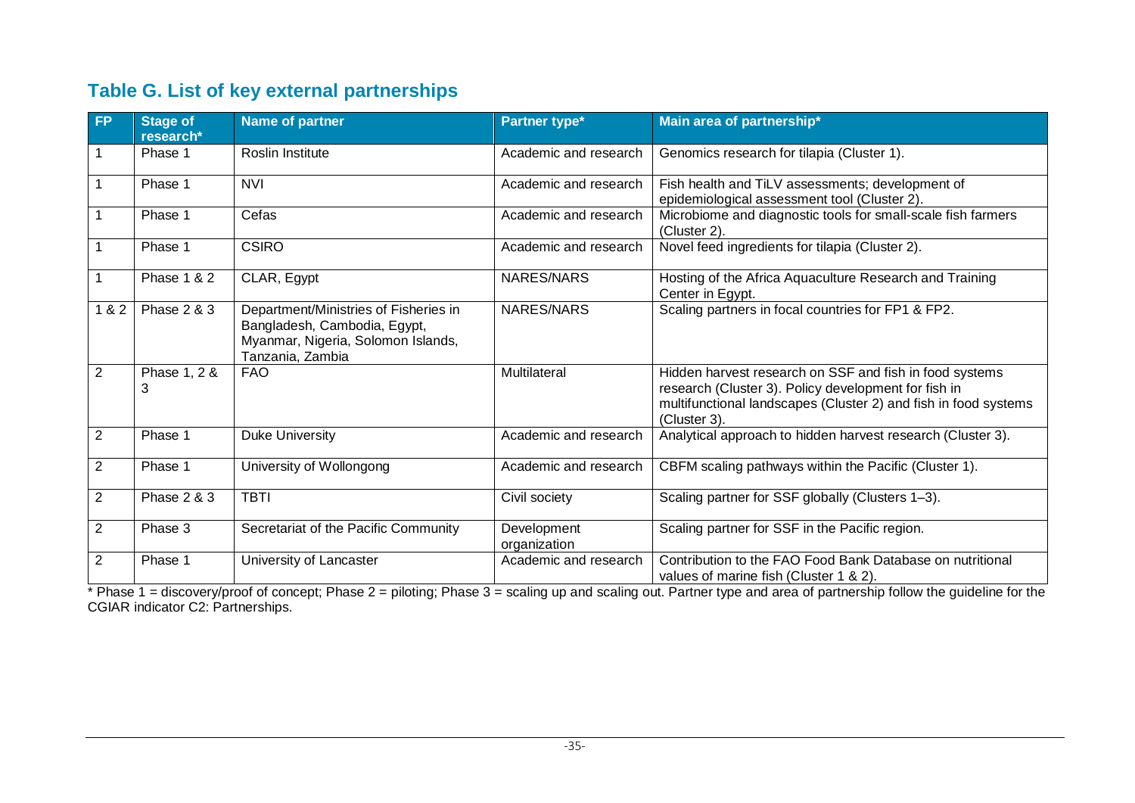## **Table G. List of key external partnerships**

| <b>FP</b>      | <b>Stage of</b><br>research* | <b>Name of partner</b>                                                                                                          | Partner type <sup>*</sup>   | Main area of partnership*                                                                                                                                                                          |
|----------------|------------------------------|---------------------------------------------------------------------------------------------------------------------------------|-----------------------------|----------------------------------------------------------------------------------------------------------------------------------------------------------------------------------------------------|
|                | Phase 1                      | Roslin Institute                                                                                                                | Academic and research       | Genomics research for tilapia (Cluster 1).                                                                                                                                                         |
|                | Phase 1                      | <b>NVI</b>                                                                                                                      | Academic and research       | Fish health and TiLV assessments; development of<br>epidemiological assessment tool (Cluster 2).                                                                                                   |
|                | Phase 1                      | Cefas                                                                                                                           | Academic and research       | Microbiome and diagnostic tools for small-scale fish farmers<br>(Cluster 2).                                                                                                                       |
|                | Phase 1                      | <b>CSIRO</b>                                                                                                                    | Academic and research       | Novel feed ingredients for tilapia (Cluster 2).                                                                                                                                                    |
|                | <b>Phase 1 &amp; 2</b>       | CLAR, Egypt                                                                                                                     | NARES/NARS                  | Hosting of the Africa Aquaculture Research and Training<br>Center in Egypt.                                                                                                                        |
| 1 & 2          | <b>Phase 2 &amp; 3</b>       | Department/Ministries of Fisheries in<br>Bangladesh, Cambodia, Egypt,<br>Myanmar, Nigeria, Solomon Islands,<br>Tanzania, Zambia | NARES/NARS                  | Scaling partners in focal countries for FP1 & FP2.                                                                                                                                                 |
| 2              | Phase 1, 2 &<br>3            | <b>FAO</b>                                                                                                                      | Multilateral                | Hidden harvest research on SSF and fish in food systems<br>research (Cluster 3). Policy development for fish in<br>multifunctional landscapes (Cluster 2) and fish in food systems<br>(Cluster 3). |
| $\overline{2}$ | Phase 1                      | <b>Duke University</b>                                                                                                          | Academic and research       | Analytical approach to hidden harvest research (Cluster 3).                                                                                                                                        |
| $\overline{2}$ | Phase 1                      | University of Wollongong                                                                                                        | Academic and research       | CBFM scaling pathways within the Pacific (Cluster 1).                                                                                                                                              |
| 2              | <b>Phase 2 &amp; 3</b>       | <b>TBTI</b>                                                                                                                     | Civil society               | Scaling partner for SSF globally (Clusters 1-3).                                                                                                                                                   |
| $\overline{2}$ | Phase 3                      | Secretariat of the Pacific Community                                                                                            | Development<br>organization | Scaling partner for SSF in the Pacific region.                                                                                                                                                     |
| 2              | Phase 1                      | University of Lancaster                                                                                                         | Academic and research       | Contribution to the FAO Food Bank Database on nutritional<br>values of marine fish (Cluster 1 & 2).                                                                                                |

\* Phase 1 = discovery/proof of concept; Phase 2 = piloting; Phase 3 = scaling up and scaling out. Partner type and area of partnership follow the guideline for the CGIAR indicator C2: Partnerships.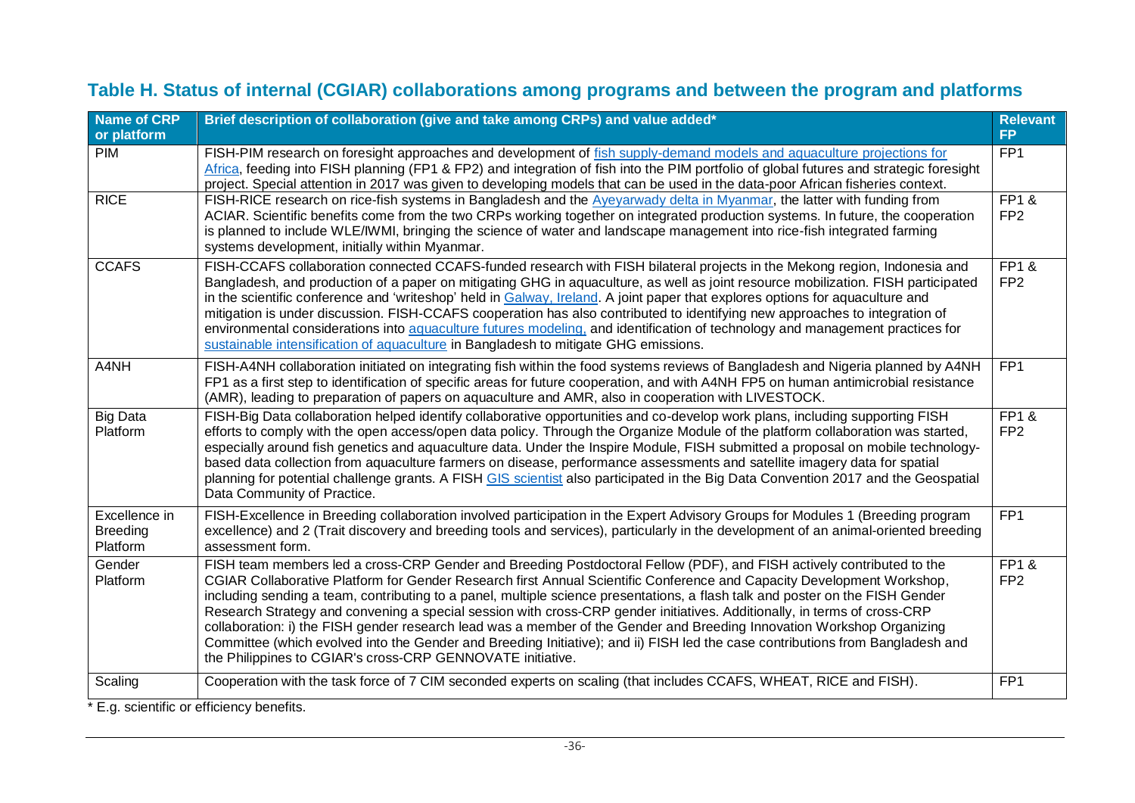## **Table H. Status of internal (CGIAR) collaborations among programs and between the program and platforms**

| <b>Name of CRP</b><br>or platform            | Brief description of collaboration (give and take among CRPs) and value added*                                                                                                                                                                                                                                                                                                                                                                                                                                                                                                                                                                                                                                                                                                                                                         | <b>Relevant</b><br><b>FP</b>       |
|----------------------------------------------|----------------------------------------------------------------------------------------------------------------------------------------------------------------------------------------------------------------------------------------------------------------------------------------------------------------------------------------------------------------------------------------------------------------------------------------------------------------------------------------------------------------------------------------------------------------------------------------------------------------------------------------------------------------------------------------------------------------------------------------------------------------------------------------------------------------------------------------|------------------------------------|
| PIM                                          | FISH-PIM research on foresight approaches and development of fish supply-demand models and aquaculture projections for<br>Africa, feeding into FISH planning (FP1 & FP2) and integration of fish into the PIM portfolio of global futures and strategic foresight<br>project. Special attention in 2017 was given to developing models that can be used in the data-poor African fisheries context.                                                                                                                                                                                                                                                                                                                                                                                                                                    | FP <sub>1</sub>                    |
| <b>RICE</b>                                  | FISH-RICE research on rice-fish systems in Bangladesh and the Ayeyarwady delta in Myanmar, the latter with funding from<br>ACIAR. Scientific benefits come from the two CRPs working together on integrated production systems. In future, the cooperation<br>is planned to include WLE/IWMI, bringing the science of water and landscape management into rice-fish integrated farming<br>systems development, initially within Myanmar.                                                                                                                                                                                                                                                                                                                                                                                               | <b>FP1&amp;</b><br>FP <sub>2</sub> |
| <b>CCAFS</b>                                 | FISH-CCAFS collaboration connected CCAFS-funded research with FISH bilateral projects in the Mekong region, Indonesia and<br>Bangladesh, and production of a paper on mitigating GHG in aquaculture, as well as joint resource mobilization. FISH participated<br>in the scientific conference and 'writeshop' held in Galway, Ireland. A joint paper that explores options for aquaculture and<br>mitigation is under discussion. FISH-CCAFS cooperation has also contributed to identifying new approaches to integration of<br>environmental considerations into aquaculture futures modeling, and identification of technology and management practices for<br>sustainable intensification of aquaculture in Bangladesh to mitigate GHG emissions.                                                                                 | $FPT$ &<br>FP <sub>2</sub>         |
| A4NH                                         | FISH-A4NH collaboration initiated on integrating fish within the food systems reviews of Bangladesh and Nigeria planned by A4NH<br>FP1 as a first step to identification of specific areas for future cooperation, and with A4NH FP5 on human antimicrobial resistance<br>(AMR), leading to preparation of papers on aquaculture and AMR, also in cooperation with LIVESTOCK.                                                                                                                                                                                                                                                                                                                                                                                                                                                          | FP <sub>1</sub>                    |
| <b>Big Data</b><br>Platform                  | FISH-Big Data collaboration helped identify collaborative opportunities and co-develop work plans, including supporting FISH<br>efforts to comply with the open access/open data policy. Through the Organize Module of the platform collaboration was started,<br>especially around fish genetics and aquaculture data. Under the Inspire Module, FISH submitted a proposal on mobile technology-<br>based data collection from aquaculture farmers on disease, performance assessments and satellite imagery data for spatial<br>planning for potential challenge grants. A FISH GIS scientist also participated in the Big Data Convention 2017 and the Geospatial<br>Data Community of Practice.                                                                                                                                   | <b>FP1&amp;</b><br>FP <sub>2</sub> |
| Excellence in<br><b>Breeding</b><br>Platform | FISH-Excellence in Breeding collaboration involved participation in the Expert Advisory Groups for Modules 1 (Breeding program<br>excellence) and 2 (Trait discovery and breeding tools and services), particularly in the development of an animal-oriented breeding<br>assessment form.                                                                                                                                                                                                                                                                                                                                                                                                                                                                                                                                              | FP <sub>1</sub>                    |
| Gender<br>Platform                           | FISH team members led a cross-CRP Gender and Breeding Postdoctoral Fellow (PDF), and FISH actively contributed to the<br>CGIAR Collaborative Platform for Gender Research first Annual Scientific Conference and Capacity Development Workshop,<br>including sending a team, contributing to a panel, multiple science presentations, a flash talk and poster on the FISH Gender<br>Research Strategy and convening a special session with cross-CRP gender initiatives. Additionally, in terms of cross-CRP<br>collaboration: i) the FISH gender research lead was a member of the Gender and Breeding Innovation Workshop Organizing<br>Committee (which evolved into the Gender and Breeding Initiative); and ii) FISH led the case contributions from Bangladesh and<br>the Philippines to CGIAR's cross-CRP GENNOVATE initiative. | <b>FP1&amp;</b><br>FP <sub>2</sub> |
| Scaling                                      | Cooperation with the task force of 7 CIM seconded experts on scaling (that includes CCAFS, WHEAT, RICE and FISH).                                                                                                                                                                                                                                                                                                                                                                                                                                                                                                                                                                                                                                                                                                                      | FP <sub>1</sub>                    |

\* E.g. scientific or efficiency benefits.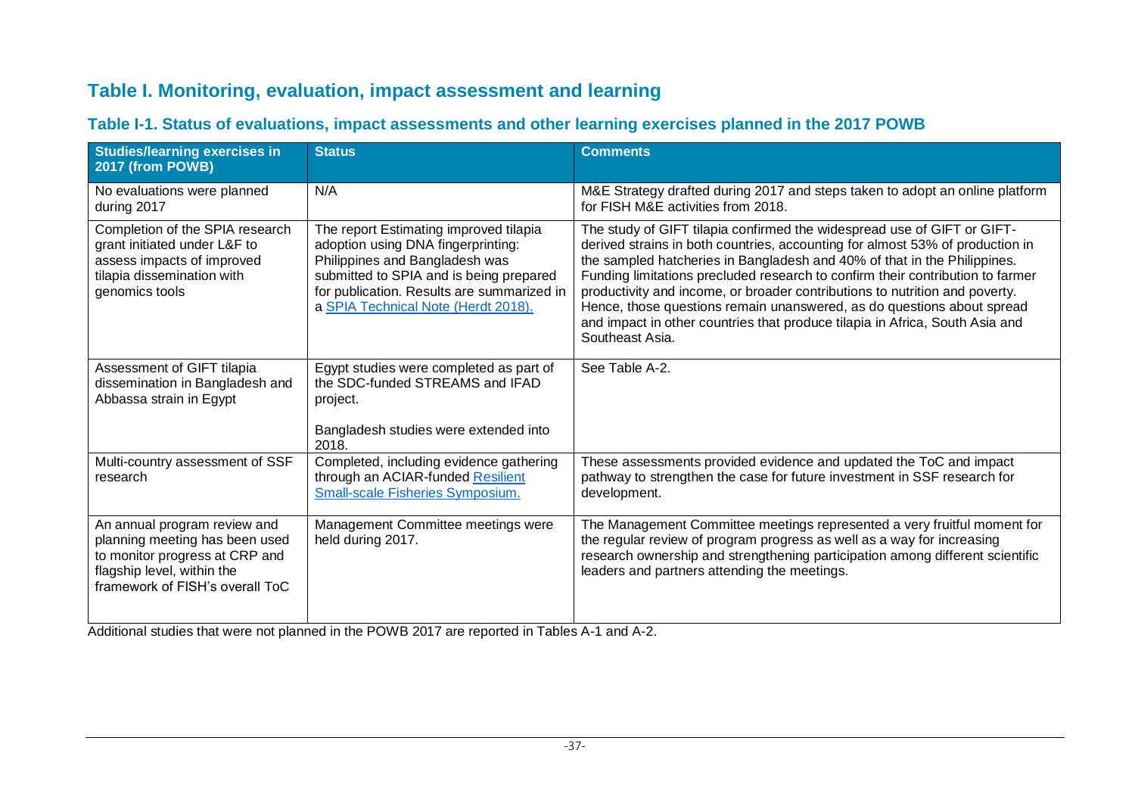### **Table I. Monitoring, evaluation, impact assessment and learning**

| <b>Studies/learning exercises in</b><br>2017 (from POWB)                                                                                                          | <b>Status</b>                                                                                                                                                                                                                                  | <b>Comments</b>                                                                                                                                                                                                                                                                                                                                                                                                                                                                                                                                                                    |
|-------------------------------------------------------------------------------------------------------------------------------------------------------------------|------------------------------------------------------------------------------------------------------------------------------------------------------------------------------------------------------------------------------------------------|------------------------------------------------------------------------------------------------------------------------------------------------------------------------------------------------------------------------------------------------------------------------------------------------------------------------------------------------------------------------------------------------------------------------------------------------------------------------------------------------------------------------------------------------------------------------------------|
| No evaluations were planned<br>during 2017                                                                                                                        | N/A                                                                                                                                                                                                                                            | M&E Strategy drafted during 2017 and steps taken to adopt an online platform<br>for FISH M&E activities from 2018.                                                                                                                                                                                                                                                                                                                                                                                                                                                                 |
| Completion of the SPIA research<br>grant initiated under L&F to<br>assess impacts of improved<br>tilapia dissemination with<br>genomics tools                     | The report Estimating improved tilapia<br>adoption using DNA fingerprinting:<br>Philippines and Bangladesh was<br>submitted to SPIA and is being prepared<br>for publication. Results are summarized in<br>a SPIA Technical Note (Herdt 2018). | The study of GIFT tilapia confirmed the widespread use of GIFT or GIFT-<br>derived strains in both countries, accounting for almost 53% of production in<br>the sampled hatcheries in Bangladesh and 40% of that in the Philippines.<br>Funding limitations precluded research to confirm their contribution to farmer<br>productivity and income, or broader contributions to nutrition and poverty.<br>Hence, those questions remain unanswered, as do questions about spread<br>and impact in other countries that produce tilapia in Africa, South Asia and<br>Southeast Asia. |
| Assessment of GIFT tilapia<br>dissemination in Bangladesh and<br>Abbassa strain in Egypt                                                                          | Egypt studies were completed as part of<br>the SDC-funded STREAMS and IFAD<br>project.<br>Bangladesh studies were extended into<br>2018.                                                                                                       | See Table A-2.                                                                                                                                                                                                                                                                                                                                                                                                                                                                                                                                                                     |
| Multi-country assessment of SSF<br>research                                                                                                                       | Completed, including evidence gathering<br>through an ACIAR-funded Resilient<br><b>Small-scale Fisheries Symposium.</b>                                                                                                                        | These assessments provided evidence and updated the ToC and impact<br>pathway to strengthen the case for future investment in SSF research for<br>development.                                                                                                                                                                                                                                                                                                                                                                                                                     |
| An annual program review and<br>planning meeting has been used<br>to monitor progress at CRP and<br>flagship level, within the<br>framework of FISH's overall ToC | Management Committee meetings were<br>held during 2017.                                                                                                                                                                                        | The Management Committee meetings represented a very fruitful moment for<br>the regular review of program progress as well as a way for increasing<br>research ownership and strengthening participation among different scientific<br>leaders and partners attending the meetings.                                                                                                                                                                                                                                                                                                |

#### **Table I-1. Status of evaluations, impact assessments and other learning exercises planned in the 2017 POWB**

Additional studies that were not planned in the POWB 2017 are reported in Tables A-1 and A-2.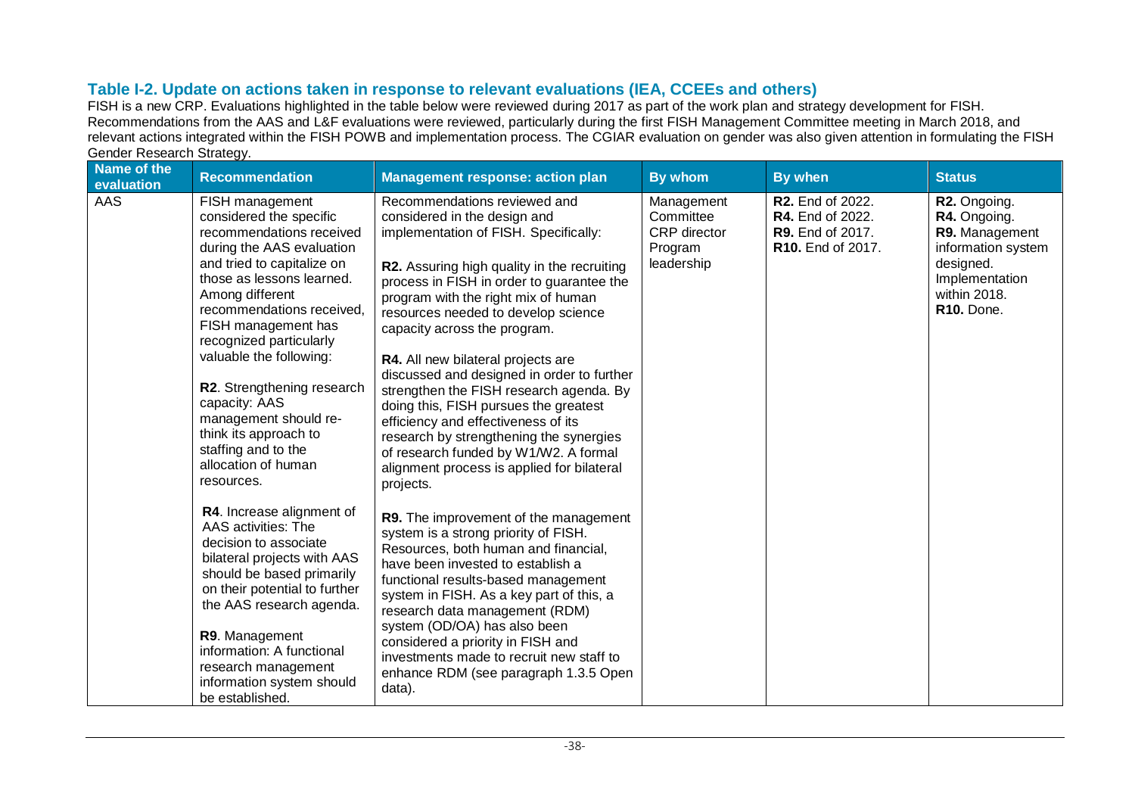#### **Table I-2. Update on actions taken in response to relevant evaluations (IEA, CCEEs and others)**

FISH is a new CRP. Evaluations highlighted in the table below were reviewed during 2017 as part of the work plan and strategy development for FISH. Recommendations from the AAS and L&F evaluations were reviewed, particularly during the first FISH Management Committee meeting in March 2018, and relevant actions integrated within the FISH POWB and implementation process. The CGIAR evaluation on gender was also given attention in formulating the FISH

| <b>Name of the</b><br>evaluation | <b>Recommendation</b>                                                                                                                                                                                                                                                                                                                                                                                                                                    | <b>Management response: action plan</b>                                                                                                                                                                                                                                                                                                                                                                                                                                                                                                                                                                                                                                              | By whom                                                          | By when                                                                              | <b>Status</b>                                                                                                                                  |
|----------------------------------|----------------------------------------------------------------------------------------------------------------------------------------------------------------------------------------------------------------------------------------------------------------------------------------------------------------------------------------------------------------------------------------------------------------------------------------------------------|--------------------------------------------------------------------------------------------------------------------------------------------------------------------------------------------------------------------------------------------------------------------------------------------------------------------------------------------------------------------------------------------------------------------------------------------------------------------------------------------------------------------------------------------------------------------------------------------------------------------------------------------------------------------------------------|------------------------------------------------------------------|--------------------------------------------------------------------------------------|------------------------------------------------------------------------------------------------------------------------------------------------|
| AAS                              | FISH management<br>considered the specific<br>recommendations received<br>during the AAS evaluation<br>and tried to capitalize on<br>those as lessons learned.<br>Among different<br>recommendations received,<br>FISH management has<br>recognized particularly<br>valuable the following:<br>R2. Strengthening research<br>capacity: AAS<br>management should re-<br>think its approach to<br>staffing and to the<br>allocation of human<br>resources. | Recommendations reviewed and<br>considered in the design and<br>implementation of FISH. Specifically:<br><b>R2.</b> Assuring high quality in the recruiting<br>process in FISH in order to guarantee the<br>program with the right mix of human<br>resources needed to develop science<br>capacity across the program.<br>R4. All new bilateral projects are<br>discussed and designed in order to further<br>strengthen the FISH research agenda. By<br>doing this, FISH pursues the greatest<br>efficiency and effectiveness of its<br>research by strengthening the synergies<br>of research funded by W1/W2. A formal<br>alignment process is applied for bilateral<br>projects. | Management<br>Committee<br>CRP director<br>Program<br>leadership | R2. End of 2022.<br>R4. End of 2022.<br><b>R9.</b> End of 2017.<br>R10. End of 2017. | R2. Ongoing.<br>R4. Ongoing.<br>R9. Management<br>information system<br>designed.<br>Implementation<br>within 2018.<br>R <sub>10</sub> . Done. |
|                                  | R4. Increase alignment of<br>AAS activities: The<br>decision to associate<br>bilateral projects with AAS<br>should be based primarily<br>on their potential to further<br>the AAS research agenda.<br>R9. Management<br>information: A functional<br>research management<br>information system should<br>be established.                                                                                                                                 | R9. The improvement of the management<br>system is a strong priority of FISH.<br>Resources, both human and financial,<br>have been invested to establish a<br>functional results-based management<br>system in FISH. As a key part of this, a<br>research data management (RDM)<br>system (OD/OA) has also been<br>considered a priority in FISH and<br>investments made to recruit new staff to<br>enhance RDM (see paragraph 1.3.5 Open<br>data).                                                                                                                                                                                                                                  |                                                                  |                                                                                      |                                                                                                                                                |

#### Gender Research Strategy.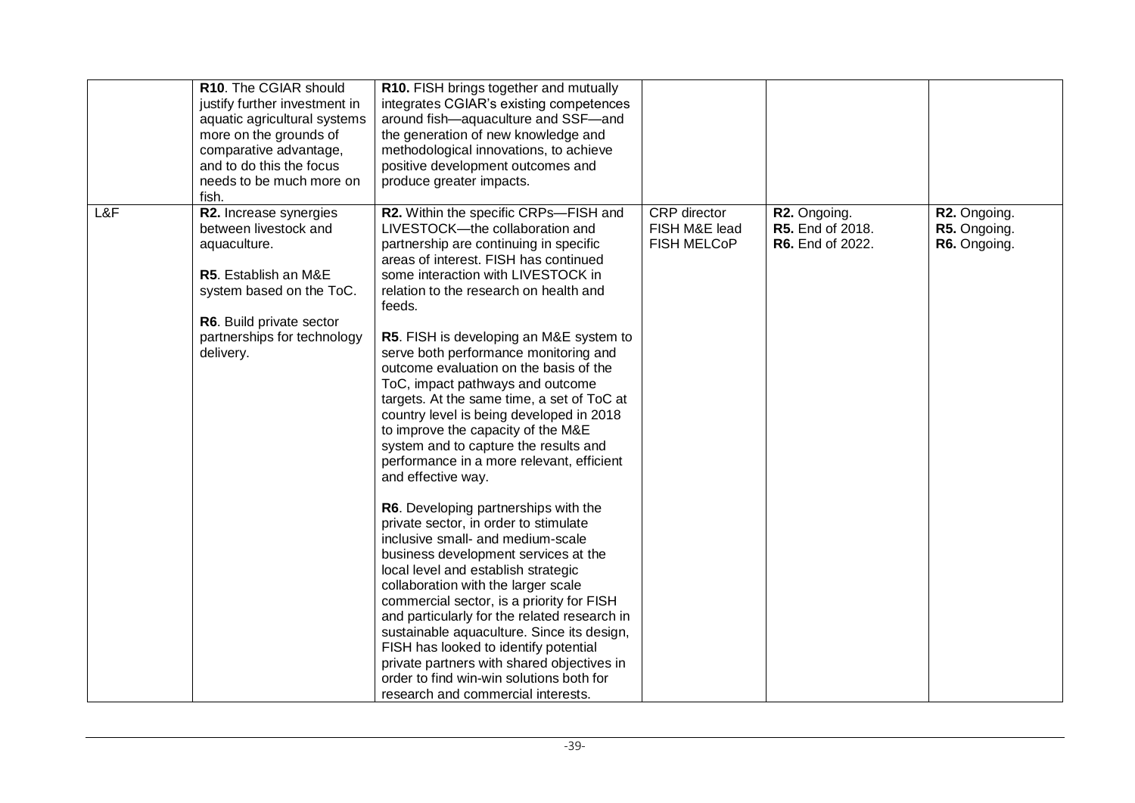|     | R10. The CGIAR should<br>justify further investment in<br>aquatic agricultural systems<br>more on the grounds of<br>comparative advantage,<br>and to do this the focus<br>needs to be much more on<br>fish. | R10. FISH brings together and mutually<br>integrates CGIAR's existing competences<br>around fish-aquaculture and SSF-and<br>the generation of new knowledge and<br>methodological innovations, to achieve<br>positive development outcomes and<br>produce greater impacts.                                                                                                                                                                                                                                                                                                                                                                                                                                                                                                                                                                                                                                                                                                                                                                                                                                                                                                                                                          |                                              |                                                      |                                              |
|-----|-------------------------------------------------------------------------------------------------------------------------------------------------------------------------------------------------------------|-------------------------------------------------------------------------------------------------------------------------------------------------------------------------------------------------------------------------------------------------------------------------------------------------------------------------------------------------------------------------------------------------------------------------------------------------------------------------------------------------------------------------------------------------------------------------------------------------------------------------------------------------------------------------------------------------------------------------------------------------------------------------------------------------------------------------------------------------------------------------------------------------------------------------------------------------------------------------------------------------------------------------------------------------------------------------------------------------------------------------------------------------------------------------------------------------------------------------------------|----------------------------------------------|------------------------------------------------------|----------------------------------------------|
| L&F | R2. Increase synergies<br>between livestock and<br>aquaculture.<br>R5. Establish an M&E<br>system based on the ToC.<br>R6. Build private sector<br>partnerships for technology<br>delivery.                 | R2. Within the specific CRPs-FISH and<br>LIVESTOCK-the collaboration and<br>partnership are continuing in specific<br>areas of interest. FISH has continued<br>some interaction with LIVESTOCK in<br>relation to the research on health and<br>feeds.<br>R5. FISH is developing an M&E system to<br>serve both performance monitoring and<br>outcome evaluation on the basis of the<br>ToC, impact pathways and outcome<br>targets. At the same time, a set of ToC at<br>country level is being developed in 2018<br>to improve the capacity of the M&E<br>system and to capture the results and<br>performance in a more relevant, efficient<br>and effective way.<br>R6. Developing partnerships with the<br>private sector, in order to stimulate<br>inclusive small- and medium-scale<br>business development services at the<br>local level and establish strategic<br>collaboration with the larger scale<br>commercial sector, is a priority for FISH<br>and particularly for the related research in<br>sustainable aquaculture. Since its design,<br>FISH has looked to identify potential<br>private partners with shared objectives in<br>order to find win-win solutions both for<br>research and commercial interests. | CRP director<br>FISH M&E lead<br>FISH MELCOP | R2. Ongoing.<br>R5. End of 2018.<br>R6. End of 2022. | R2. Ongoing.<br>R5. Ongoing.<br>R6. Ongoing. |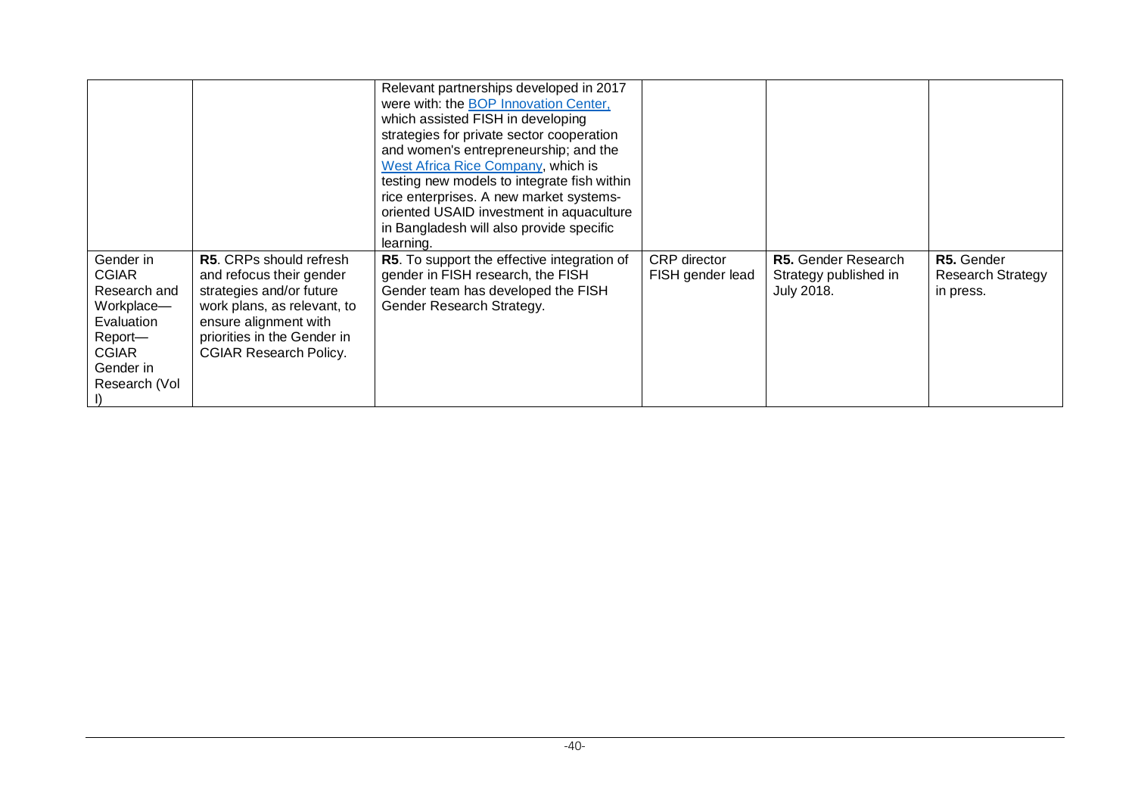|                                                                                                                                |                                                                                                                                                                                                                | Relevant partnerships developed in 2017<br>were with: the <b>BOP</b> Innovation Center,<br>which assisted FISH in developing<br>strategies for private sector cooperation<br>and women's entrepreneurship; and the<br>West Africa Rice Company, which is<br>testing new models to integrate fish within<br>rice enterprises. A new market systems-<br>oriented USAID investment in aquaculture<br>in Bangladesh will also provide specific<br>learning. |                                         |                                                                   |                                                     |
|--------------------------------------------------------------------------------------------------------------------------------|----------------------------------------------------------------------------------------------------------------------------------------------------------------------------------------------------------------|---------------------------------------------------------------------------------------------------------------------------------------------------------------------------------------------------------------------------------------------------------------------------------------------------------------------------------------------------------------------------------------------------------------------------------------------------------|-----------------------------------------|-------------------------------------------------------------------|-----------------------------------------------------|
| Gender in<br><b>CGIAR</b><br>Research and<br>Workplace-<br>Evaluation<br>Report-<br><b>CGIAR</b><br>Gender in<br>Research (Vol | <b>R5.</b> CRPs should refresh<br>and refocus their gender<br>strategies and/or future<br>work plans, as relevant, to<br>ensure alignment with<br>priorities in the Gender in<br><b>CGIAR Research Policy.</b> | <b>R5.</b> To support the effective integration of<br>gender in FISH research, the FISH<br>Gender team has developed the FISH<br>Gender Research Strategy.                                                                                                                                                                                                                                                                                              | <b>CRP</b> director<br>FISH gender lead | R5. Gender Research<br>Strategy published in<br><b>July 2018.</b> | R5. Gender<br><b>Research Strategy</b><br>in press. |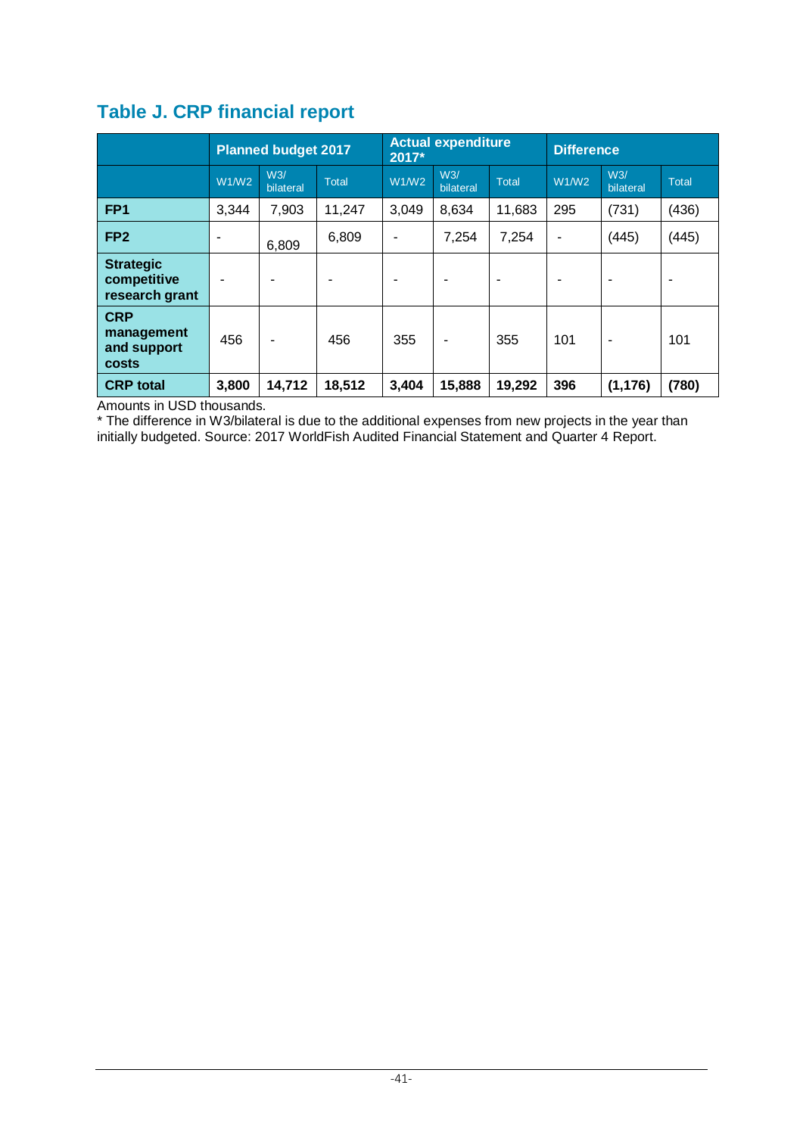|                                                   | <b>Planned budget 2017</b> |                  |              | <b>Actual expenditure</b><br>2017* |                  | <b>Difference</b> |                |                  |              |
|---------------------------------------------------|----------------------------|------------------|--------------|------------------------------------|------------------|-------------------|----------------|------------------|--------------|
|                                                   | W1/W2                      | W3/<br>bilateral | <b>Total</b> | W1/W2                              | W3/<br>bilateral | <b>Total</b>      | W1/W2          | W3/<br>bilateral | <b>Total</b> |
| FP <sub>1</sub>                                   | 3,344                      | 7,903            | 11,247       | 3,049                              | 8,634            | 11,683            | 295            | (731)            | (436)        |
| FP <sub>2</sub>                                   | $\overline{\phantom{0}}$   | 6,809            | 6,809        | -                                  | 7,254            | 7,254             | $\blacksquare$ | (445)            | (445)        |
| <b>Strategic</b><br>competitive<br>research grant |                            |                  |              |                                    |                  | ۰                 |                | ۰                |              |
| <b>CRP</b><br>management<br>and support<br>costs  | 456                        | ٠                | 456          | 355                                | ۰                | 355               | 101            | ۰                | 101          |
| <b>CRP</b> total                                  | 3,800                      | 14,712           | 18,512       | 3,404                              | 15,888           | 19,292            | 396            | (1, 176)         | (780)        |

## **Table J. CRP financial report**

Amounts in USD thousands.

\* The difference in W3/bilateral is due to the additional expenses from new projects in the year than initially budgeted. Source: 2017 WorldFish Audited Financial Statement and Quarter 4 Report.